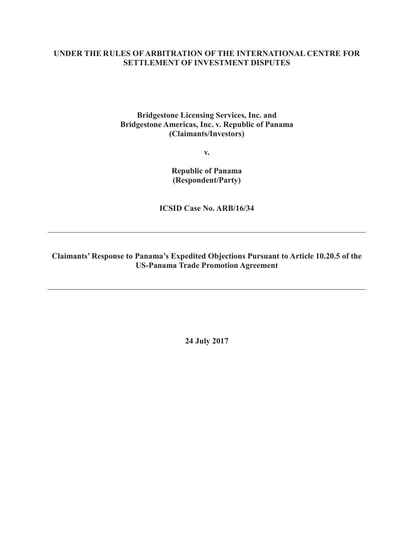#### **UNDER THE RULES OF ARBITRATION OF THE INTERNATIONAL CENTRE FOR SETTLEMENT OF INVESTMENT DISPUTES**

**Bridgestone Licensing Services, Inc. and Bridgestone Americas, Inc. v. Republic of Panama (Claimants/Investors)**

**v.** 

**Republic of Panama (Respondent/Party)**

**ICSID Case No. ARB/16/34**

**Claimants' Response to Panama's Expedited Objections Pursuant to Article 10.20.5 of the US-Panama Trade Promotion Agreement**

**24 July 2017**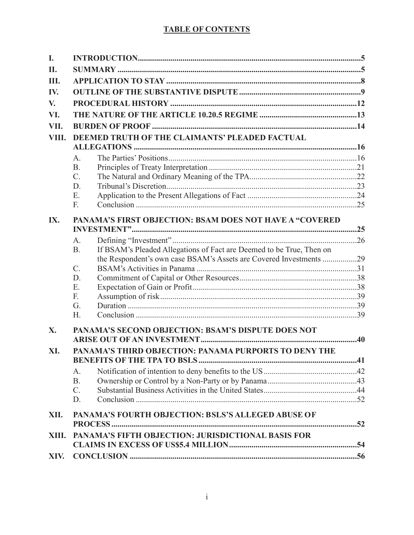## **TABLE OF CONTENTS**

| I.        |                                                                                   |  |  |
|-----------|-----------------------------------------------------------------------------------|--|--|
| II.       |                                                                                   |  |  |
| Ш.        |                                                                                   |  |  |
| IV.       |                                                                                   |  |  |
| V.        |                                                                                   |  |  |
| VI.       |                                                                                   |  |  |
| VII.      |                                                                                   |  |  |
| VIII.     | DEEMED TRUTH OF THE CLAIMANTS' PLEADED FACTUAL                                    |  |  |
|           |                                                                                   |  |  |
|           | A.                                                                                |  |  |
|           | <b>B.</b>                                                                         |  |  |
|           | $C$ .                                                                             |  |  |
|           | D.                                                                                |  |  |
|           | Ε.                                                                                |  |  |
|           | F.                                                                                |  |  |
| IX.       | PANAMA'S FIRST OBJECTION: BSAM DOES NOT HAVE A "COVERED                           |  |  |
|           |                                                                                   |  |  |
|           | A.                                                                                |  |  |
|           | If BSAM's Pleaded Allegations of Fact are Deemed to be True, Then on<br><b>B.</b> |  |  |
|           | the Respondent's own case BSAM's Assets are Covered Investments 29                |  |  |
|           | $\mathcal{C}$ .                                                                   |  |  |
|           | D.<br>Ε.                                                                          |  |  |
|           | F.                                                                                |  |  |
|           | G.                                                                                |  |  |
|           | H.                                                                                |  |  |
|           | PANAMA'S SECOND OBJECTION: BSAM'S DISPUTE DOES NOT                                |  |  |
| <b>X.</b> |                                                                                   |  |  |
| XI.       | PANAMA'S THIRD OBJECTION: PANAMA PURPORTS TO DENY THE                             |  |  |
|           |                                                                                   |  |  |
|           | A.                                                                                |  |  |
|           | <b>B.</b>                                                                         |  |  |
|           | C.                                                                                |  |  |
|           | D.                                                                                |  |  |
|           |                                                                                   |  |  |
| XII.      | PANAMA'S FOURTH OBJECTION: BSLS'S ALLEGED ABUSE OF                                |  |  |
|           |                                                                                   |  |  |
| XIII.     | PANAMA'S FIFTH OBJECTION: JURISDICTIONAL BASIS FOR                                |  |  |
|           |                                                                                   |  |  |
| XIV.      |                                                                                   |  |  |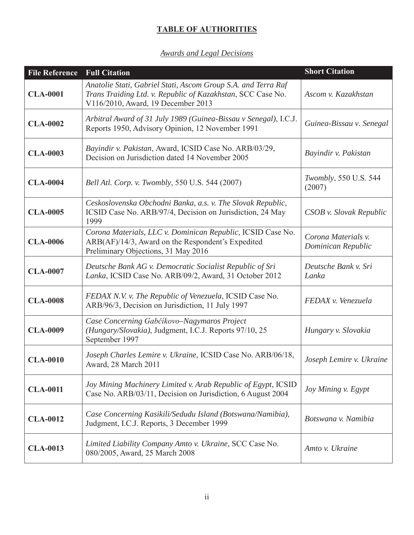## **TABLE OF AUTHORITIES**

# *Awards and Legal Decisions*

| <b>File Reference</b> | <b>Full Citation</b>                                                                                                                                               | <b>Short Citation</b>                     |
|-----------------------|--------------------------------------------------------------------------------------------------------------------------------------------------------------------|-------------------------------------------|
| <b>CLA-0001</b>       | Anatolie Stati, Gabriel Stati, Ascom Group S.A. and Terra Raf<br>Trans Traiding Ltd. v. Republic of Kazakhstan, SCC Case No.<br>V116/2010, Award, 19 December 2013 | Ascom v. Kazakhstan                       |
| <b>CLA-0002</b>       | Arbitral Award of 31 July 1989 (Guinea-Bissau v Senegal), I.C.J.<br>Reports 1950, Advisory Opinion, 12 November 1991                                               | Guinea-Bissau v. Senegal                  |
| <b>CLA-0003</b>       | Bayindir v. Pakistan, Award, ICSID Case No. ARB/03/29,<br>Decision on Jurisdiction dated 14 November 2005                                                          | Bayindir v. Pakistan                      |
| <b>CLA-0004</b>       | Bell Atl. Corp. v. Twombly, 550 U.S. 544 (2007)                                                                                                                    | Twombly, 550 U.S. 544<br>(2007)           |
| <b>CLA-0005</b>       | Ceskoslovenska Obchodni Banka, a.s. v. The Slovak Republic,<br>ICSID Case No. ARB/97/4, Decision on Jurisdiction, 24 May<br>1999                                   | CSOB v. Slovak Republic                   |
| <b>CLA-0006</b>       | Corona Materials, LLC v. Dominican Republic, ICSID Case No.<br>ARB(AF)/14/3, Award on the Respondent's Expedited<br>Preliminary Objections, 31 May 2016            | Corona Materials v.<br>Dominican Republic |
| <b>CLA-0007</b>       | Deutsche Bank AG v. Democratic Socialist Republic of Sri<br>Lanka, ICSID Case No. ARB/09/2, Award, 31 October 2012                                                 | Deutsche Bank v. Sri<br>Lanka             |
| <b>CLA-0008</b>       | FEDAX N.V. v. The Republic of Venezuela, ICSID Case No.<br>ARB/96/3, Decision on Jurisdiction, 11 July 1997                                                        | FEDAX v. Venezuela                        |
| <b>CLA-0009</b>       | Case Concerning Gabčíkovo-Nagymaros Project<br>(Hungary/Slovakia), Judgment, I.C.J. Reports 97/10, 25<br>September 1997                                            | Hungary v. Slovakia                       |
| <b>CLA-0010</b>       | Joseph Charles Lemire v. Ukraine, ICSID Case No. ARB/06/18,<br>Award, 28 March 2011                                                                                | Joseph Lemire v. Ukraine                  |
| <b>CLA-0011</b>       | Joy Mining Machinery Limited v. Arab Republic of Egypt, ICSID<br>Case No. ARB/03/11, Decision on Jurisdiction, 6 August 2004                                       | Joy Mining v. Egypt                       |
| <b>CLA-0012</b>       | Case Concerning Kasikili/Sedudu Island (Botswana/Namibia),<br>Judgment, I.C.J. Reports, 3 December 1999                                                            | Botswana v. Namibia                       |
| <b>CLA-0013</b>       | Limited Liability Company Amto v. Ukraine, SCC Case No.<br>080/2005, Award, 25 March 2008                                                                          | Amto v. Ukraine                           |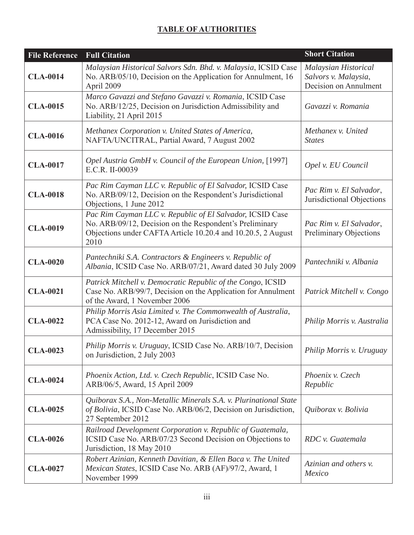## **TABLE OF AUTHORITIES**

| <b>File Reference</b> | <b>Full Citation</b>                                                                                                                                                                         | <b>Short Citation</b>                                                        |
|-----------------------|----------------------------------------------------------------------------------------------------------------------------------------------------------------------------------------------|------------------------------------------------------------------------------|
| <b>CLA-0014</b>       | Malaysian Historical Salvors Sdn. Bhd. v. Malaysia, ICSID Case<br>No. ARB/05/10, Decision on the Application for Annulment, 16<br>April 2009                                                 | <b>Malaysian Historical</b><br>Salvors v. Malaysia,<br>Decision on Annulment |
| <b>CLA-0015</b>       | Marco Gavazzi and Stefano Gavazzi v. Romania, ICSID Case<br>No. ARB/12/25, Decision on Jurisdiction Admissibility and<br>Liability, 21 April 2015                                            | Gavazzi v. Romania                                                           |
| <b>CLA-0016</b>       | Methanex Corporation v. United States of America,<br>NAFTA/UNCITRAL, Partial Award, 7 August 2002                                                                                            | Methanex v. United<br><b>States</b>                                          |
| <b>CLA-0017</b>       | Opel Austria GmbH v. Council of the European Union, [1997]<br>E.C.R. II-00039                                                                                                                | Opel v. EU Council                                                           |
| <b>CLA-0018</b>       | Pac Rim Cayman LLC v. Republic of El Salvador, ICSID Case<br>No. ARB/09/12, Decision on the Respondent's Jurisdictional<br>Objections, 1 June 2012                                           | Pac Rim v. El Salvador,<br>Jurisdictional Objections                         |
| <b>CLA-0019</b>       | Pac Rim Cayman LLC v. Republic of El Salvador, ICSID Case<br>No. ARB/09/12, Decision on the Respondent's Preliminary<br>Objections under CAFTA Article 10.20.4 and 10.20.5, 2 August<br>2010 | Pac Rim v. El Salvador,<br>Preliminary Objections                            |
| <b>CLA-0020</b>       | Pantechniki S.A. Contractors & Engineers v. Republic of<br>Albania, ICSID Case No. ARB/07/21, Award dated 30 July 2009                                                                       | Pantechniki v. Albania                                                       |
| <b>CLA-0021</b>       | Patrick Mitchell v. Democratic Republic of the Congo, ICSID<br>Case No. ARB/99/7, Decision on the Application for Annulment<br>of the Award, 1 November 2006                                 | Patrick Mitchell v. Congo                                                    |
| <b>CLA-0022</b>       | Philip Morris Asia Limited v. The Commonwealth of Australia,<br>PCA Case No. 2012-12, Award on Jurisdiction and<br>Admissibility, 17 December 2015                                           | Philip Morris v. Australia                                                   |
| <b>CLA-0023</b>       | Philip Morris v. Uruguay, ICSID Case No. ARB/10/7, Decision<br>on Jurisdiction, 2 July 2003                                                                                                  | Philip Morris v. Uruguay                                                     |
| <b>CLA-0024</b>       | Phoenix Action, Ltd. v. Czech Republic, ICSID Case No.<br>ARB/06/5, Award, 15 April 2009                                                                                                     | Phoenix v. Czech<br>Republic                                                 |
| <b>CLA-0025</b>       | Quiborax S.A., Non-Metallic Minerals S.A. v. Plurinational State<br>of Bolivia, ICSID Case No. ARB/06/2, Decision on Jurisdiction,<br>27 September 2012                                      | Quiborax v. Bolivia                                                          |
| <b>CLA-0026</b>       | Railroad Development Corporation v. Republic of Guatemala,<br>ICSID Case No. ARB/07/23 Second Decision on Objections to<br>Jurisdiction, 18 May 2010                                         | RDC v. Guatemala                                                             |
| <b>CLA-0027</b>       | Robert Azinian, Kenneth Davitian, & Ellen Baca v. The United<br>Mexican States, ICSID Case No. ARB (AF)/97/2, Award, 1<br>November 1999                                                      | Azinian and others v.<br>Mexico                                              |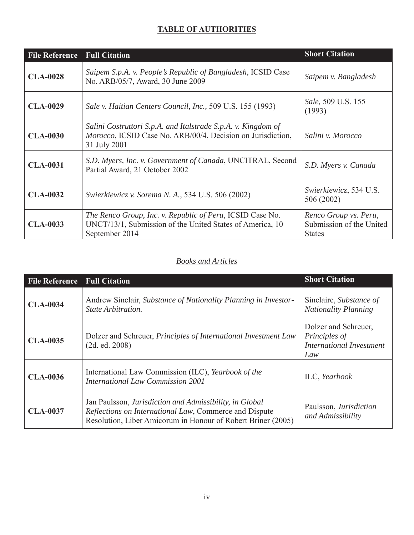## **TABLE OF AUTHORITIES**

| <b>File Reference</b> Full Citation |                                                                                                                                              | <b>Short Citation</b>                                              |
|-------------------------------------|----------------------------------------------------------------------------------------------------------------------------------------------|--------------------------------------------------------------------|
| <b>CLA-0028</b>                     | Saipem S.p.A. v. People's Republic of Bangladesh, ICSID Case<br>No. ARB/05/7, Award, 30 June 2009                                            | Saipem v. Bangladesh                                               |
| <b>CLA-0029</b>                     | Sale v. Haitian Centers Council, Inc., 509 U.S. 155 (1993)                                                                                   | <i>Sale,</i> 509 U.S. 155<br>(1993)                                |
| <b>CLA-0030</b>                     | Salini Costruttori S.p.A. and Italstrade S.p.A. v. Kingdom of<br>Morocco, ICSID Case No. ARB/00/4, Decision on Jurisdiction,<br>31 July 2001 | Salini v. Morocco                                                  |
| <b>CLA-0031</b>                     | S.D. Myers, Inc. v. Government of Canada, UNCITRAL, Second<br>Partial Award, 21 October 2002                                                 | S.D. Myers v. Canada                                               |
| <b>CLA-0032</b>                     | Swierkiewicz v. Sorema N. A., 534 U.S. 506 (2002)                                                                                            | Swierkiewicz, 534 U.S.<br>506 (2002)                               |
| <b>CLA-0033</b>                     | The Renco Group, Inc. v. Republic of Peru, ICSID Case No.<br>UNCT/13/1, Submission of the United States of America, 10<br>September 2014     | Renco Group vs. Peru,<br>Submission of the United<br><b>States</b> |

## *Books and Articles*

| <b>File Reference</b> Full Citation |                                                                                                                                                                                   | <b>Short Citation</b>                                                           |
|-------------------------------------|-----------------------------------------------------------------------------------------------------------------------------------------------------------------------------------|---------------------------------------------------------------------------------|
| <b>CLA-0034</b>                     | Andrew Sinclair, Substance of Nationality Planning in Investor-<br>State Arbitration.                                                                                             | Sinclaire, Substance of<br><b>Nationality Planning</b>                          |
| <b>CLA-0035</b>                     | Dolzer and Schreuer, <i>Principles of International Investment Law</i><br>(2d. ed. 2008)                                                                                          | Dolzer and Schreuer,<br>Principles of<br><b>International Investment</b><br>Law |
| <b>CLA-0036</b>                     | International Law Commission (ILC), Yearbook of the<br>International Law Commission 2001                                                                                          | ILC, Yearbook                                                                   |
| <b>CLA-0037</b>                     | Jan Paulsson, Jurisdiction and Admissibility, in Global<br>Reflections on International Law, Commerce and Dispute<br>Resolution, Liber Amicorum in Honour of Robert Briner (2005) | Paulsson, <i>Jurisdiction</i><br>and Admissibility                              |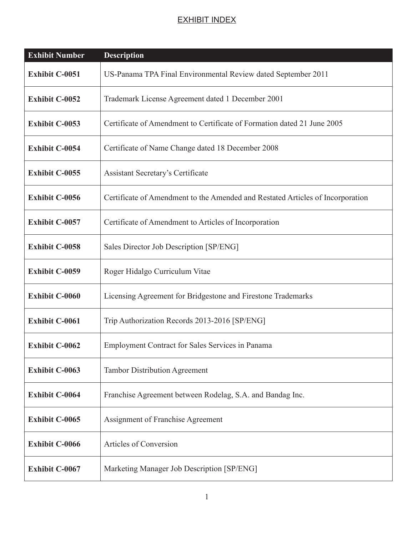| <b>Exhibit Number</b> | <b>Description</b>                                                             |
|-----------------------|--------------------------------------------------------------------------------|
| <b>Exhibit C-0051</b> | US-Panama TPA Final Environmental Review dated September 2011                  |
| <b>Exhibit C-0052</b> | Trademark License Agreement dated 1 December 2001                              |
| <b>Exhibit C-0053</b> | Certificate of Amendment to Certificate of Formation dated 21 June 2005        |
| <b>Exhibit C-0054</b> | Certificate of Name Change dated 18 December 2008                              |
| <b>Exhibit C-0055</b> | Assistant Secretary's Certificate                                              |
| <b>Exhibit C-0056</b> | Certificate of Amendment to the Amended and Restated Articles of Incorporation |
| <b>Exhibit C-0057</b> | Certificate of Amendment to Articles of Incorporation                          |
| <b>Exhibit C-0058</b> | Sales Director Job Description [SP/ENG]                                        |
| <b>Exhibit C-0059</b> | Roger Hidalgo Curriculum Vitae                                                 |
| <b>Exhibit C-0060</b> | Licensing Agreement for Bridgestone and Firestone Trademarks                   |
| <b>Exhibit C-0061</b> | Trip Authorization Records 2013-2016 [SP/ENG]                                  |
| <b>Exhibit C-0062</b> | <b>Employment Contract for Sales Services in Panama</b>                        |
| <b>Exhibit C-0063</b> | <b>Tambor Distribution Agreement</b>                                           |
| <b>Exhibit C-0064</b> | Franchise Agreement between Rodelag, S.A. and Bandag Inc.                      |
| <b>Exhibit C-0065</b> | Assignment of Franchise Agreement                                              |
| Exhibit C-0066        | Articles of Conversion                                                         |
| Exhibit C-0067        | Marketing Manager Job Description [SP/ENG]                                     |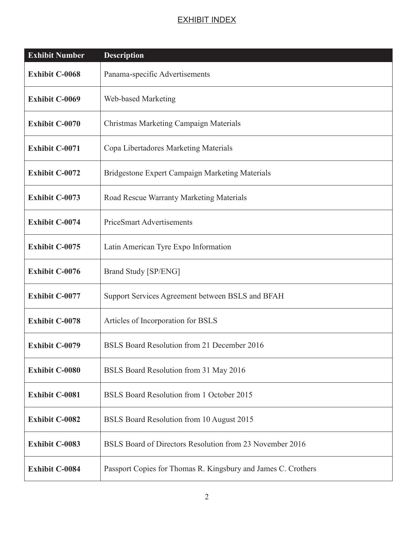| <b>Exhibit Number</b> | <b>Description</b>                                            |
|-----------------------|---------------------------------------------------------------|
| <b>Exhibit C-0068</b> | Panama-specific Advertisements                                |
| <b>Exhibit C-0069</b> | Web-based Marketing                                           |
| <b>Exhibit C-0070</b> | Christmas Marketing Campaign Materials                        |
| <b>Exhibit C-0071</b> | Copa Libertadores Marketing Materials                         |
| <b>Exhibit C-0072</b> | Bridgestone Expert Campaign Marketing Materials               |
| <b>Exhibit C-0073</b> | Road Rescue Warranty Marketing Materials                      |
| <b>Exhibit C-0074</b> | <b>PriceSmart Advertisements</b>                              |
| <b>Exhibit C-0075</b> | Latin American Tyre Expo Information                          |
| <b>Exhibit C-0076</b> | <b>Brand Study [SP/ENG]</b>                                   |
| <b>Exhibit C-0077</b> | Support Services Agreement between BSLS and BFAH              |
| <b>Exhibit C-0078</b> | Articles of Incorporation for BSLS                            |
| <b>Exhibit C-0079</b> | BSLS Board Resolution from 21 December 2016                   |
| <b>Exhibit C-0080</b> | BSLS Board Resolution from 31 May 2016                        |
| <b>Exhibit C-0081</b> | BSLS Board Resolution from 1 October 2015                     |
| <b>Exhibit C-0082</b> | BSLS Board Resolution from 10 August 2015                     |
| <b>Exhibit C-0083</b> | BSLS Board of Directors Resolution from 23 November 2016      |
| Exhibit C-0084        | Passport Copies for Thomas R. Kingsbury and James C. Crothers |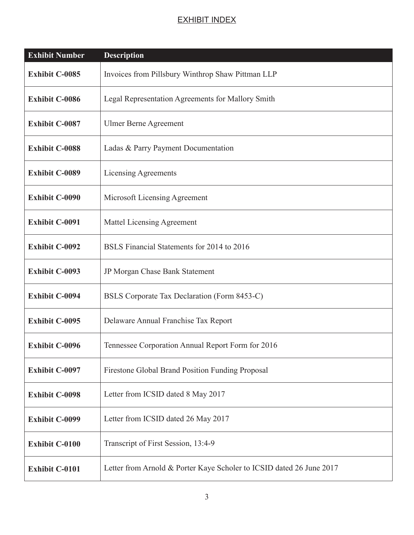| <b>Exhibit Number</b> | <b>Description</b>                                                   |
|-----------------------|----------------------------------------------------------------------|
| <b>Exhibit C-0085</b> | Invoices from Pillsbury Winthrop Shaw Pittman LLP                    |
| <b>Exhibit C-0086</b> | Legal Representation Agreements for Mallory Smith                    |
| <b>Exhibit C-0087</b> | <b>Ulmer Berne Agreement</b>                                         |
| <b>Exhibit C-0088</b> | Ladas & Parry Payment Documentation                                  |
| <b>Exhibit C-0089</b> | Licensing Agreements                                                 |
| <b>Exhibit C-0090</b> | Microsoft Licensing Agreement                                        |
| <b>Exhibit C-0091</b> | <b>Mattel Licensing Agreement</b>                                    |
| <b>Exhibit C-0092</b> | BSLS Financial Statements for 2014 to 2016                           |
| <b>Exhibit C-0093</b> | JP Morgan Chase Bank Statement                                       |
| <b>Exhibit C-0094</b> | BSLS Corporate Tax Declaration (Form 8453-C)                         |
| <b>Exhibit C-0095</b> | Delaware Annual Franchise Tax Report                                 |
| <b>Exhibit C-0096</b> | Tennessee Corporation Annual Report Form for 2016                    |
| <b>Exhibit C-0097</b> | Firestone Global Brand Position Funding Proposal                     |
| <b>Exhibit C-0098</b> | Letter from ICSID dated 8 May 2017                                   |
| <b>Exhibit C-0099</b> | Letter from ICSID dated 26 May 2017                                  |
| <b>Exhibit C-0100</b> | Transcript of First Session, 13:4-9                                  |
| <b>Exhibit C-0101</b> | Letter from Arnold & Porter Kaye Scholer to ICSID dated 26 June 2017 |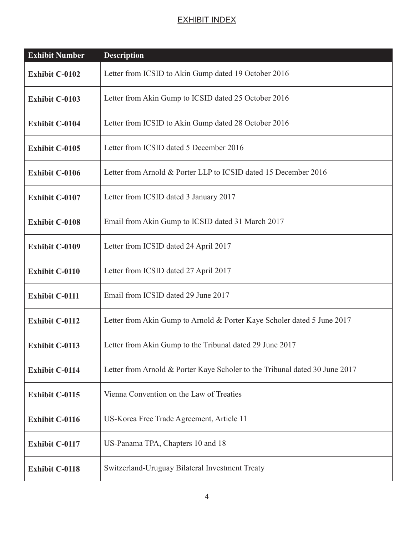| <b>Exhibit Number</b> | <b>Description</b>                                                          |
|-----------------------|-----------------------------------------------------------------------------|
| <b>Exhibit C-0102</b> | Letter from ICSID to Akin Gump dated 19 October 2016                        |
| <b>Exhibit C-0103</b> | Letter from Akin Gump to ICSID dated 25 October 2016                        |
| <b>Exhibit C-0104</b> | Letter from ICSID to Akin Gump dated 28 October 2016                        |
| <b>Exhibit C-0105</b> | Letter from ICSID dated 5 December 2016                                     |
| <b>Exhibit C-0106</b> | Letter from Arnold & Porter LLP to ICSID dated 15 December 2016             |
| <b>Exhibit C-0107</b> | Letter from ICSID dated 3 January 2017                                      |
| <b>Exhibit C-0108</b> | Email from Akin Gump to ICSID dated 31 March 2017                           |
| <b>Exhibit C-0109</b> | Letter from ICSID dated 24 April 2017                                       |
| <b>Exhibit C-0110</b> | Letter from ICSID dated 27 April 2017                                       |
| <b>Exhibit C-0111</b> | Email from ICSID dated 29 June 2017                                         |
| <b>Exhibit C-0112</b> | Letter from Akin Gump to Arnold & Porter Kaye Scholer dated 5 June 2017     |
| <b>Exhibit C-0113</b> | Letter from Akin Gump to the Tribunal dated 29 June 2017                    |
| <b>Exhibit C-0114</b> | Letter from Arnold & Porter Kaye Scholer to the Tribunal dated 30 June 2017 |
| <b>Exhibit C-0115</b> | Vienna Convention on the Law of Treaties                                    |
| <b>Exhibit C-0116</b> | US-Korea Free Trade Agreement, Article 11                                   |
| <b>Exhibit C-0117</b> | US-Panama TPA, Chapters 10 and 18                                           |
| <b>Exhibit C-0118</b> | Switzerland-Uruguay Bilateral Investment Treaty                             |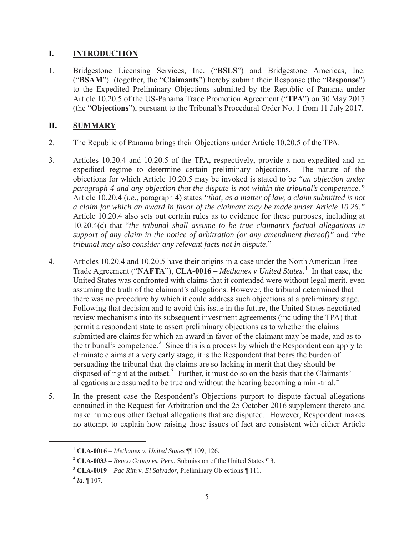### **I. INTRODUCTION**

1. Bridgestone Licensing Services, Inc. ("**BSLS**") and Bridgestone Americas, Inc. ("**BSAM**") (together, the "**Claimants**") hereby submit their Response (the "**Response**") to the Expedited Preliminary Objections submitted by the Republic of Panama under Article 10.20.5 of the US-Panama Trade Promotion Agreement ("**TPA**") on 30 May 2017 (the "**Objections**"), pursuant to the Tribunal's Procedural Order No. 1 from 11 July 2017.

## **II. SUMMARY**

- 2. The Republic of Panama brings their Objections under Article 10.20.5 of the TPA.
- 3. Articles 10.20.4 and 10.20.5 of the TPA, respectively, provide a non-expedited and an expedited regime to determine certain preliminary objections. The nature of the objections for which Article 10.20.5 may be invoked is stated to be *"an objection under paragraph 4 and any objection that the dispute is not within the tribunal's competence."* Article 10.20.4 (*i.e.*, paragraph 4) states *"that, as a matter of law, a claim submitted is not a claim for which an award in favor of the claimant may be made under Article 10.26."* Article 10.20.4 also sets out certain rules as to evidence for these purposes, including at 10.20.4(c) that "*the tribunal shall assume to be true claimant's factual allegations in support of any claim in the notice of arbitration (or any amendment thereof)"* and "*the tribunal may also consider any relevant facts not in dispute*."
- 4. Articles 10.20.4 and 10.20.5 have their origins in a case under the North American Free Trade Agreement ("**NAFTA**"), **CLA-0016 –** *Methanex v United States*. <sup>1</sup> In that case, the United States was confronted with claims that it contended were without legal merit, even assuming the truth of the claimant's allegations. However, the tribunal determined that there was no procedure by which it could address such objections at a preliminary stage. Following that decision and to avoid this issue in the future, the United States negotiated review mechanisms into its subsequent investment agreements (including the TPA) that permit a respondent state to assert preliminary objections as to whether the claims submitted are claims for which an award in favor of the claimant may be made, and as to the tribunal's competence.<sup>2</sup> Since this is a process by which the Respondent can apply to eliminate claims at a very early stage, it is the Respondent that bears the burden of persuading the tribunal that the claims are so lacking in merit that they should be disposed of right at the outset.<sup>3</sup> Further, it must do so on the basis that the Claimants' allegations are assumed to be true and without the hearing becoming a mini-trial. $4$
- 5. In the present case the Respondent's Objections purport to dispute factual allegations contained in the Request for Arbitration and the 25 October 2016 supplement thereto and make numerous other factual allegations that are disputed. However, Respondent makes no attempt to explain how raising those issues of fact are consistent with either Article

<sup>1</sup> **CLA-0016** – *Methanex v. United States* ¶¶ 109, 126.

<sup>2</sup> **CLA-0033 –** *Renco Group vs. Peru*, Submission of the United States ¶ 3.

<sup>3</sup> **CLA-0019** – *Pac Rim v. El Salvador*, Preliminary Objections ¶ 111.

 $^{4}$  *Id.*  $\P$  107.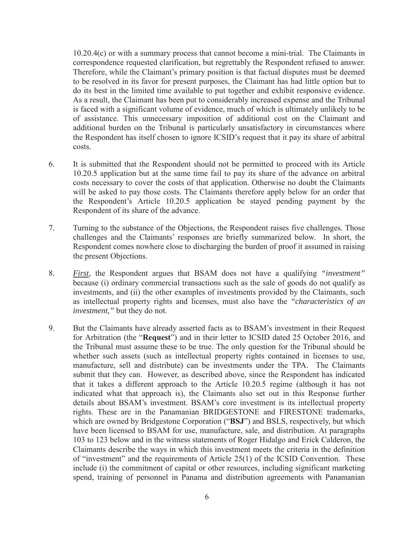10.20.4(c) or with a summary process that cannot become a mini-trial. The Claimants in correspondence requested clarification, but regrettably the Respondent refused to answer. Therefore, while the Claimant's primary position is that factual disputes must be deemed to be resolved in its favor for present purposes, the Claimant has had little option but to do its best in the limited time available to put together and exhibit responsive evidence. As a result, the Claimant has been put to considerably increased expense and the Tribunal is faced with a significant volume of evidence, much of which is ultimately unlikely to be of assistance. This unnecessary imposition of additional cost on the Claimant and additional burden on the Tribunal is particularly unsatisfactory in circumstances where the Respondent has itself chosen to ignore ICSID's request that it pay its share of arbitral costs.

- 6. It is submitted that the Respondent should not be permitted to proceed with its Article 10.20.5 application but at the same time fail to pay its share of the advance on arbitral costs necessary to cover the costs of that application. Otherwise no doubt the Claimants will be asked to pay those costs. The Claimants therefore apply below for an order that the Respondent's Article 10.20.5 application be stayed pending payment by the Respondent of its share of the advance.
- 7. Turning to the substance of the Objections, the Respondent raises five challenges. Those challenges and the Claimants' responses are briefly summarized below. In short, the Respondent comes nowhere close to discharging the burden of proof it assumed in raising the present Objections.
- 8. *First*, the Respondent argues that BSAM does not have a qualifying *"investment"* because (i) ordinary commercial transactions such as the sale of goods do not qualify as investments, and (ii) the other examples of investments provided by the Claimants, such as intellectual property rights and licenses, must also have the *"characteristics of an investment,"* but they do not.
- 9. But the Claimants have already asserted facts as to BSAM's investment in their Request for Arbitration (the "**Request**") and in their letter to ICSID dated 25 October 2016, and the Tribunal must assume these to be true. The only question for the Tribunal should be whether such assets (such as intellectual property rights contained in licenses to use, manufacture, sell and distribute) can be investments under the TPA. The Claimants submit that they can. However, as described above, since the Respondent has indicated that it takes a different approach to the Article 10.20.5 regime (although it has not indicated what that approach is), the Claimants also set out in this Response further details about BSAM's investment. BSAM's core investment is its intellectual property rights. These are in the Panamanian BRIDGESTONE and FIRESTONE trademarks, which are owned by Bridgestone Corporation ("**BSJ**") and BSLS, respectively, but which have been licensed to BSAM for use, manufacture, sale, and distribution. At paragraphs 103 to 123 below and in the witness statements of Roger Hidalgo and Erick Calderon, the Claimants describe the ways in which this investment meets the criteria in the definition of "investment" and the requirements of Article 25(1) of the ICSID Convention. These include (i) the commitment of capital or other resources, including significant marketing spend, training of personnel in Panama and distribution agreements with Panamanian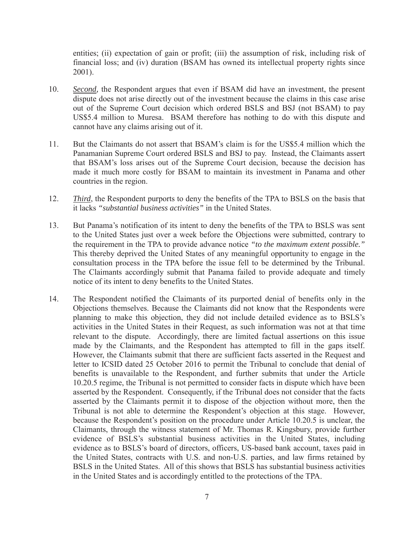entities; (ii) expectation of gain or profit; (iii) the assumption of risk, including risk of financial loss; and (iv) duration (BSAM has owned its intellectual property rights since 2001).

- 10. *Second,* the Respondent argues that even if BSAM did have an investment, the present dispute does not arise directly out of the investment because the claims in this case arise out of the Supreme Court decision which ordered BSLS and BSJ (not BSAM) to pay US\$5.4 million to Muresa. BSAM therefore has nothing to do with this dispute and cannot have any claims arising out of it.
- 11. But the Claimants do not assert that BSAM's claim is for the US\$5.4 million which the Panamanian Supreme Court ordered BSLS and BSJ to pay. Instead, the Claimants assert that BSAM's loss arises out of the Supreme Court decision, because the decision has made it much more costly for BSAM to maintain its investment in Panama and other countries in the region.
- 12. *Third*, the Respondent purports to deny the benefits of the TPA to BSLS on the basis that it lacks *"substantial business activities"* in the United States.
- 13. But Panama's notification of its intent to deny the benefits of the TPA to BSLS was sent to the United States just over a week before the Objections were submitted, contrary to the requirement in the TPA to provide advance notice *"to the maximum extent possible."* This thereby deprived the United States of any meaningful opportunity to engage in the consultation process in the TPA before the issue fell to be determined by the Tribunal. The Claimants accordingly submit that Panama failed to provide adequate and timely notice of its intent to deny benefits to the United States.
- 14. The Respondent notified the Claimants of its purported denial of benefits only in the Objections themselves. Because the Claimants did not know that the Respondents were planning to make this objection, they did not include detailed evidence as to BSLS's activities in the United States in their Request, as such information was not at that time relevant to the dispute. Accordingly, there are limited factual assertions on this issue made by the Claimants, and the Respondent has attempted to fill in the gaps itself. However, the Claimants submit that there are sufficient facts asserted in the Request and letter to ICSID dated 25 October 2016 to permit the Tribunal to conclude that denial of benefits is unavailable to the Respondent, and further submits that under the Article 10.20.5 regime, the Tribunal is not permitted to consider facts in dispute which have been asserted by the Respondent. Consequently, if the Tribunal does not consider that the facts asserted by the Claimants permit it to dispose of the objection without more, then the Tribunal is not able to determine the Respondent's objection at this stage. However, because the Respondent's position on the procedure under Article 10.20.5 is unclear, the Claimants, through the witness statement of Mr. Thomas R. Kingsbury, provide further evidence of BSLS's substantial business activities in the United States, including evidence as to BSLS's board of directors, officers, US-based bank account, taxes paid in the United States, contracts with U.S. and non-U.S. parties, and law firms retained by BSLS in the United States. All of this shows that BSLS has substantial business activities in the United States and is accordingly entitled to the protections of the TPA.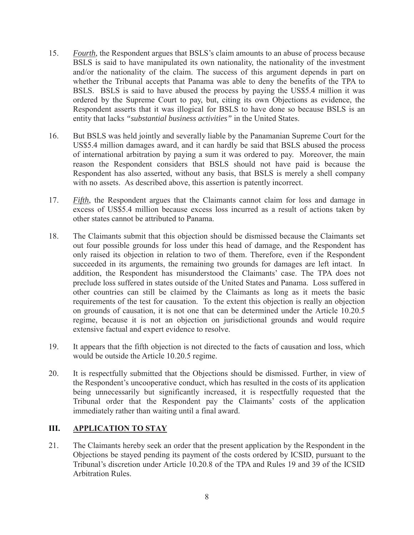- 15. *Fourth*, the Respondent argues that BSLS's claim amounts to an abuse of process because BSLS is said to have manipulated its own nationality, the nationality of the investment and/or the nationality of the claim. The success of this argument depends in part on whether the Tribunal accepts that Panama was able to deny the benefits of the TPA to BSLS. BSLS is said to have abused the process by paying the US\$5.4 million it was ordered by the Supreme Court to pay, but, citing its own Objections as evidence, the Respondent asserts that it was illogical for BSLS to have done so because BSLS is an entity that lacks *"substantial business activities"* in the United States.
- 16. But BSLS was held jointly and severally liable by the Panamanian Supreme Court for the US\$5.4 million damages award, and it can hardly be said that BSLS abused the process of international arbitration by paying a sum it was ordered to pay. Moreover, the main reason the Respondent considers that BSLS should not have paid is because the Respondent has also asserted, without any basis, that BSLS is merely a shell company with no assets. As described above, this assertion is patently incorrect.
- 17. *Fifth*, the Respondent argues that the Claimants cannot claim for loss and damage in excess of US\$5.4 million because excess loss incurred as a result of actions taken by other states cannot be attributed to Panama.
- 18. The Claimants submit that this objection should be dismissed because the Claimants set out four possible grounds for loss under this head of damage, and the Respondent has only raised its objection in relation to two of them. Therefore, even if the Respondent succeeded in its arguments, the remaining two grounds for damages are left intact. In addition, the Respondent has misunderstood the Claimants' case. The TPA does not preclude loss suffered in states outside of the United States and Panama. Loss suffered in other countries can still be claimed by the Claimants as long as it meets the basic requirements of the test for causation. To the extent this objection is really an objection on grounds of causation, it is not one that can be determined under the Article 10.20.5 regime, because it is not an objection on jurisdictional grounds and would require extensive factual and expert evidence to resolve.
- 19. It appears that the fifth objection is not directed to the facts of causation and loss, which would be outside the Article 10.20.5 regime.
- 20. It is respectfully submitted that the Objections should be dismissed. Further, in view of the Respondent's uncooperative conduct, which has resulted in the costs of its application being unnecessarily but significantly increased, it is respectfully requested that the Tribunal order that the Respondent pay the Claimants' costs of the application immediately rather than waiting until a final award.

#### **III. APPLICATION TO STAY**

21. The Claimants hereby seek an order that the present application by the Respondent in the Objections be stayed pending its payment of the costs ordered by ICSID, pursuant to the Tribunal's discretion under Article 10.20.8 of the TPA and Rules 19 and 39 of the ICSID Arbitration Rules.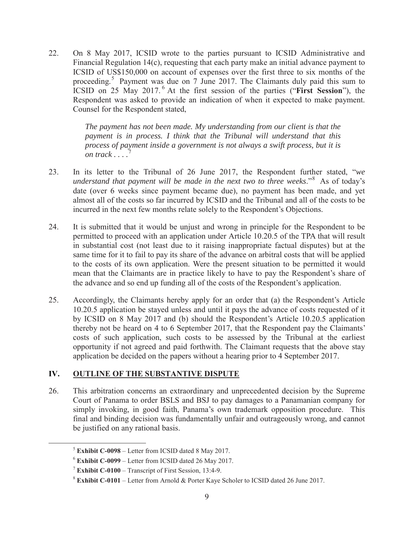22. On 8 May 2017, ICSID wrote to the parties pursuant to ICSID Administrative and Financial Regulation 14(c), requesting that each party make an initial advance payment to ICSID of US\$150,000 on account of expenses over the first three to six months of the proceeding.<sup>5</sup> Payment was due on 7 June 2017. The Claimants duly paid this sum to ICSID on 25 May 2017. <sup>6</sup> At the first session of the parties ("**First Session**"), the Respondent was asked to provide an indication of when it expected to make payment. Counsel for the Respondent stated,

> *The payment has not been made. My understanding from our client is that the payment is in process. I think that the Tribunal will understand that this process of payment inside a government is not always a swift process, but it is on track . . . .*<sup>7</sup>

- 23. In its letter to the Tribunal of 26 June 2017, the Respondent further stated, "*we understand that payment will be made in the next two to three weeks*."<sup>8</sup> As of today's date (over 6 weeks since payment became due), no payment has been made, and yet almost all of the costs so far incurred by ICSID and the Tribunal and all of the costs to be incurred in the next few months relate solely to the Respondent's Objections.
- 24. It is submitted that it would be unjust and wrong in principle for the Respondent to be permitted to proceed with an application under Article 10.20.5 of the TPA that will result in substantial cost (not least due to it raising inappropriate factual disputes) but at the same time for it to fail to pay its share of the advance on arbitral costs that will be applied to the costs of its own application. Were the present situation to be permitted it would mean that the Claimants are in practice likely to have to pay the Respondent's share of the advance and so end up funding all of the costs of the Respondent's application.
- 25. Accordingly, the Claimants hereby apply for an order that (a) the Respondent's Article 10.20.5 application be stayed unless and until it pays the advance of costs requested of it by ICSID on 8 May 2017 and (b) should the Respondent's Article 10.20.5 application thereby not be heard on 4 to 6 September 2017, that the Respondent pay the Claimants' costs of such application, such costs to be assessed by the Tribunal at the earliest opportunity if not agreed and paid forthwith. The Claimant requests that the above stay application be decided on the papers without a hearing prior to 4 September 2017.

#### **IV. OUTLINE OF THE SUBSTANTIVE DISPUTE**

26. This arbitration concerns an extraordinary and unprecedented decision by the Supreme Court of Panama to order BSLS and BSJ to pay damages to a Panamanian company for simply invoking, in good faith, Panama's own trademark opposition procedure. This final and binding decision was fundamentally unfair and outrageously wrong, and cannot be justified on any rational basis.

<sup>5</sup> **Exhibit C-0098** – Letter from ICSID dated 8 May 2017.

<sup>6</sup> **Exhibit C-0099** – Letter from ICSID dated 26 May 2017.

<sup>&</sup>lt;sup>7</sup> **Exhibit C-0100** – Transcript of First Session, 13:4-9.

<sup>8</sup> **Exhibit C-0101** – Letter from Arnold & Porter Kaye Scholer to ICSID dated 26 June 2017.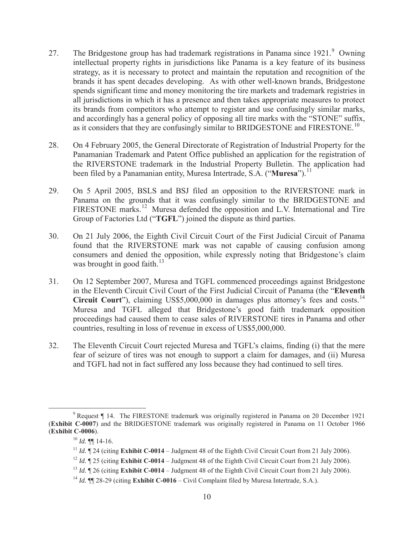- 27. The Bridgestone group has had trademark registrations in Panama since  $1921<sup>9</sup>$  Owning intellectual property rights in jurisdictions like Panama is a key feature of its business strategy, as it is necessary to protect and maintain the reputation and recognition of the brands it has spent decades developing. As with other well-known brands, Bridgestone spends significant time and money monitoring the tire markets and trademark registries in all jurisdictions in which it has a presence and then takes appropriate measures to protect its brands from competitors who attempt to register and use confusingly similar marks, and accordingly has a general policy of opposing all tire marks with the "STONE" suffix, as it considers that they are confusingly similar to BRIDGESTONE and FIRESTONE.<sup>10</sup>
- 28. On 4 February 2005, the General Directorate of Registration of Industrial Property for the Panamanian Trademark and Patent Office published an application for the registration of the RIVERSTONE trademark in the Industrial Property Bulletin. The application had been filed by a Panamanian entity, Muresa Intertrade, S.A. ("Muresa").<sup>11</sup>
- 29. On 5 April 2005, BSLS and BSJ filed an opposition to the RIVERSTONE mark in Panama on the grounds that it was confusingly similar to the BRIDGESTONE and FIRESTONE marks.<sup>12</sup> Muresa defended the opposition and L.V. International and Tire Group of Factories Ltd ("**TGFL**") joined the dispute as third parties.
- 30. On 21 July 2006, the Eighth Civil Circuit Court of the First Judicial Circuit of Panama found that the RIVERSTONE mark was not capable of causing confusion among consumers and denied the opposition, while expressly noting that Bridgestone's claim was brought in good faith.<sup>13</sup>
- 31. On 12 September 2007, Muresa and TGFL commenced proceedings against Bridgestone in the Eleventh Circuit Civil Court of the First Judicial Circuit of Panama (the "**Eleventh Circuit Court**"), claiming US\$5,000,000 in damages plus attorney's fees and costs.<sup>14</sup> Muresa and TGFL alleged that Bridgestone's good faith trademark opposition proceedings had caused them to cease sales of RIVERSTONE tires in Panama and other countries, resulting in loss of revenue in excess of US\$5,000,000.
- 32. The Eleventh Circuit Court rejected Muresa and TGFL's claims, finding (i) that the mere fear of seizure of tires was not enough to support a claim for damages, and (ii) Muresa and TGFL had not in fact suffered any loss because they had continued to sell tires.

<sup>9</sup> Request ¶ 14. The FIRESTONE trademark was originally registered in Panama on 20 December 1921 (**Exhibit C-0007**) and the BRIDGESTONE trademark was originally registered in Panama on 11 October 1966 (**Exhibit C-0006**).

 $^{10}$  *Id.* **¶** 14-16.

<sup>&</sup>lt;sup>11</sup> *Id.*  $\P$  24 (citing **Exhibit C-0014** – Judgment 48 of the Eighth Civil Circuit Court from 21 July 2006).

<sup>&</sup>lt;sup>12</sup> *Id.*  $\llbracket$  25 (citing **Exhibit C-0014** – Judgment 48 of the Eighth Civil Circuit Court from 21 July 2006).

<sup>&</sup>lt;sup>13</sup> *Id.*  $\sqrt{26}$  (citing **Exhibit C-0014** – Judgment 48 of the Eighth Civil Circuit Court from 21 July 2006).

<sup>&</sup>lt;sup>14</sup> *Id.* **¶** 28-29 (citing **Exhibit C-0016** – Civil Complaint filed by Muresa Intertrade, S.A.).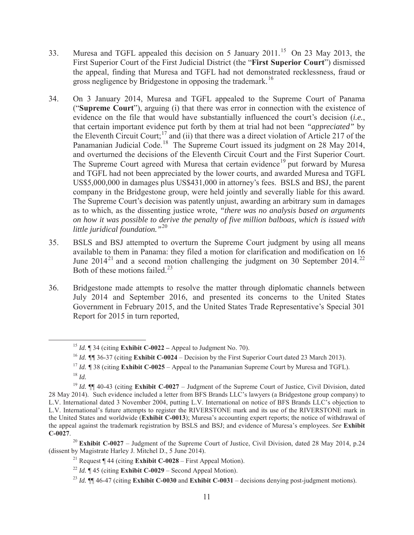- 33. Muresa and TGFL appealed this decision on 5 January 2011.<sup>15</sup> On 23 May 2013, the First Superior Court of the First Judicial District (the "**First Superior Court**") dismissed the appeal, finding that Muresa and TGFL had not demonstrated recklessness, fraud or gross negligence by Bridgestone in opposing the trademark.<sup>16</sup>
- 34. On 3 January 2014, Muresa and TGFL appealed to the Supreme Court of Panama ("**Supreme Court**"), arguing (i) that there was error in connection with the existence of evidence on the file that would have substantially influenced the court's decision (*i.e.*, that certain important evidence put forth by them at trial had not been *"appreciated"* by the Eleventh Circuit Court;<sup>17</sup> and (ii) that there was a direct violation of Article 217 of the Panamanian Judicial Code.<sup>18</sup> The Supreme Court issued its judgment on 28 May 2014, and overturned the decisions of the Eleventh Circuit Court and the First Superior Court. The Supreme Court agreed with Muresa that certain evidence<sup>19</sup> put forward by Muresa and TGFL had not been appreciated by the lower courts, and awarded Muresa and TGFL US\$5,000,000 in damages plus US\$431,000 in attorney's fees. BSLS and BSJ, the parent company in the Bridgestone group, were held jointly and severally liable for this award. The Supreme Court's decision was patently unjust, awarding an arbitrary sum in damages as to which, as the dissenting justice wrote, *"there was no analysis based on arguments on how it was possible to derive the penalty of five million balboas, which is issued with little juridical foundation."*<sup>20</sup>
- 35. BSLS and BSJ attempted to overturn the Supreme Court judgment by using all means available to them in Panama: they filed a motion for clarification and modification on 16 June  $2014^{21}$  and a second motion challenging the judgment on 30 September 2014.<sup>22</sup> Both of these motions failed. $^{23}$
- 36. Bridgestone made attempts to resolve the matter through diplomatic channels between July 2014 and September 2016, and presented its concerns to the United States Government in February 2015, and the United States Trade Representative's Special 301 Report for 2015 in turn reported,

<sup>15</sup> *Id.* ¶ 34 (citing **Exhibit C-0022 –** Appeal to Judgment No. 70).

<sup>16</sup> *Id. ¶¶* 36-37 (citing **Exhibit C-0024** – Decision by the First Superior Court dated 23 March 2013).

<sup>17</sup> *Id. ¶* 38 (citing **Exhibit C-0025** – Appeal to the Panamanian Supreme Court by Muresa and TGFL). <sup>18</sup> *Id.*

<sup>19</sup> *Id.* ¶¶ 40-43 (citing **Exhibit C-0027** – Judgment of the Supreme Court of Justice, Civil Division, dated 28 May 2014). Such evidence included a letter from BFS Brands LLC's lawyers (a Bridgestone group company) to L.V. International dated 3 November 2004, putting L.V. International on notice of BFS Brands LLC's objection to L.V. International's future attempts to register the RIVERSTONE mark and its use of the RIVERSTONE mark in the United States and worldwide (**Exhibit C-0013**); Muresa's accounting expert reports; the notice of withdrawal of the appeal against the trademark registration by BSLS and BSJ; and evidence of Muresa's employees. *See* **Exhibit C-0027**.

<sup>20</sup> **Exhibit C-0027** – Judgment of the Supreme Court of Justice, Civil Division, dated 28 May 2014, p.24 (dissent by Magistrate Harley J. Mitchel D., 5 June 2014).

<sup>21</sup> Request ¶ 44 (citing **Exhibit C-0028** – First Appeal Motion).

<sup>&</sup>lt;sup>22</sup> *Id.*  $\P$  45 (citing **Exhibit C-0029** – Second Appeal Motion).

<sup>23</sup> *Id.* ¶¶ 46-47 (citing **Exhibit C-0030** and **Exhibit C-0031** – decisions denying post-judgment motions).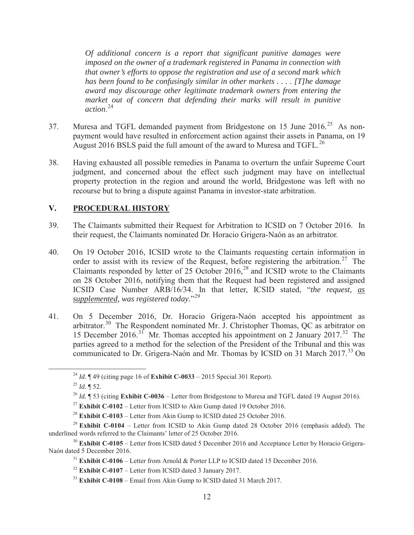*Of additional concern is a report that significant punitive damages were imposed on the owner of a trademark registered in Panama in connection with that owner's efforts to oppose the registration and use of a second mark which has been found to be confusingly similar in other markets . . . . [T]he damage award may discourage other legitimate trademark owners from entering the market out of concern that defending their marks will result in punitive action*. 24

- 37. Muresa and TGFL demanded payment from Bridgestone on 15 June 2016.<sup>25</sup> As nonpayment would have resulted in enforcement action against their assets in Panama, on 19 August 2016 BSLS paid the full amount of the award to Muresa and TGFL.<sup>26</sup>
- 38. Having exhausted all possible remedies in Panama to overturn the unfair Supreme Court judgment, and concerned about the effect such judgment may have on intellectual property protection in the region and around the world, Bridgestone was left with no recourse but to bring a dispute against Panama in investor-state arbitration.

### **V. PROCEDURAL HISTORY**

- 39. The Claimants submitted their Request for Arbitration to ICSID on 7 October 2016. In their request, the Claimants nominated Dr. Horacio Grigera-Naón as an arbitrator.
- 40. On 19 October 2016, ICSID wrote to the Claimants requesting certain information in order to assist with its review of the Request, before registering the arbitration.<sup>27</sup> The Claimants responded by letter of 25 October 2016,<sup>28</sup> and ICSID wrote to the Claimants on 28 October 2016, notifying them that the Request had been registered and assigned ICSID Case Number ARB/16/34. In that letter, ICSID stated, "*the request, as supplemented, was registered today.*"<sup>29</sup>
- 41. On 5 December 2016, Dr. Horacio Grigera-Naón accepted his appointment as arbitrator.<sup>30</sup> The Respondent nominated Mr. J. Christopher Thomas, QC as arbitrator on 15 December 2016.<sup>31</sup> Mr. Thomas accepted his appointment on 2 January 2017.<sup>32</sup> The parties agreed to a method for the selection of the President of the Tribunal and this was communicated to Dr. Grigera-Naón and Mr. Thomas by ICSID on 31 March 2017.<sup>33</sup> On

<sup>&</sup>lt;sup>24</sup> *Id.*  $\P$  49 (citing page 16 of **Exhibit C-0033** – 2015 Special 301 Report).

 $^{25}$  *Id.*  $\text{I}$  52.

<sup>&</sup>lt;sup>26</sup> *Id.* **[53** (citing **Exhibit C-0036** – Letter from Bridgestone to Muresa and TGFL dated 19 August 2016).

<sup>&</sup>lt;sup>27</sup> **Exhibit C-0102** – Letter from ICSID to Akin Gump dated 19 October 2016.

<sup>&</sup>lt;sup>28</sup> Exhibit C-0103 – Letter from Akin Gump to ICSID dated 25 October 2016.

<sup>&</sup>lt;sup>29</sup> Exhibit C-0104 – Letter from ICSID to Akin Gump dated 28 October 2016 (emphasis added). The underlined words referred to the Claimants' letter of 25 October 2016.

<sup>&</sup>lt;sup>30</sup> Exhibit C-0105 – Letter from ICSID dated 5 December 2016 and Acceptance Letter by Horacio Grigera-Naón dated 5 December 2016.

<sup>&</sup>lt;sup>31</sup> Exhibit C-0106 – Letter from Arnold & Porter LLP to ICSID dated 15 December 2016.

<sup>32</sup> **Exhibit C-0107** – Letter from ICSID dated 3 January 2017.

<sup>33</sup> **Exhibit C-0108** – Email from Akin Gump to ICSID dated 31 March 2017.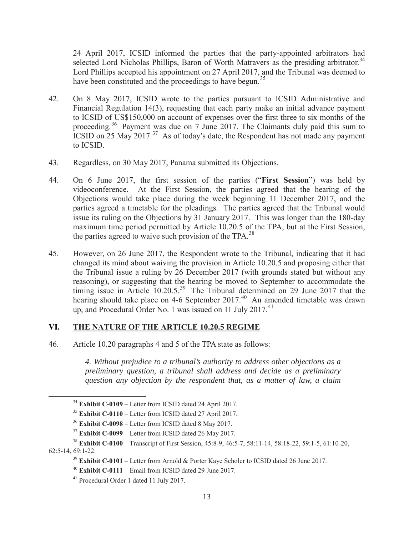24 April 2017, ICSID informed the parties that the party-appointed arbitrators had selected Lord Nicholas Phillips, Baron of Worth Matravers as the presiding arbitrator.<sup>34</sup> Lord Phillips accepted his appointment on 27 April 2017, and the Tribunal was deemed to have been constituted and the proceedings to have begun.<sup>35</sup>

- 42. On 8 May 2017, ICSID wrote to the parties pursuant to ICSID Administrative and Financial Regulation 14(3), requesting that each party make an initial advance payment to ICSID of US\$150,000 on account of expenses over the first three to six months of the proceeding.<sup>36</sup> Payment was due on 7 June 2017. The Claimants duly paid this sum to ICSID on  $25$  May 2017.<sup>37</sup> As of today's date, the Respondent has not made any payment to ICSID.
- 43. Regardless, on 30 May 2017, Panama submitted its Objections.
- 44. On 6 June 2017, the first session of the parties ("**First Session**") was held by videoconference. At the First Session, the parties agreed that the hearing of the Objections would take place during the week beginning 11 December 2017, and the parties agreed a timetable for the pleadings. The parties agreed that the Tribunal would issue its ruling on the Objections by 31 January 2017. This was longer than the 180-day maximum time period permitted by Article 10.20.5 of the TPA, but at the First Session, the parties agreed to waive such provision of the  $TPA<sup>38</sup>$
- 45. However, on 26 June 2017, the Respondent wrote to the Tribunal, indicating that it had changed its mind about waiving the provision in Article 10.20.5 and proposing either that the Tribunal issue a ruling by 26 December 2017 (with grounds stated but without any reasoning), or suggesting that the hearing be moved to September to accommodate the timing issue in Article  $10.20.5^{39}$  The Tribunal determined on 29 June 2017 that the hearing should take place on 4-6 September 2017.<sup>40</sup> An amended timetable was drawn up, and Procedural Order No. 1 was issued on 11 July 2017.<sup>41</sup>

#### **VI. THE NATURE OF THE ARTICLE 10.20.5 REGIME**

46. Article 10.20 paragraphs 4 and 5 of the TPA state as follows:

*4. Without prejudice to a tribunal's authority to address other objections as a preliminary question, a tribunal shall address and decide as a preliminary question any objection by the respondent that, as a matter of law, a claim* 

<sup>34</sup> **Exhibit C-0109** – Letter from ICSID dated 24 April 2017.

<sup>35</sup> **Exhibit C-0110** – Letter from ICSID dated 27 April 2017.

<sup>36</sup> **Exhibit C-0098** – Letter from ICSID dated 8 May 2017.

<sup>37</sup> **Exhibit C-0099** – Letter from ICSID dated 26 May 2017.

<sup>38</sup> **Exhibit C-0100** – Transcript of First Session, 45:8-9, 46:5-7, 58:11-14, 58:18-22, 59:1-5, 61:10-20, 62:5-14, 69:1-22.

<sup>39</sup> **Exhibit C-0101** – Letter from Arnold & Porter Kaye Scholer to ICSID dated 26 June 2017.

<sup>40</sup> **Exhibit C-0111** – Email from ICSID dated 29 June 2017.

<sup>41</sup> Procedural Order 1 dated 11 July 2017.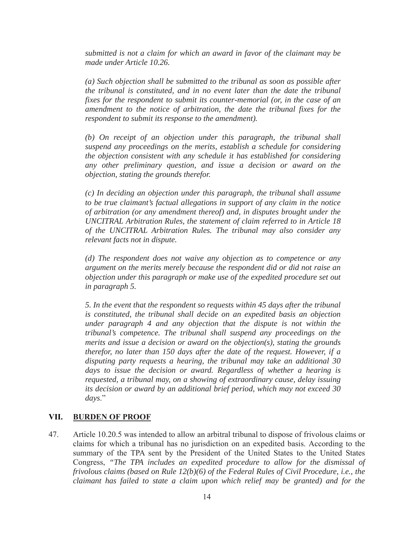*submitted is not a claim for which an award in favor of the claimant may be made under Article 10.26.*

*(a) Such objection shall be submitted to the tribunal as soon as possible after the tribunal is constituted, and in no event later than the date the tribunal fixes for the respondent to submit its counter-memorial (or, in the case of an amendment to the notice of arbitration, the date the tribunal fixes for the respondent to submit its response to the amendment).*

*(b) On receipt of an objection under this paragraph, the tribunal shall suspend any proceedings on the merits, establish a schedule for considering the objection consistent with any schedule it has established for considering any other preliminary question, and issue a decision or award on the objection, stating the grounds therefor.*

*(c) In deciding an objection under this paragraph, the tribunal shall assume to be true claimant's factual allegations in support of any claim in the notice of arbitration (or any amendment thereof) and, in disputes brought under the UNCITRAL Arbitration Rules, the statement of claim referred to in Article 18 of the UNCITRAL Arbitration Rules. The tribunal may also consider any relevant facts not in dispute.*

*(d) The respondent does not waive any objection as to competence or any argument on the merits merely because the respondent did or did not raise an objection under this paragraph or make use of the expedited procedure set out in paragraph 5.*

*5. In the event that the respondent so requests within 45 days after the tribunal is constituted, the tribunal shall decide on an expedited basis an objection under paragraph 4 and any objection that the dispute is not within the tribunal's competence. The tribunal shall suspend any proceedings on the merits and issue a decision or award on the objection(s), stating the grounds therefor, no later than 150 days after the date of the request. However, if a disputing party requests a hearing, the tribunal may take an additional 30 days to issue the decision or award. Regardless of whether a hearing is requested, a tribunal may, on a showing of extraordinary cause, delay issuing its decision or award by an additional brief period, which may not exceed 30 days*."

#### **VII. BURDEN OF PROOF**

47. Article 10.20.5 was intended to allow an arbitral tribunal to dispose of frivolous claims or claims for which a tribunal has no jurisdiction on an expedited basis. According to the summary of the TPA sent by the President of the United States to the United States Congress, *"The TPA includes an expedited procedure to allow for the dismissal of frivolous claims (based on Rule 12(b)(6) of the Federal Rules of Civil Procedure, i.e., the claimant has failed to state a claim upon which relief may be granted) and for the*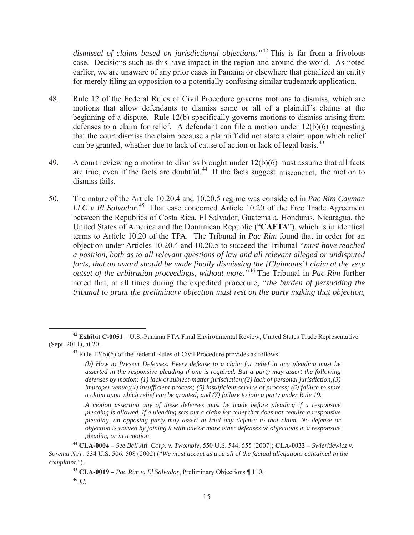*dismissal of claims based on jurisdictional objections."*<sup>42</sup> This is far from a frivolous case. Decisions such as this have impact in the region and around the world. As noted earlier, we are unaware of any prior cases in Panama or elsewhere that penalized an entity for merely filing an opposition to a potentially confusing similar trademark application.

- 48. Rule 12 of the Federal Rules of Civil Procedure governs motions to dismiss, which are motions that allow defendants to dismiss some or all of a plaintiff's claims at the beginning of a dispute. Rule 12(b) specifically governs motions to dismiss arising from defenses to a claim for relief. A defendant can file a motion under 12(b)(6) requesting that the court dismiss the claim because a plaintiff did not state a claim upon which relief can be granted, whether due to lack of cause of action or lack of legal basis.<sup>43</sup>
- 49. A court reviewing a motion to dismiss brought under 12(b)(6) must assume that all facts are true, even if the facts are doubtful.<sup>44</sup> If the facts suggest misconduct, the motion to dismiss fails.
- 50. The nature of the Article 10.20.4 and 10.20.5 regime was considered in *Pac Rim Cayman LLC v El Salvador.*<sup>45</sup> That case concerned Article 10.20 of the Free Trade Agreement between the Republics of Costa Rica, El Salvador, Guatemala, Honduras, Nicaragua, the United States of America and the Dominican Republic ("**CAFTA**"), which is in identical terms to Article 10.20 of the TPA. The Tribunal in *Pac Rim* found that in order for an objection under Articles 10.20.4 and 10.20.5 to succeed the Tribunal *"must have reached a position, both as to all relevant questions of law and all relevant alleged or undisputed facts, that an award should be made finally dismissing the [Claimants'] claim at the very outset of the arbitration proceedings, without more."*<sup>46</sup> The Tribunal in *Pac Rim* further noted that, at all times during the expedited procedure, *"the burden of persuading the tribunal to grant the preliminary objection must rest on the party making that objection,*

<sup>42</sup> **Exhibit C-0051** – U.S.-Panama FTA Final Environmental Review, United States Trade Representative (Sept. 2011), at 20.

 $43$  Rule 12(b)(6) of the Federal Rules of Civil Procedure provides as follows:

*<sup>(</sup>b) How to Present Defenses. Every defense to a claim for relief in any pleading must be asserted in the responsive pleading if one is required. But a party may assert the following defenses by motion: (1) lack of subject-matter jurisdiction;(2) lack of personal jurisdiction;(3) improper venue;(4) insufficient process; (5) insufficient service of process; (6) failure to state a claim upon which relief can be granted; and (7) failure to join a party under Rule 19.*

*A motion asserting any of these defenses must be made before pleading if a responsive pleading is allowed. If a pleading sets out a claim for relief that does not require a responsive pleading, an opposing party may assert at trial any defense to that claim. No defense or objection is waived by joining it with one or more other defenses or objections in a responsive pleading or in a motion*. 44 **CLA-0004 –** *See Bell Atl. Corp. v. Twombly*, 550 U.S. 544, 555 (2007); **CLA-0032 –** *Swierkiewicz v.* 

*Sorema N.A.*, 534 U.S. 506, 508 (2002) ("We must accept as true all of the factual allegations contained in the *complaint*.").

<sup>45</sup> **CLA-0019 –** *Pac Rim v. El Salvador*, Preliminary Objections ¶ 110. <sup>46</sup> *Id*.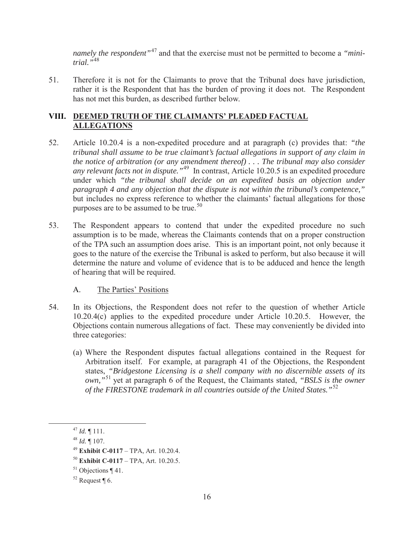*namely the respondent"*<sup>47</sup> and that the exercise must not be permitted to become a *"minitrial."*<sup>48</sup>

51. Therefore it is not for the Claimants to prove that the Tribunal does have jurisdiction, rather it is the Respondent that has the burden of proving it does not. The Respondent has not met this burden, as described further below.

### **VIII. DEEMED TRUTH OF THE CLAIMANTS' PLEADED FACTUAL ALLEGATIONS**

- 52. Article 10.20.4 is a non-expedited procedure and at paragraph (c) provides that: *"the tribunal shall assume to be true claimant's factual allegations in support of any claim in the notice of arbitration (or any amendment thereof) . . . The tribunal may also consider any relevant facts not in dispute."*<sup>49</sup> In contrast, Article 10.20.5 is an expedited procedure under which *"the tribunal shall decide on an expedited basis an objection under paragraph 4 and any objection that the dispute is not within the tribunal's competence,"* but includes no express reference to whether the claimants' factual allegations for those purposes are to be assumed to be true.<sup>50</sup>
- 53. The Respondent appears to contend that under the expedited procedure no such assumption is to be made, whereas the Claimants contends that on a proper construction of the TPA such an assumption does arise. This is an important point, not only because it goes to the nature of the exercise the Tribunal is asked to perform, but also because it will determine the nature and volume of evidence that is to be adduced and hence the length of hearing that will be required.

#### A. The Parties' Positions

- 54. In its Objections, the Respondent does not refer to the question of whether Article 10.20.4(c) applies to the expedited procedure under Article 10.20.5. However, the Objections contain numerous allegations of fact. These may conveniently be divided into three categories:
	- (a) Where the Respondent disputes factual allegations contained in the Request for Arbitration itself. For example, at paragraph 41 of the Objections, the Respondent states, *"Bridgestone Licensing is a shell company with no discernible assets of its own,"*<sup>51</sup> yet at paragraph 6 of the Request, the Claimants stated, *"BSLS is the owner of the FIRESTONE trademark in all countries outside of the United States."*<sup>52</sup>

<sup>47</sup> *Id.* ¶ 111.

<sup>48</sup> *Id.* ¶ 107.

<sup>49</sup> **Exhibit C-0117** – TPA, Art. 10.20.4.

<sup>50</sup> **Exhibit C-0117** – TPA, Art. 10.20.5.

 $51$  Objections ¶ 41.

 $52$  Request ¶ 6.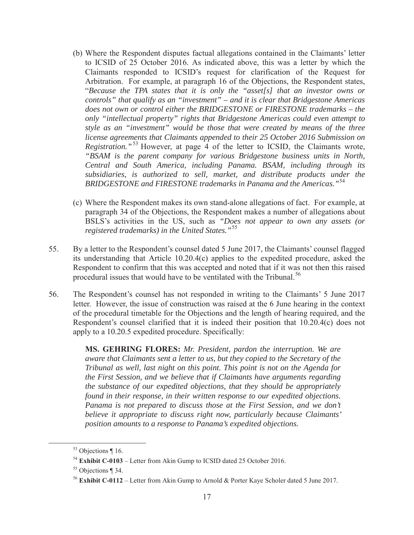- (b) Where the Respondent disputes factual allegations contained in the Claimants' letter to ICSID of 25 October 2016. As indicated above, this was a letter by which the Claimants responded to ICSID's request for clarification of the Request for Arbitration. For example, at paragraph 16 of the Objections, the Respondent states, "*Because the TPA states that it is only the "asset[s] that an investor owns or controls" that qualify as an "investment" – and it is clear that Bridgestone Americas does not own or control either the BRIDGESTONE or FIRESTONE trademarks – the only "intellectual property" rights that Bridgestone Americas could even attempt to style as an "investment" would be those that were created by means of the three license agreements that Claimants appended to their 25 October 2016 Submission on Registration."*<sup>53</sup> However, at page 4 of the letter to ICSID, the Claimants wrote, *"BSAM is the parent company for various Bridgestone business units in North, Central and South America, including Panama. BSAM, including through its subsidiaries, is authorized to sell, market, and distribute products under the BRIDGESTONE and FIRESTONE trademarks in Panama and the Americas."*<sup>54</sup>
- (c) Where the Respondent makes its own stand-alone allegations of fact. For example, at paragraph 34 of the Objections, the Respondent makes a number of allegations about BSLS's activities in the US, such as *"Does not appear to own any assets (or registered trademarks) in the United States."*<sup>55</sup>
- 55. By a letter to the Respondent's counsel dated 5 June 2017, the Claimants' counsel flagged its understanding that Article 10.20.4(c) applies to the expedited procedure, asked the Respondent to confirm that this was accepted and noted that if it was not then this raised procedural issues that would have to be ventilated with the Tribunal.<sup>56</sup>
- 56. The Respondent's counsel has not responded in writing to the Claimants' 5 June 2017 letter. However, the issue of construction was raised at the 6 June hearing in the context of the procedural timetable for the Objections and the length of hearing required, and the Respondent's counsel clarified that it is indeed their position that 10.20.4(c) does not apply to a 10.20.5 expedited procedure. Specifically:

**MS. GEHRING FLORES:** *Mr. President, pardon the interruption. We are aware that Claimants sent a letter to us, but they copied to the Secretary of the Tribunal as well, last night on this point. This point is not on the Agenda for the First Session, and we believe that if Claimants have arguments regarding the substance of our expedited objections, that they should be appropriately found in their response, in their written response to our expedited objections. Panama is not prepared to discuss those at the First Session, and we don't believe it appropriate to discuss right now, particularly because Claimants' position amounts to a response to Panama's expedited objections.*

 $53$  Objections  $\P$  16.

<sup>&</sup>lt;sup>54</sup> **Exhibit C-0103** – Letter from Akin Gump to ICSID dated 25 October 2016.<br><sup>55</sup> Objections ¶ 34.

<sup>56</sup> **Exhibit C-0112** – Letter from Akin Gump to Arnold & Porter Kaye Scholer dated 5 June 2017.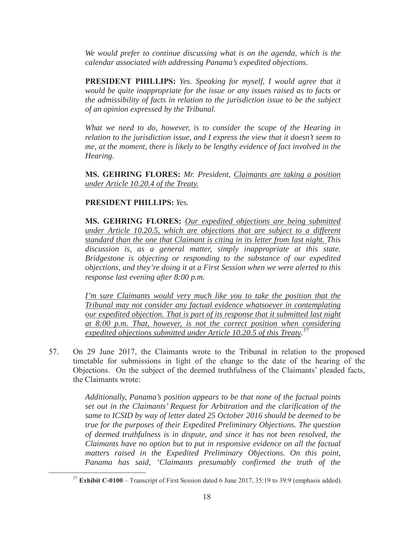*We would prefer to continue discussing what is on the agenda, which is the calendar associated with addressing Panama's expedited objections.*

**PRESIDENT PHILLIPS:** *Yes. Speaking for myself, I would agree that it would be quite inappropriate for the issue or any issues raised as to facts or the admissibility of facts in relation to the jurisdiction issue to be the subject of an opinion expressed by the Tribunal.*

*What we need to do, however, is to consider the scope of the Hearing in relation to the jurisdiction issue, and I express the view that it doesn't seem to me, at the moment, there is likely to be lengthy evidence of fact involved in the Hearing.*

**MS. GEHRING FLORES:** *Mr. President, Claimants are taking a position under Article 10.20.4 of the Treaty.*

#### **PRESIDENT PHILLIPS:** *Yes.*

**MS. GEHRING FLORES:** *Our expedited objections are being submitted under Article 10.20.5, which are objections that are subject to a different standard than the one that Claimant is citing in its letter from last night. This discussion is, as a general matter, simply inappropriate at this state. Bridgestone is objecting or responding to the substance of our expedited objections, and they're doing it at a First Session when we were alerted to this response last evening after 8:00 p.m.*

*I'm sure Claimants would very much like you to take the position that the Tribunal may not consider any factual evidence whatsoever in contemplating our expedited objection. That is part of its response that it submitted last night at 8:00 p.m. That, however, is not the correct position when considering expedited objections submitted under Article 10.20.5 of this Treaty.*<sup>57</sup>

57. On 29 June 2017, the Claimants wrote to the Tribunal in relation to the proposed timetable for submissions in light of the change to the date of the hearing of the Objections. On the subject of the deemed truthfulness of the Claimants' pleaded facts, the Claimants wrote:

> *Additionally, Panama's position appears to be that none of the factual points set out in the Claimants' Request for Arbitration and the clarification of the same to ICSID by way of letter dated 25 October 2016 should be deemed to be true for the purposes of their Expedited Preliminary Objections. The question of deemed truthfulness is in dispute, and since it has not been resolved, the Claimants have no option but to put in responsive evidence on all the factual matters raised in the Expedited Preliminary Objections. On this point, Panama has said, 'Claimants presumably confirmed the truth of the*

<sup>57</sup> **Exhibit C-0100** – Transcript of First Session dated 6 June 2017, 35:19 to 39:9 (emphasis added).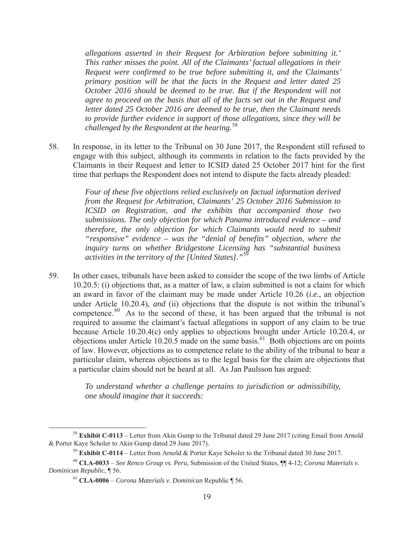*allegations asserted in their Request for Arbitration before submitting it.' This rather misses the point. All of the Claimants' factual allegations in their Request were confirmed to be true before submitting it, and the Claimants' primary position will be that the facts in the Request and letter dated 25 October 2016 should be deemed to be true. But if the Respondent will not agree to proceed on the basis that all of the facts set out in the Request and letter dated 25 October 2016 are deemed to be true, then the Claimant needs to provide further evidence in support of those allegations, since they will be challenged by the Respondent at the hearing.*<sup>58</sup>

58. In response, in its letter to the Tribunal on 30 June 2017, the Respondent still refused to engage with this subject, although its comments in relation to the facts provided by the Claimants in their Request and letter to ICSID dated 25 October 2017 hint for the first time that perhaps the Respondent does not intend to dispute the facts already pleaded:

> *Four of these five objections relied exclusively on factual information derived from the Request for Arbitration, Claimants' 25 October 2016 Submission to ICSID on Registration, and the exhibits that accompanied those two submissions. The only objection for which Panama introduced evidence – and therefore, the only objection for which Claimants would need to submit "responsive" evidence – was the "denial of benefits" objection, where the inquiry turns on whether Bridgestone Licensing has "substantial business activities in the territory of the [United States]."*<sup>59</sup>

59. In other cases, tribunals have been asked to consider the scope of the two limbs of Article 10.20.5: (i) objections that, as a matter of law, a claim submitted is not a claim for which an award in favor of the claimant may be made under Article 10.26 (*i.e.*, an objection under Article 10.20.4), *and* (ii) objections that the dispute is not within the tribunal's competence.<sup>60</sup> As to the second of these, it has been argued that the tribunal is not required to assume the claimant's factual allegations in support of any claim to be true because Article 10.20.4(c) only applies to objections brought under Article 10.20.4, or objections under Article 10.20.5 made on the same basis.<sup>61</sup> Both objections are on points of law. However, objections as to competence relate to the ability of the tribunal to hear a particular claim, whereas objections as to the legal basis for the claim are objections that a particular claim should not be heard at all. As Jan Paulsson has argued:

> *To understand whether a challenge pertains to jurisdiction or admissibility, one should imagine that it succeeds:*

<sup>58</sup> **Exhibit C-0113** – Letter from Akin Gump to the Tribunal dated 29 June 2017 (citing Email from Arnold & Porter Kaye Scholer to Akin Gump dated 29 June 2017).

<sup>59</sup> **Exhibit C-0114** – Letter from Arnold & Porter Kaye Scholer to the Tribunal dated 30 June 2017.

<sup>60</sup> **CLA-0033** – *See Renco Group vs. Peru*, Submission of the United States, ¶¶ 4-12; *Corona Materials v. Dominican Republic*, ¶ 56.

<sup>61</sup> **CLA-0006** – *Corona Materials v. Dominican* Republic ¶ 56.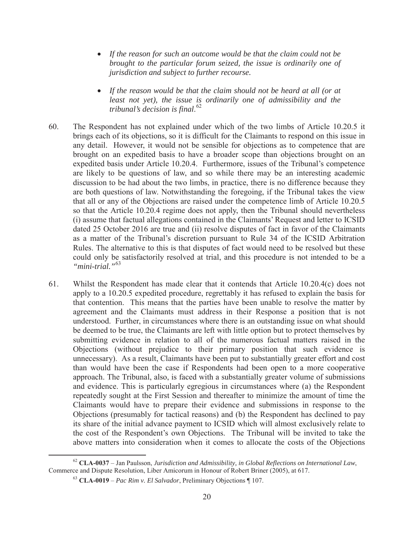- If the reason for such an outcome would be that the claim could not be *brought to the particular forum seized, the issue is ordinarily one of jurisdiction and subject to further recourse.*
- If the reason would be that the claim should not be heard at all (or at *least not yet), the issue is ordinarily one of admissibility and the tribunal's decision is final*. 62
- 60. The Respondent has not explained under which of the two limbs of Article 10.20.5 it brings each of its objections, so it is difficult for the Claimants to respond on this issue in any detail. However, it would not be sensible for objections as to competence that are brought on an expedited basis to have a broader scope than objections brought on an expedited basis under Article 10.20.4. Furthermore, issues of the Tribunal's competence are likely to be questions of law, and so while there may be an interesting academic discussion to be had about the two limbs, in practice, there is no difference because they are both questions of law. Notwithstanding the foregoing, if the Tribunal takes the view that all or any of the Objections are raised under the competence limb of Article 10.20.5 so that the Article 10.20.4 regime does not apply, then the Tribunal should nevertheless (i) assume that factual allegations contained in the Claimants' Request and letter to ICSID dated 25 October 2016 are true and (ii) resolve disputes of fact in favor of the Claimants as a matter of the Tribunal's discretion pursuant to Rule 34 of the ICSID Arbitration Rules. The alternative to this is that disputes of fact would need to be resolved but these could only be satisfactorily resolved at trial, and this procedure is not intended to be a *"mini-trial."*<sup>63</sup>
- 61. Whilst the Respondent has made clear that it contends that Article 10.20.4(c) does not apply to a 10.20.5 expedited procedure, regrettably it has refused to explain the basis for that contention. This means that the parties have been unable to resolve the matter by agreement and the Claimants must address in their Response a position that is not understood. Further, in circumstances where there is an outstanding issue on what should be deemed to be true, the Claimants are left with little option but to protect themselves by submitting evidence in relation to all of the numerous factual matters raised in the Objections (without prejudice to their primary position that such evidence is unnecessary). As a result, Claimants have been put to substantially greater effort and cost than would have been the case if Respondents had been open to a more cooperative approach. The Tribunal, also, is faced with a substantially greater volume of submissions and evidence. This is particularly egregious in circumstances where (a) the Respondent repeatedly sought at the First Session and thereafter to minimize the amount of time the Claimants would have to prepare their evidence and submissions in response to the Objections (presumably for tactical reasons) and (b) the Respondent has declined to pay its share of the initial advance payment to ICSID which will almost exclusively relate to the cost of the Respondent's own Objections. The Tribunal will be invited to take the above matters into consideration when it comes to allocate the costs of the Objections

<sup>62</sup> **CLA-0037** – Jan Paulsson, *Jurisdiction and Admissibility, in Global Reflections on International Law*, Commerce and Dispute Resolution, Liber Amicorum in Honour of Robert Briner (2005), at 617.

<sup>63</sup> **CLA-0019** – *Pac Rim v. El Salvador*, Preliminary Objections ¶ 107.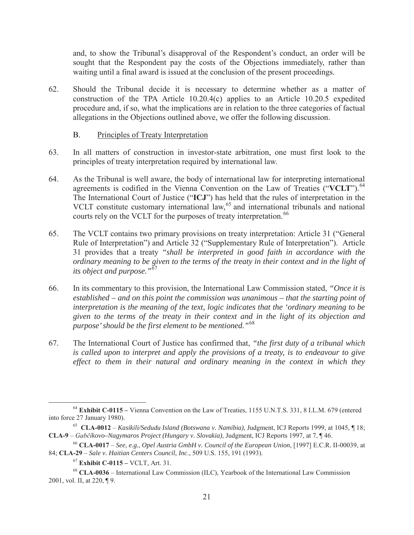and, to show the Tribunal's disapproval of the Respondent's conduct, an order will be sought that the Respondent pay the costs of the Objections immediately, rather than waiting until a final award is issued at the conclusion of the present proceedings.

- 62. Should the Tribunal decide it is necessary to determine whether as a matter of construction of the TPA Article  $10.20.4(c)$  applies to an Article 10.20.5 expedited procedure and, if so, what the implications are in relation to the three categories of factual allegations in the Objections outlined above, we offer the following discussion.
	- B. Principles of Treaty Interpretation
- 63. In all matters of construction in investor-state arbitration, one must first look to the principles of treaty interpretation required by international law.
- 64. As the Tribunal is well aware, the body of international law for interpreting international agreements is codified in the Vienna Convention on the Law of Treaties (" $VCLT$ ").<sup>64</sup> The International Court of Justice ("**ICJ**") has held that the rules of interpretation in the VCLT constitute customary international law,<sup>65</sup> and international tribunals and national courts rely on the VCLT for the purposes of treaty interpretation.<sup>66</sup>
- 65. The VCLT contains two primary provisions on treaty interpretation: Article 31 ("General Rule of Interpretation") and Article 32 ("Supplementary Rule of Interpretation"). Article 31 provides that a treaty *"shall be interpreted in good faith in accordance with the ordinary meaning to be given to the terms of the treaty in their context and in the light of its object and purpose.*"<sup>6</sup>
- 66. In its commentary to this provision, the International Law Commission stated, *"Once it is established – and on this point the commission was unanimous – that the starting point of interpretation is the meaning of the text, logic indicates that the 'ordinary meaning to be given to the terms of the treaty in their context and in the light of its objection and purpose' should be the first element to be mentioned."*<sup>68</sup>
- 67. The International Court of Justice has confirmed that, *"the first duty of a tribunal which is called upon to interpret and apply the provisions of a treaty, is to endeavour to give effect to them in their natural and ordinary meaning in the context in which they*

<sup>64</sup> **Exhibit C-0115 –** Vienna Convention on the Law of Treaties, 1155 U.N.T.S. 331, 8 I.L.M. 679 (entered into force 27 January 1980).

<sup>65</sup> **CLA-0012** – *Kasikili/Sedudu Island (Botswana v. Namibia)*, Judgment, ICJ Reports 1999, at 1045, ¶ 18; **CLA-9** – *Gabčíkovo–Nagymaros Project (Hungary v. Slovakia)*, Judgment, ICJ Reports 1997, at 7, ¶ 46.

<sup>66</sup> **CLA-0017** – *See, e.g.*, *Opel Austria GmbH v. Council of the European Union*, [1997] E.C.R. II-00039, at 84; **CLA-29** – *Sale v. Haitian Centers Council, Inc*., 509 U.S. 155, 191 (1993).

<sup>67</sup> **Exhibit C-0115 –** VCLT, Art. 31.

<sup>68</sup> **CLA-0036** – International Law Commission (ILC), Yearbook of the International Law Commission 2001, vol. II, at 220, ¶ 9.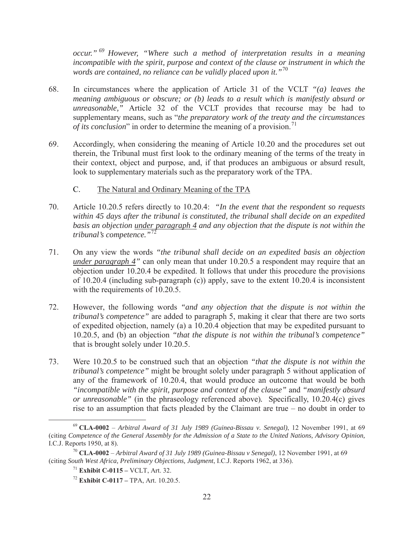*occur." <sup>69</sup> However, "Where such a method of interpretation results in a meaning incompatible with the spirit, purpose and context of the clause or instrument in which the words are contained, no reliance can be validly placed upon it."*<sup>70</sup>

- 68. In circumstances where the application of Article 31 of the VCLT *"(a) leaves the meaning ambiguous or obscure; or (b) leads to a result which is manifestly absurd or unreasonable,"* Article 32 of the VCLT provides that recourse may be had to supplementary means, such as "*the preparatory work of the treaty and the circumstances of its conclusion*" in order to determine the meaning of a provision.<sup>71</sup>
- 69. Accordingly, when considering the meaning of Article 10.20 and the procedures set out therein, the Tribunal must first look to the ordinary meaning of the terms of the treaty in their context, object and purpose, and, if that produces an ambiguous or absurd result, look to supplementary materials such as the preparatory work of the TPA.
	- C. The Natural and Ordinary Meaning of the TPA
- 70. Article 10.20.5 refers directly to 10.20.4: *"In the event that the respondent so requests within 45 days after the tribunal is constituted, the tribunal shall decide on an expedited basis an objection under paragraph 4 and any objection that the dispute is not within the tribunal's competence."*<sup>72</sup>
- 71. On any view the words *"the tribunal shall decide on an expedited basis an objection under paragraph 4"* can only mean that under 10.20.5 a respondent may require that an objection under 10.20.4 be expedited. It follows that under this procedure the provisions of 10.20.4 (including sub-paragraph (c)) apply, save to the extent 10.20.4 is inconsistent with the requirements of 10.20.5.
- 72. However, the following words *"and any objection that the dispute is not within the tribunal's competence"* are added to paragraph 5, making it clear that there are two sorts of expedited objection, namely (a) a 10.20.4 objection that may be expedited pursuant to 10.20.5, and (b) an objection *"that the dispute is not within the tribunal's competence"* that is brought solely under 10.20.5.
- 73. Were 10.20.5 to be construed such that an objection *"that the dispute is not within the tribunal's competence"* might be brought solely under paragraph 5 without application of any of the framework of 10.20.4, that would produce an outcome that would be both *"incompatible with the spirit, purpose and context of the clause"* and *"manifestly absurd or unreasonable"* (in the phraseology referenced above)*.* Specifically, 10.20.4(c) gives rise to an assumption that facts pleaded by the Claimant are true – no doubt in order to

<sup>69</sup> **CLA-0002** – *Arbitral Award of 31 July 1989 (Guinea-Bissau v. Senegal)*, 12 November 1991, at 69 (citing *Competence of the General Assembly for the Admission of a State to the United Nations, Advisory Opinion,*  I.C.J. Reports 1950, at 8).

<sup>70</sup> **CLA-0002** – *Arbitral Award of 31 July 1989 (Guinea-Bissau v Senegal)*, 12 November 1991, at 69 (citing *South West Africa, Preliminary Objections, Judgment*, I.C.J. Reports 1962, at 336).

<sup>71</sup> **Exhibit C-0115 –** VCLT, Art. 32.

<sup>72</sup> **Exhibit C-0117 –** TPA, Art. 10.20.5.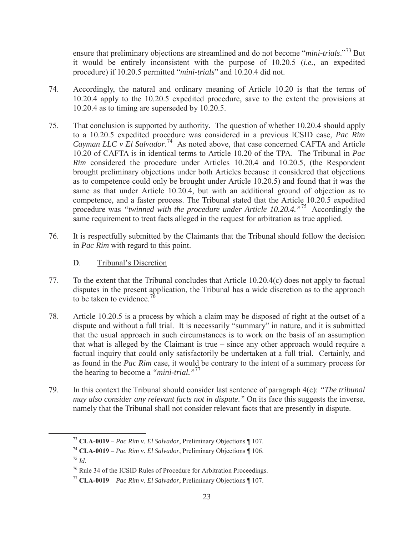ensure that preliminary objections are streamlined and do not become "*mini-trials*."<sup>73</sup> But it would be entirely inconsistent with the purpose of 10.20.5 (*i.e.*, an expedited procedure) if 10.20.5 permitted "*mini-trials*" and 10.20.4 did not.

- 74. Accordingly, the natural and ordinary meaning of Article 10.20 is that the terms of 10.20.4 apply to the 10.20.5 expedited procedure, save to the extent the provisions at 10.20.4 as to timing are superseded by 10.20.5.
- 75. That conclusion is supported by authority. The question of whether 10.20.4 should apply to a 10.20.5 expedited procedure was considered in a previous ICSID case, *Pac Rim Cayman LLC v El Salvador*. <sup>74</sup> As noted above, that case concerned CAFTA and Article 10.20 of CAFTA is in identical terms to Article 10.20 of the TPA. The Tribunal in *Pac Rim* considered the procedure under Articles 10.20.4 and 10.20.5, (the Respondent brought preliminary objections under both Articles because it considered that objections as to competence could only be brought under Article 10.20.5) and found that it was the same as that under Article 10.20.4, but with an additional ground of objection as to competence, and a faster process. The Tribunal stated that the Article 10.20.5 expedited procedure was *"twinned with the procedure under Article 10.20.4."*<sup>75</sup> Accordingly the same requirement to treat facts alleged in the request for arbitration as true applied.
- 76. It is respectfully submitted by the Claimants that the Tribunal should follow the decision in *Pac Rim* with regard to this point.

### D. Tribunal's Discretion

- 77. To the extent that the Tribunal concludes that Article 10.20.4(c) does not apply to factual disputes in the present application, the Tribunal has a wide discretion as to the approach to be taken to evidence.<sup>76</sup>
- 78. Article 10.20.5 is a process by which a claim may be disposed of right at the outset of a dispute and without a full trial. It is necessarily "summary" in nature, and it is submitted that the usual approach in such circumstances is to work on the basis of an assumption that what is alleged by the Claimant is true – since any other approach would require a factual inquiry that could only satisfactorily be undertaken at a full trial. Certainly, and as found in the *Pac Rim* case, it would be contrary to the intent of a summary process for the hearing to become a *"mini-trial."*<sup>77</sup>
- 79. In this context the Tribunal should consider last sentence of paragraph 4(c): *"The tribunal may also consider any relevant facts not in dispute."* On its face this suggests the inverse, namely that the Tribunal shall not consider relevant facts that are presently in dispute.

<sup>73</sup> **CLA-0019** – *Pac Rim v. El Salvador*, Preliminary Objections ¶ 107.

<sup>74</sup> **CLA-0019** – *Pac Rim v. El Salvador*, Preliminary Objections ¶ 106.  $^{75}$  *Id.* 

<sup>76</sup> Rule 34 of the ICSID Rules of Procedure for Arbitration Proceedings.

<sup>77</sup> **CLA-0019** – *Pac Rim v. El Salvador*, Preliminary Objections ¶ 107.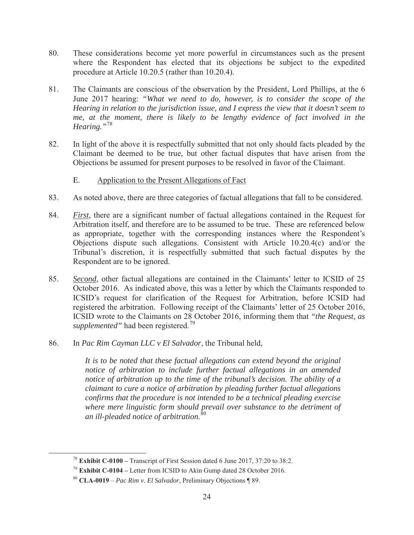- 80. These considerations become yet more powerful in circumstances such as the present where the Respondent has elected that its objections be subject to the expedited procedure at Article 10.20.5 (rather than 10.20.4).
- 81. The Claimants are conscious of the observation by the President, Lord Phillips, at the 6 June 2017 hearing: *"What we need to do, however, is to consider the scope of the Hearing in relation to the jurisdiction issue, and I express the view that it doesn't seem to me, at the moment, there is likely to be lengthy evidence of fact involved in the Hearing."*<sup>78</sup>
- 82. In light of the above it is respectfully submitted that not only should facts pleaded by the Claimant be deemed to be true, but other factual disputes that have arisen from the Objections be assumed for present purposes to be resolved in favor of the Claimant.
	- E. Application to the Present Allegations of Fact
- 83. As noted above, there are three categories of factual allegations that fall to be considered.
- 84. *First*, there are a significant number of factual allegations contained in the Request for Arbitration itself, and therefore are to be assumed to be true. These are referenced below as appropriate, together with the corresponding instances where the Respondent's Objections dispute such allegations. Consistent with Article 10.20.4(c) and/or the Tribunal's discretion, it is respectfully submitted that such factual disputes by the Respondent are to be ignored.
- 85. *Second*, other factual allegations are contained in the Claimants' letter to ICSID of 25 October 2016. As indicated above, this was a letter by which the Claimants responded to ICSID's request for clarification of the Request for Arbitration, before ICSID had registered the arbitration. Following receipt of the Claimants' letter of 25 October 2016, ICSID wrote to the Claimants on 28 October 2016, informing them that *"the Request, as supplemented*" had been registered.<sup>79</sup>
- 86. In *Pac Rim Cayman LLC v El Salvador*, the Tribunal held,

*It is to be noted that these factual allegations can extend beyond the original notice of arbitration to include further factual allegations in an amended notice of arbitration up to the time of the tribunal's decision. The ability of a claimant to cure a notice of arbitration by pleading further factual allegations confirms that the procedure is not intended to be a technical pleading exercise*  where mere linguistic form should prevail over substance to the detriment of *an ill-pleaded notice of arbitration.*<sup>80</sup>

<sup>78</sup> **Exhibit C-0100 –** Transcript of First Session dated 6 June 2017, 37:20 to 38:2.

<sup>79</sup> **Exhibit C-0104 –** Letter from ICSID to Akin Gump dated 28 October 2016.

<sup>80</sup> **CLA-0019** – *Pac Rim v. El Salvador*, Preliminary Objections ¶ 89.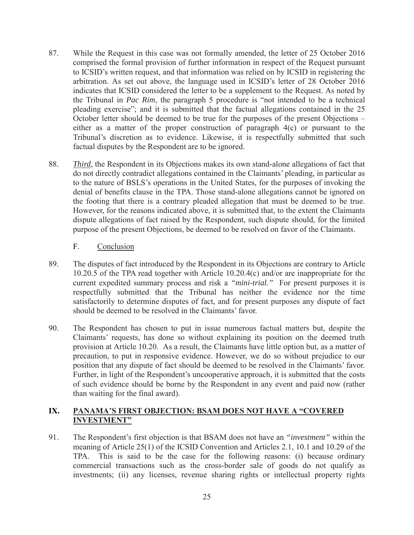- 87. While the Request in this case was not formally amended, the letter of 25 October 2016 comprised the formal provision of further information in respect of the Request pursuant to ICSID's written request, and that information was relied on by ICSID in registering the arbitration. As set out above, the language used in ICSID's letter of 28 October 2016 indicates that ICSID considered the letter to be a supplement to the Request. As noted by the Tribunal in *Pac Rim*, the paragraph 5 procedure is "not intended to be a technical pleading exercise"; and it is submitted that the factual allegations contained in the 25 October letter should be deemed to be true for the purposes of the present Objections – either as a matter of the proper construction of paragraph 4(c) or pursuant to the Tribunal's discretion as to evidence. Likewise, it is respectfully submitted that such factual disputes by the Respondent are to be ignored.
- 88. *Third*, the Respondent in its Objections makes its own stand-alone allegations of fact that do not directly contradict allegations contained in the Claimants' pleading, in particular as to the nature of BSLS's operations in the United States, for the purposes of invoking the denial of benefits clause in the TPA. Those stand-alone allegations cannot be ignored on the footing that there is a contrary pleaded allegation that must be deemed to be true. However, for the reasons indicated above, it is submitted that, to the extent the Claimants dispute allegations of fact raised by the Respondent, such dispute should, for the limited purpose of the present Objections, be deemed to be resolved on favor of the Claimants.

#### F. Conclusion

- 89. The disputes of fact introduced by the Respondent in its Objections are contrary to Article 10.20.5 of the TPA read together with Article 10.20.4(c) and/or are inappropriate for the current expedited summary process and risk a *"mini-trial."* For present purposes it is respectfully submitted that the Tribunal has neither the evidence nor the time satisfactorily to determine disputes of fact, and for present purposes any dispute of fact should be deemed to be resolved in the Claimants' favor.
- 90. The Respondent has chosen to put in issue numerous factual matters but, despite the Claimants' requests, has done so without explaining its position on the deemed truth provision at Article 10.20. As a result, the Claimants have little option but, as a matter of precaution, to put in responsive evidence. However, we do so without prejudice to our position that any dispute of fact should be deemed to be resolved in the Claimants' favor. Further, in light of the Respondent's uncooperative approach, it is submitted that the costs of such evidence should be borne by the Respondent in any event and paid now (rather than waiting for the final award).

#### **IX. PANAMA'S FIRST OBJECTION: BSAM DOES NOT HAVE A "COVERED INVESTMENT"**

91. The Respondent's first objection is that BSAM does not have an *"investment"* within the meaning of Article 25(1) of the ICSID Convention and Articles 2.1, 10.1 and 10.29 of the TPA. This is said to be the case for the following reasons: (i) because ordinary commercial transactions such as the cross-border sale of goods do not qualify as investments; (ii) any licenses, revenue sharing rights or intellectual property rights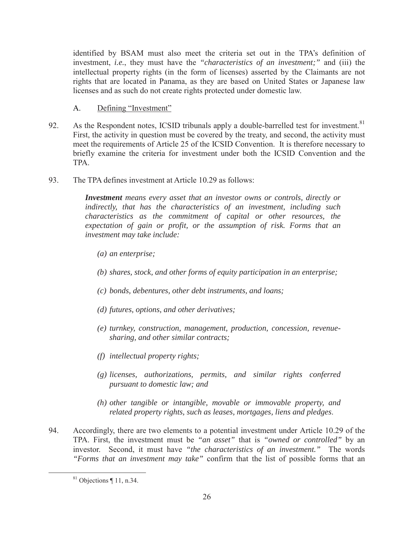identified by BSAM must also meet the criteria set out in the TPA's definition of investment, *i.e.*, they must have the *"characteristics of an investment;"* and (iii) the intellectual property rights (in the form of licenses) asserted by the Claimants are not rights that are located in Panama, as they are based on United States or Japanese law licenses and as such do not create rights protected under domestic law.

- A. Defining "Investment"
- 92. As the Respondent notes, ICSID tribunals apply a double-barrelled test for investment.  $81$ First, the activity in question must be covered by the treaty, and second, the activity must meet the requirements of Article 25 of the ICSID Convention. It is therefore necessary to briefly examine the criteria for investment under both the ICSID Convention and the TPA.
- 93. The TPA defines investment at Article 10.29 as follows:

*Investment means every asset that an investor owns or controls, directly or indirectly, that has the characteristics of an investment, including such characteristics as the commitment of capital or other resources, the expectation of gain or profit, or the assumption of risk. Forms that an investment may take include:*

- *(a) an enterprise;*
- *(b) shares, stock, and other forms of equity participation in an enterprise;*
- *(c) bonds, debentures, other debt instruments, and loans;*
- *(d) futures, options, and other derivatives;*
- *(e) turnkey, construction, management, production, concession, revenuesharing, and other similar contracts;*
- *(f) intellectual property rights;*
- *(g) licenses, authorizations, permits, and similar rights conferred pursuant to domestic law; and*
- *(h) other tangible or intangible, movable or immovable property, and related property rights, such as leases, mortgages, liens and pledges*.
- 94. Accordingly, there are two elements to a potential investment under Article 10.29 of the TPA. First, the investment must be *"an asset"* that is *"owned or controlled"* by an investor. Second, it must have *"the characteristics of an investment."* The words *"Forms that an investment may take"* confirm that the list of possible forms that an

 $81$  Objections ¶ 11, n.34.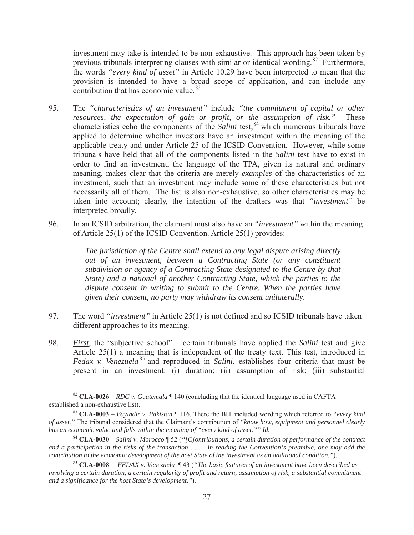investment may take is intended to be non-exhaustive. This approach has been taken by previous tribunals interpreting clauses with similar or identical wording.<sup>82</sup> Furthermore, the words *"every kind of asset"* in Article 10.29 have been interpreted to mean that the provision is intended to have a broad scope of application, and can include any contribution that has economic value. $83$ 

- 95. The *"characteristics of an investment"* include *"the commitment of capital or other resources, the expectation of gain or profit, or the assumption of risk."* These characteristics echo the components of the *Salini* test,<sup>84</sup> which numerous tribunals have applied to determine whether investors have an investment within the meaning of the applicable treaty and under Article 25 of the ICSID Convention. However, while some tribunals have held that all of the components listed in the *Salini* test have to exist in order to find an investment, the language of the TPA, given its natural and ordinary meaning, makes clear that the criteria are merely *examples* of the characteristics of an investment, such that an investment may include some of these characteristics but not necessarily all of them. The list is also non-exhaustive, so other characteristics may be taken into account; clearly, the intention of the drafters was that *"investment"* be interpreted broadly.
- 96. In an ICSID arbitration, the claimant must also have an *"investment"* within the meaning of Article 25(1) of the ICSID Convention. Article 25(1) provides:

*The jurisdiction of the Centre shall extend to any legal dispute arising directly out of an investment, between a Contracting State (or any constituent subdivision or agency of a Contracting State designated to the Centre by that State) and a national of another Contracting State, which the parties to the dispute consent in writing to submit to the Centre. When the parties have given their consent, no party may withdraw its consent unilaterally*.

- 97. The word *"investment"* in Article 25(1) is not defined and so ICSID tribunals have taken different approaches to its meaning.
- 98. *First*, the "subjective school" certain tribunals have applied the *Salini* test and give Article 25(1) a meaning that is independent of the treaty text. This test, introduced in *Fedax v. Venezuela*<sup>85</sup> and reproduced in *Salini*, establishes four criteria that must be present in an investment: (i) duration; (ii) assumption of risk; (iii) substantial

<sup>82</sup> **CLA-0026** – *RDC v. Guatemala* ¶ 140 (concluding that the identical language used in CAFTA established a non-exhaustive list).

<sup>83</sup> **CLA-0003** – *Bayindir v. Pakistan* ¶ 116. There the BIT included wording which referred to *"every kind of asset."* The tribunal considered that the Claimant's contribution of *"know how, equipment and personnel clearly has an economic value and falls within the meaning of "every kind of asset."" Id.*

<sup>84</sup> **CLA-0030** – *Salini v. Morocco* ¶ 52 (*"[C]ontributions, a certain duration of performance of the contract and a participation in the risks of the transaction . . . . In reading the Convention's preamble, one may add the contribution to the economic development of the host State of the investment as an additional condition."*).

<sup>85</sup> **CLA-0008** – *FEDAX v. Venezuela* ¶ 43 (*"The basic features of an investment have been described as involving a certain duration, a certain regularity of profit and return, assumption of risk, a substantial commitment and a significance for the host State's development."*).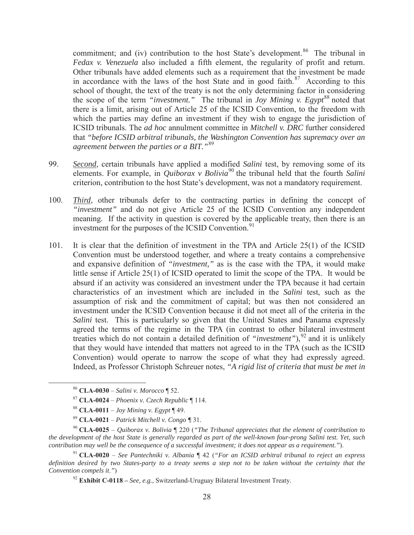commitment; and (iv) contribution to the host State's development.<sup>86</sup> The tribunal in *Fedax v. Venezuela* also included a fifth element, the regularity of profit and return. Other tribunals have added elements such as a requirement that the investment be made in accordance with the laws of the host State and in good faith.<sup>87</sup> According to this school of thought, the text of the treaty is not the only determining factor in considering the scope of the term *"investment."* The tribunal in *Joy Mining v. Egypt*<sup>88</sup> noted that there is a limit, arising out of Article 25 of the ICSID Convention, to the freedom with which the parties may define an investment if they wish to engage the jurisdiction of ICSID tribunals. The *ad hoc* annulment committee in *Mitchell v. DRC* further considered that *"before ICSID arbitral tribunals, the Washington Convention has supremacy over an agreement between the parties or a BIT."*<sup>89</sup>

- 99. *Second*, certain tribunals have applied a modified *Salini* test, by removing some of its elements. For example, in *Quiborax v Bolivia*<sup>90</sup> the tribunal held that the fourth *Salini* criterion, contribution to the host State's development, was not a mandatory requirement.
- 100. *Third*, other tribunals defer to the contracting parties in defining the concept of *"investment"* and do not give Article 25 of the ICSID Convention any independent meaning. If the activity in question is covered by the applicable treaty, then there is an investment for the purposes of the ICSID Convention.<sup>91</sup>
- 101. It is clear that the definition of investment in the TPA and Article 25(1) of the ICSID Convention must be understood together, and where a treaty contains a comprehensive and expansive definition of *"investment,"* as is the case with the TPA, it would make little sense if Article 25(1) of ICSID operated to limit the scope of the TPA. It would be absurd if an activity was considered an investment under the TPA because it had certain characteristics of an investment which are included in the *Salini* test, such as the assumption of risk and the commitment of capital; but was then not considered an investment under the ICSID Convention because it did not meet all of the criteria in the *Salini* test. This is particularly so given that the United States and Panama expressly agreed the terms of the regime in the TPA (in contrast to other bilateral investment treaties which do not contain a detailed definition of "*investment*"),<sup>92</sup> and it is unlikely that they would have intended that matters not agreed to in the TPA (such as the ICSID Convention) would operate to narrow the scope of what they had expressly agreed. Indeed, as Professor Christoph Schreuer notes, *"A rigid list of criteria that must be met in*

<sup>86</sup> **CLA-0030** – *Salini v. Morocco* ¶ 52.

<sup>87</sup> **CLA-0024** – *Phoenix v. Czech Republic* ¶ 114.

<sup>88</sup> **CLA-0011** – *Joy Mining v. Egypt* ¶ 49.

<sup>89</sup> **CLA-0021** – *Patrick Mitchell v. Congo ¶* 31.

<sup>90</sup> **CLA-0025** – *Quiborax v. Bolivia* ¶ 220 (*"The Tribunal appreciates that the element of contribution to the development of the host State is generally regarded as part of the well-known four-prong Salini test. Yet, such contribution may well be the consequence of a successful investment; it does not appear as a requirement."*).

<sup>91</sup> **CLA-0020** – *See Pantechniki v. Albania* ¶ 42 (*"For an ICSID arbitral tribunal to reject an express definition desired by two States-party to a treaty seems a step not to be taken without the certainty that the Convention compels it*.*"*)

<sup>92</sup> **Exhibit C-0118 –** *See, e.g.*, Switzerland-Uruguay Bilateral Investment Treaty.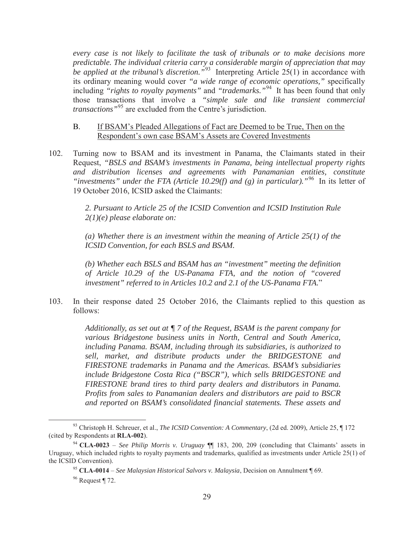*every case is not likely to facilitate the task of tribunals or to make decisions more predictable. The individual criteria carry a considerable margin of appreciation that may be applied at the tribunal's discretion."*<sup>93</sup> Interpreting Article 25(1) in accordance with its ordinary meaning would cover *"a wide range of economic operations,"* specifically including *"rights to royalty payments"* and *"trademarks."*<sup>94</sup> It has been found that only those transactions that involve a *"simple sale and like transient commercial transactions"*<sup>95</sup> are excluded from the Centre's jurisdiction.

- B. If BSAM's Pleaded Allegations of Fact are Deemed to be True, Then on the Respondent's own case BSAM's Assets are Covered Investments
- 102. Turning now to BSAM and its investment in Panama, the Claimants stated in their Request, *"BSLS and BSAM's investments in Panama, being intellectual property rights and distribution licenses and agreements with Panamanian entities, constitute "investments" under the FTA (Article 10.29(f) and (g) in particular)."*<sup>96</sup> In its letter of 19 October 2016, ICSID asked the Claimants:

*2. Pursuant to Article 25 of the ICSID Convention and ICSID Institution Rule 2(1)(e) please elaborate on:*

*(a) Whether there is an investment within the meaning of Article 25(1) of the ICSID Convention, for each BSLS and BSAM.*

*(b) Whether each BSLS and BSAM has an "investment" meeting the definition of Article 10.29 of the US-Panama FTA, and the notion of "covered investment" referred to in Articles 10.2 and 2.1 of the US-Panama FTA.*"

103. In their response dated 25 October 2016, the Claimants replied to this question as follows:

> *Additionally, as set out at ¶ 7 of the Request, BSAM is the parent company for various Bridgestone business units in North, Central and South America, including Panama. BSAM, including through its subsidiaries, is authorized to sell, market, and distribute products under the BRIDGESTONE and FIRESTONE trademarks in Panama and the Americas. BSAM's subsidiaries include Bridgestone Costa Rica ("BSCR"), which sells BRIDGESTONE and FIRESTONE brand tires to third party dealers and distributors in Panama. Profits from sales to Panamanian dealers and distributors are paid to BSCR and reported on BSAM's consolidated financial statements. These assets and*

<sup>93</sup> Christoph H. Schreuer, et al., *The ICSID Convention: A Commentary*, (2d ed. 2009), Article 25, ¶ 172 (cited by Respondents at **RLA-002**).

<sup>94</sup> **CLA-0023** – *See Philip Morris v. Uruguay* ¶¶ 183, 200, 209 (concluding that Claimants' assets in Uruguay, which included rights to royalty payments and trademarks, qualified as investments under Article 25(1) of the ICSID Convention).

<sup>95</sup> **CLA-0014** – *See Malaysian Historical Salvors v. Malaysia*, Decision on Annulment ¶ 69.

 $96$  Request ¶ 72.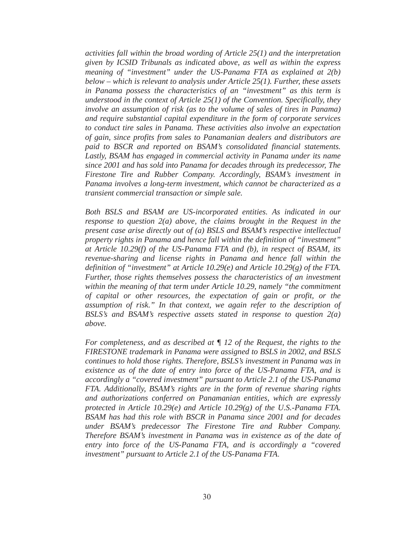*activities fall within the broad wording of Article 25(1) and the interpretation given by ICSID Tribunals as indicated above, as well as within the express meaning of "investment" under the US-Panama FTA as explained at 2(b) below – which is relevant to analysis under Article 25(1). Further, these assets in Panama possess the characteristics of an "investment" as this term is understood in the context of Article 25(1) of the Convention. Specifically, they involve an assumption of risk (as to the volume of sales of tires in Panama) and require substantial capital expenditure in the form of corporate services to conduct tire sales in Panama. These activities also involve an expectation of gain, since profits from sales to Panamanian dealers and distributors are paid to BSCR and reported on BSAM's consolidated financial statements. Lastly, BSAM has engaged in commercial activity in Panama under its name since 2001 and has sold into Panama for decades through its predecessor, The Firestone Tire and Rubber Company. Accordingly, BSAM's investment in Panama involves a long-term investment, which cannot be characterized as a transient commercial transaction or simple sale.*

*Both BSLS and BSAM are US-incorporated entities. As indicated in our response to question 2(a) above, the claims brought in the Request in the present case arise directly out of (a) BSLS and BSAM's respective intellectual property rights in Panama and hence fall within the definition of "investment" at Article 10.29(f) of the US-Panama FTA and (b), in respect of BSAM, its revenue-sharing and license rights in Panama and hence fall within the definition of "investment" at Article 10.29(e) and Article 10.29(g) of the FTA. Further, those rights themselves possess the characteristics of an investment within the meaning of that term under Article 10.29, namely "the commitment of capital or other resources, the expectation of gain or profit, or the assumption of risk." In that context, we again refer to the description of BSLS's and BSAM's respective assets stated in response to question 2(a) above.*

*For completeness, and as described at ¶ 12 of the Request, the rights to the FIRESTONE trademark in Panama were assigned to BSLS in 2002, and BSLS continues to hold those rights. Therefore, BSLS's investment in Panama was in existence as of the date of entry into force of the US-Panama FTA, and is accordingly a "covered investment" pursuant to Article 2.1 of the US-Panama FTA. Additionally, BSAM's rights are in the form of revenue sharing rights and authorizations conferred on Panamanian entities, which are expressly protected in Article 10.29(e) and Article 10.29(g) of the U.S.-Panama FTA. BSAM has had this role with BSCR in Panama since 2001 and for decades under BSAM's predecessor The Firestone Tire and Rubber Company. Therefore BSAM's investment in Panama was in existence as of the date of entry into force of the US-Panama FTA, and is accordingly a "covered investment" pursuant to Article 2.1 of the US-Panama FTA*.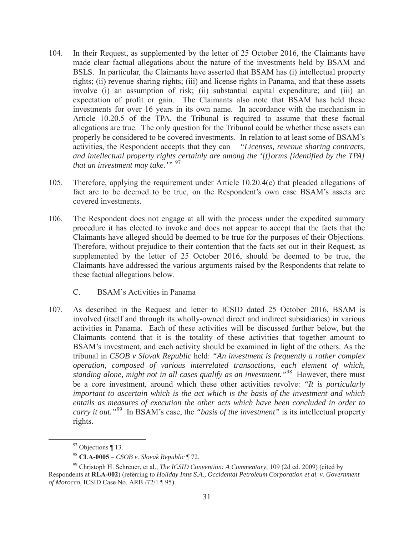- 104. In their Request, as supplemented by the letter of 25 October 2016, the Claimants have made clear factual allegations about the nature of the investments held by BSAM and BSLS. In particular, the Claimants have asserted that BSAM has (i) intellectual property rights; (ii) revenue sharing rights; (iii) and license rights in Panama, and that these assets involve (i) an assumption of risk; (ii) substantial capital expenditure; and (iii) an expectation of profit or gain. The Claimants also note that BSAM has held these investments for over 16 years in its own name. In accordance with the mechanism in Article 10.20.5 of the TPA, the Tribunal is required to assume that these factual allegations are true. The only question for the Tribunal could be whether these assets can properly be considered to be covered investments. In relation to at least some of BSAM's activities, the Respondent accepts that they can – *"Licenses, revenue sharing contracts, and intellectual property rights certainly are among the '[f]orms [identified by the TPA] that an investment may take.'"* <sup>97</sup>
- 105. Therefore, applying the requirement under Article 10.20.4(c) that pleaded allegations of fact are to be deemed to be true, on the Respondent's own case BSAM's assets are covered investments.
- 106. The Respondent does not engage at all with the process under the expedited summary procedure it has elected to invoke and does not appear to accept that the facts that the Claimants have alleged should be deemed to be true for the purposes of their Objections. Therefore, without prejudice to their contention that the facts set out in their Request, as supplemented by the letter of 25 October 2016, should be deemed to be true, the Claimants have addressed the various arguments raised by the Respondents that relate to these factual allegations below.
	- C. BSAM's Activities in Panama
- 107. As described in the Request and letter to ICSID dated 25 October 2016, BSAM is involved (itself and through its wholly-owned direct and indirect subsidiaries) in various activities in Panama. Each of these activities will be discussed further below, but the Claimants contend that it is the totality of these activities that together amount to BSAM's investment, and each activity should be examined in light of the others. As the tribunal in *CSOB v Slovak Republic* held: *"An investment is frequently a rather complex operation, composed of various interrelated transactions, each element of which, standing alone, might not in all cases qualify as an investment.*<sup>"98</sup> However, there must be a core investment, around which these other activities revolve: *"It is particularly important to ascertain which is the act which is the basis of the investment and which entails as measures of execution the other acts which have been concluded in order to carry it out."*<sup>99</sup> In BSAM's case, the *"basis of the investment"* is its intellectual property rights.

 $97$  Objections ¶ 13.

<sup>98</sup> **CLA-0005** – *CSOB v. Slovak Republic* ¶ 72.

<sup>99</sup> Christoph H. Schreuer, et al., *The ICSID Convention: A Commentary*, 109 (2d ed. 2009) (cited by Respondents at **RLA-002**) (referring to *Holiday Inns S.A., Occidental Petroleum Corporation et al. v. Government of Morocco,* ICSID Case No. ARB /72/1 ¶ 95).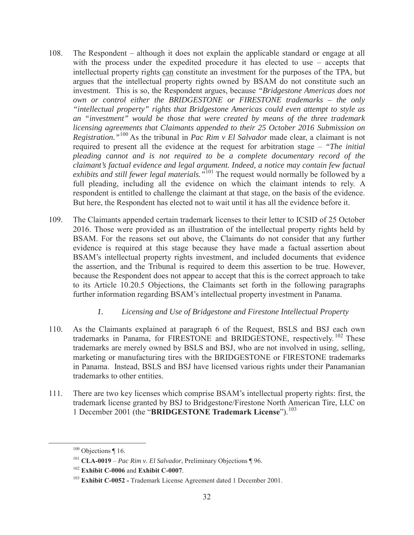- 108. The Respondent although it does not explain the applicable standard or engage at all with the process under the expedited procedure it has elected to use – accepts that intellectual property rights can constitute an investment for the purposes of the TPA, but argues that the intellectual property rights owned by BSAM do not constitute such an investment. This is so, the Respondent argues, because *"Bridgestone Americas does not own or control either the BRIDGESTONE or FIRESTONE trademarks – the only "intellectual property" rights that Bridgestone Americas could even attempt to style as an "investment" would be those that were created by means of the three trademark licensing agreements that Claimants appended to their 25 October 2016 Submission on Registration."*<sup>100</sup> As the tribunal in *Pac Rim v El Salvador* made clear, a claimant is not required to present all the evidence at the request for arbitration stage – *"The initial pleading cannot and is not required to be a complete documentary record of the claimant's factual evidence and legal argument. Indeed, a notice may contain few factual exhibits and still fewer legal materials."*<sup>101</sup> The request would normally be followed by a full pleading, including all the evidence on which the claimant intends to rely. A respondent is entitled to challenge the claimant at that stage, on the basis of the evidence. But here, the Respondent has elected not to wait until it has all the evidence before it.
- 109. The Claimants appended certain trademark licenses to their letter to ICSID of 25 October 2016. Those were provided as an illustration of the intellectual property rights held by BSAM. For the reasons set out above, the Claimants do not consider that any further evidence is required at this stage because they have made a factual assertion about BSAM's intellectual property rights investment, and included documents that evidence the assertion, and the Tribunal is required to deem this assertion to be true. However, because the Respondent does not appear to accept that this is the correct approach to take to its Article 10.20.5 Objections, the Claimants set forth in the following paragraphs further information regarding BSAM's intellectual property investment in Panama.

#### *1. Licensing and Use of Bridgestone and Firestone Intellectual Property*

- 110. As the Claimants explained at paragraph 6 of the Request, BSLS and BSJ each own trademarks in Panama, for FIRESTONE and BRIDGESTONE, respectively.<sup>102</sup> These trademarks are merely owned by BSLS and BSJ, who are not involved in using, selling, marketing or manufacturing tires with the BRIDGESTONE or FIRESTONE trademarks in Panama. Instead, BSLS and BSJ have licensed various rights under their Panamanian trademarks to other entities.
- 111. There are two key licenses which comprise BSAM's intellectual property rights: first, the trademark license granted by BSJ to Bridgestone/Firestone North American Tire, LLC on 1 December 2001 (the "BRIDGESTONE Trademark License").<sup>103</sup>

 $100$  Objections | 16.

<sup>101</sup> **CLA-0019** – *Pac Rim v. El Salvador*, Preliminary Objections ¶ 96.

<sup>102</sup> **Exhibit C-0006** and **Exhibit C-0007**.

<sup>103</sup> **Exhibit C-0052 -** Trademark License Agreement dated 1 December 2001.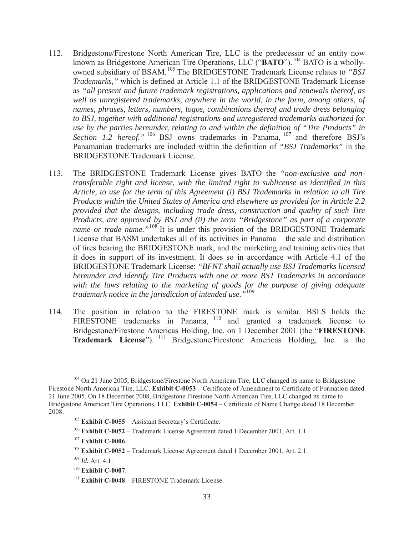- 112. Bridgestone/Firestone North American Tire, LLC is the predecessor of an entity now known as Bridgestone American Tire Operations, LLC ("**BATO**").<sup>104</sup> BATO is a whollyowned subsidiary of BSAM.<sup>105</sup> The BRIDGESTONE Trademark License relates to *"BSJ Trademarks,"* which is defined at Article 1.1 of the BRIDGESTONE Trademark License as *"all present and future trademark registrations, applications and renewals thereof, as well as unregistered trademarks, anywhere in the world, in the form, among others, of names, phrases, letters, numbers, logos, combinations thereof and trade dress belonging to BSJ, together with additional registrations and unregistered trademarks authorized for use by the parties hereunder, relating to and within the definition of "Tire Products" in Section 1.2 hereof.*<sup>" 106</sup> BSJ owns trademarks in Panama, <sup>107</sup> and therefore BSJ's Panamanian trademarks are included within the definition of *"BSJ Trademarks"* in the BRIDGESTONE Trademark License.
- 113. The BRIDGESTONE Trademark License gives BATO the *"non-exclusive and nontransferable right and license, with the limited right to sublicense as identified in this Article, to use for the term of this Agreement (i) BSJ Trademarks in relation to all Tire Products within the United States of America and elsewhere as provided for in Article 2.2 provided that the designs, including trade dress, construction and quality of such Tire Products, are approved by BSJ and (ii) the term "Bridgestone" as part of a corporate name or trade name.*"<sup>108</sup><sup>It</sup> is under this provision of the BRIDGESTONE Trademark License that BASM undertakes all of its activities in Panama – the sale and distribution of tires bearing the BRIDGESTONE mark, and the marketing and training activities that it does in support of its investment. It does so in accordance with Article 4.1 of the BRIDGESTONE Trademark License: *"BFNT shall actually use BSJ Trademarks licensed hereunder and identify Tire Products with one or more BSJ Trademarks in accordance*  with the laws relating to the marketing of goods for the purpose of giving adequate *trademark notice in the jurisdiction of intended use."*<sup>109</sup>
- 114. The position in relation to the FIRESTONE mark is similar. BSLS holds the FIRESTONE trademarks in Panama, <sup>110</sup> and granted a trademark license to Bridgestone/Firestone Americas Holding, Inc. on 1 December 2001 (the "**FIRESTONE Trademark License**"). <sup>111</sup> Bridgestone/Firestone Americas Holding, Inc. is the

- <sup>106</sup> **Exhibit C-0052** Trademark License Agreement dated 1 December 2001, Art. 1.1.
- <sup>107</sup> **Exhibit C-0006**.

<sup>&</sup>lt;sup>104</sup> On 21 June 2005, Bridgestone/Firestone North American Tire, LLC changed its name to Bridgestone Firestone North American Tire, LLC. **Exhibit C-0053 –** Certificate of Amendment to Certificate of Formation dated 21 June 2005. On 18 December 2008, Bridgestone Firestone North American Tire, LLC changed its name to Bridgestone American Tire Operations, LLC. **Exhibit C-0054** – Certificate of Name Change dated 18 December 2008.

<sup>105</sup> **Exhibit C-0055** – Assistant Secretary's Certificate.

<sup>108</sup> **Exhibit C-0052** – Trademark License Agreement dated 1 December 2001, Art. 2.1.

<sup>109</sup> *Id.* Art. 4.1.

<sup>110</sup> **Exhibit C-0007**.

<sup>111</sup> **Exhibit C-0048** – FIRESTONE Trademark License.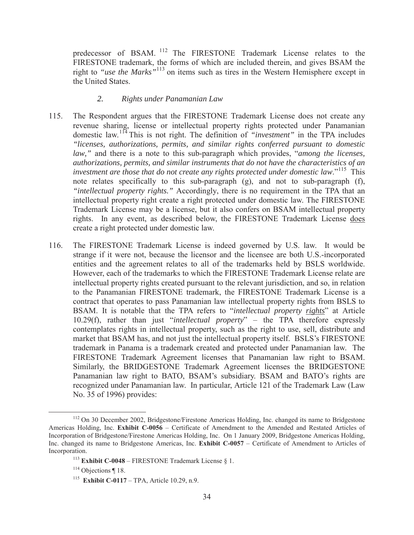predecessor of BSAM. <sup>112</sup> The FIRESTONE Trademark License relates to the FIRESTONE trademark, the forms of which are included therein, and gives BSAM the right to *"use the Marks"*<sup>113</sup> on items such as tires in the Western Hemisphere except in the United States.

#### *2. Rights under Panamanian Law*

- 115. The Respondent argues that the FIRESTONE Trademark License does not create any revenue sharing, license or intellectual property rights protected under Panamanian domestic law.<sup>114</sup> This is not right. The definition of *"investment"* in the TPA includes *"licenses, authorizations, permits, and similar rights conferred pursuant to domestic law,"* and there is a note to this sub-paragraph which provides, "*among the licenses, authorizations, permits, and similar instruments that do not have the characteristics of an investment are those that do not create any rights protected under domestic law.*<sup>115</sup> This note relates specifically to this sub-paragraph (g), and not to sub-paragraph (f), *"intellectual property rights."* Accordingly, there is no requirement in the TPA that an intellectual property right create a right protected under domestic law. The FIRESTONE Trademark License may be a license, but it also confers on BSAM intellectual property rights. In any event, as described below, the FIRESTONE Trademark License does create a right protected under domestic law.
- 116. The FIRESTONE Trademark License is indeed governed by U.S. law. It would be strange if it were not, because the licensor and the licensee are both U.S.-incorporated entities and the agreement relates to all of the trademarks held by BSLS worldwide. However, each of the trademarks to which the FIRESTONE Trademark License relate are intellectual property rights created pursuant to the relevant jurisdiction, and so, in relation to the Panamanian FIRESTONE trademark, the FIRESTONE Trademark License is a contract that operates to pass Panamanian law intellectual property rights from BSLS to BSAM. It is notable that the TPA refers to "*intellectual property rights*" at Article 10.29(f), rather than just "*intellectual property*" – the TPA therefore expressly contemplates rights in intellectual property, such as the right to use, sell, distribute and market that BSAM has, and not just the intellectual property itself. BSLS's FIRESTONE trademark in Panama is a trademark created and protected under Panamanian law. The FIRESTONE Trademark Agreement licenses that Panamanian law right to BSAM. Similarly, the BRIDGESTONE Trademark Agreement licenses the BRIDGESTONE Panamanian law right to BATO, BSAM's subsidiary. BSAM and BATO's rights are recognized under Panamanian law. In particular, Article 121 of the Trademark Law (Law No. 35 of 1996) provides:

<sup>&</sup>lt;sup>112</sup> On 30 December 2002, Bridgestone/Firestone Americas Holding, Inc. changed its name to Bridgestone Americas Holding, Inc. **Exhibit C-0056** – Certificate of Amendment to the Amended and Restated Articles of Incorporation of Bridgestone/Firestone Americas Holding, Inc. On 1 January 2009, Bridgestone Americas Holding, Inc. changed its name to Bridgestone Americas, Inc. **Exhibit C-0057** – Certificate of Amendment to Articles of Incorporation.

<sup>&</sup>lt;sup>113</sup> Exhibit C-0048 – FIRESTONE Trademark License  $\S$  1.<br><sup>114</sup> Objections ¶ 18.

<sup>115</sup> **Exhibit C-0117** – TPA, Article 10.29, n.9.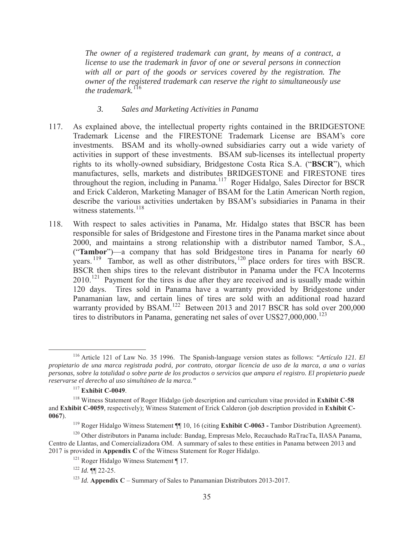*The owner of a registered trademark can grant, by means of a contract, a license to use the trademark in favor of one or several persons in connection*  with all or part of the goods or services covered by the registration. The *owner of the registered trademark can reserve the right to simultaneously use the trademark*.<sup>116</sup>

#### *3. Sales and Marketing Activities in Panama*

- 117. As explained above, the intellectual property rights contained in the BRIDGESTONE Trademark License and the FIRESTONE Trademark License are BSAM's core investments. BSAM and its wholly-owned subsidiaries carry out a wide variety of activities in support of these investments. BSAM sub-licenses its intellectual property rights to its wholly-owned subsidiary, Bridgestone Costa Rica S.A. ("**BSCR**"), which manufactures, sells, markets and distributes BRIDGESTONE and FIRESTONE tires throughout the region, including in Panama.<sup>117</sup> Roger Hidalgo, Sales Director for BSCR and Erick Calderon, Marketing Manager of BSAM for the Latin American North region, describe the various activities undertaken by BSAM's subsidiaries in Panama in their witness statements.<sup>118</sup>
- 118. With respect to sales activities in Panama, Mr. Hidalgo states that BSCR has been responsible for sales of Bridgestone and Firestone tires in the Panama market since about 2000, and maintains a strong relationship with a distributor named Tambor, S.A., ("**Tambor**")—a company that has sold Bridgestone tires in Panama for nearly 60 years. <sup>119</sup> Tambor, as well as other distributors,  $120$  place orders for tires with BSCR. BSCR then ships tires to the relevant distributor in Panama under the FCA Incoterms  $2010$ <sup> $121$ </sup> Payment for the tires is due after they are received and is usually made within 120 days. Tires sold in Panama have a warranty provided by Bridgestone under Panamanian law, and certain lines of tires are sold with an additional road hazard warranty provided by BSAM.<sup>122</sup> Between 2013 and 2017 BSCR has sold over 200,000 tires to distributors in Panama, generating net sales of over  $\text{US$27,000,000}.^{123}$

 $122$  *Id.* **¶** 22-25.

<sup>116</sup> Article 121 of Law No. 35 1996. The Spanish-language version states as follows: *"Artículo 121. El propietario de una marca registrada podrá, por contrato, otorgar licencia de uso de la marca, a una o varias personas, sobre la totalidad o sobre parte de los productos o servicios que ampara el registro. El propietario puede reservarse el derecho al uso simultáneo de la marca."* 

<sup>117</sup> **Exhibit C-0049**.

<sup>118</sup> Witness Statement of Roger Hidalgo (job description and curriculum vitae provided in **Exhibit C-58** and **Exhibit C-0059**, respectively); Witness Statement of Erick Calderon (job description provided in **Exhibit C-0067**).

<sup>119</sup> Roger Hidalgo Witness Statement ¶¶ 10, 16 (citing **Exhibit C-0063 -** Tambor Distribution Agreement).

<sup>120</sup> Other distributors in Panama include: Bandag, Empresas Melo, Recauchado RaTracTa, IIASA Panama, Centro de Llantas, and Comercializadora OM. A summary of sales to these entities in Panama between 2013 and 2017 is provided in **Appendix C** of the Witness Statement for Roger Hidalgo.<br><sup>121</sup> Roger Hidalgo Witness Statement ¶ 17.

<sup>&</sup>lt;sup>123</sup> *Id.* **Appendix C** – Summary of Sales to Panamanian Distributors 2013-2017.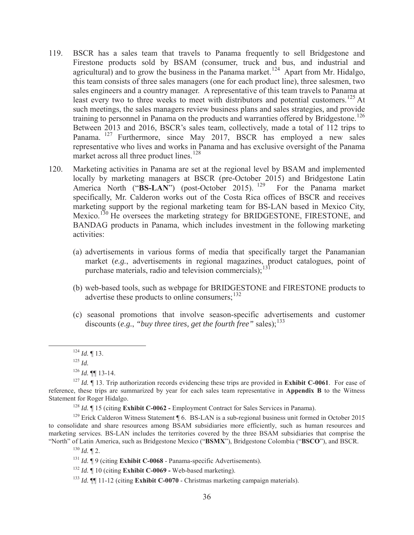- 119. BSCR has a sales team that travels to Panama frequently to sell Bridgestone and Firestone products sold by BSAM (consumer, truck and bus, and industrial and agricultural) and to grow the business in the Panama market.<sup>124</sup> Apart from Mr. Hidalgo, this team consists of three sales managers (one for each product line), three salesmen, two sales engineers and a country manager. A representative of this team travels to Panama at least every two to three weeks to meet with distributors and potential customers.<sup>125</sup> At such meetings, the sales managers review business plans and sales strategies, and provide training to personnel in Panama on the products and warranties offered by Bridgestone.<sup>126</sup> Between 2013 and 2016, BSCR's sales team, collectively, made a total of 112 trips to Panama. <sup>127</sup> Furthermore, since May 2017, BSCR has employed a new sales representative who lives and works in Panama and has exclusive oversight of the Panama market across all three product lines.<sup>128</sup>
- 120. Marketing activities in Panama are set at the regional level by BSAM and implemented locally by marketing managers at BSCR (pre-October 2015) and Bridgestone Latin America North ("BS-LAN") (post-October 2015). <sup>129</sup> For the Panama market specifically, Mr. Calderon works out of the Costa Rica offices of BSCR and receives marketing support by the regional marketing team for BS-LAN based in Mexico City, Mexico.<sup>130</sup> He oversees the marketing strategy for BRIDGESTONE, FIRESTONE, and BANDAG products in Panama, which includes investment in the following marketing activities:
	- (a) advertisements in various forms of media that specifically target the Panamanian market (*e.g.*, advertisements in regional magazines, product catalogues, point of purchase materials, radio and television commercials);  $^{131}$
	- (b) web-based tools, such as webpage for BRIDGESTONE and FIRESTONE products to advertise these products to online consumers;  $132$
	- (c) seasonal promotions that involve season-specific advertisements and customer discounts (*e.g., "buy three tires, get the fourth free"* sales);  $^{133}$

<sup>129</sup> Erick Calderon Witness Statement ¶ 6. BS-LAN is a sub-regional business unit formed in October 2015 to consolidate and share resources among BSAM subsidiaries more efficiently, such as human resources and marketing services. BS-LAN includes the territories covered by the three BSAM subsidiaries that comprise the "North" of Latin America, such as Bridgestone Mexico ("**BSMX**"), Bridgestone Colombia ("**BSCO**"), and BSCR.

 $124$  *Id.* 13.

 $^{125}$  *Id*.

<sup>126</sup> *Id.* ¶¶ 13-14.

<sup>&</sup>lt;sup>127</sup> *Id.*  $\parallel$  13. Trip authorization records evidencing these trips are provided in **Exhibit C-0061**. For ease of reference, these trips are summarized by year for each sales team representative in **Appendix B** to the Witness Statement for Roger Hidalgo.

<sup>128</sup> *Id.* ¶ 15 (citing **Exhibit C-0062 -** Employment Contract for Sales Services in Panama).

 $130$  *Id.* 12.

<sup>131</sup> *Id.* ¶ 9 (citing **Exhibit C-0068** - Panama-specific Advertisements).

<sup>132</sup> *Id.* ¶ 10 (citing **Exhibit C-0069 -** Web-based marketing).

<sup>133</sup> *Id.* ¶¶ 11-12 (citing **Exhibit C-0070** - Christmas marketing campaign materials).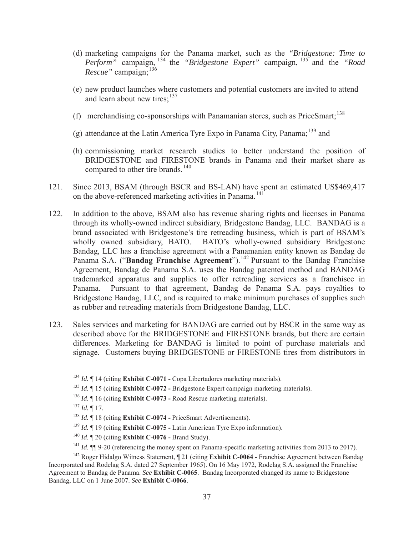- (d) marketing campaigns for the Panama market, such as the *"Bridgestone: Time to Perform"* campaign, <sup>134</sup> the *"Bridgestone Expert"* campaign, <sup>135</sup> and the *"Road Rescue"* campaign;<sup>136</sup>
- (e) new product launches where customers and potential customers are invited to attend and learn about new tires; $137$
- (f) merchandising co-sponsorships with Panamanian stores, such as  $PriceSmart:  $138$$
- (g) attendance at the Latin America Tyre Expo in Panama City, Panama;<sup>139</sup> and
- (h) commissioning market research studies to better understand the position of BRIDGESTONE and FIRESTONE brands in Panama and their market share as compared to other tire brands.<sup>140</sup>
- 121. Since 2013, BSAM (through BSCR and BS-LAN) have spent an estimated US\$469,417 on the above-referenced marketing activities in Panama.<sup>141</sup>
- 122. In addition to the above, BSAM also has revenue sharing rights and licenses in Panama through its wholly-owned indirect subsidiary, Bridgestone Bandag, LLC. BANDAG is a brand associated with Bridgestone's tire retreading business, which is part of BSAM's wholly owned subsidiary, BATO. BATO's wholly-owned subsidiary Bridgestone Bandag, LLC has a franchise agreement with a Panamanian entity known as Bandag de Panama S.A. ("**Bandag Franchise Agreement**").<sup>142</sup> Pursuant to the Bandag Franchise Agreement, Bandag de Panama S.A. uses the Bandag patented method and BANDAG trademarked apparatus and supplies to offer retreading services as a franchisee in Panama. Pursuant to that agreement, Bandag de Panama S.A. pays royalties to Bridgestone Bandag, LLC, and is required to make minimum purchases of supplies such as rubber and retreading materials from Bridgestone Bandag, LLC.
- 123. Sales services and marketing for BANDAG are carried out by BSCR in the same way as described above for the BRIDGESTONE and FIRESTONE brands, but there are certain differences. Marketing for BANDAG is limited to point of purchase materials and signage. Customers buying BRIDGESTONE or FIRESTONE tires from distributors in

<sup>134</sup> *Id.* ¶ 14 (citing **Exhibit C-0071 -** Copa Libertadores marketing materials).

<sup>135</sup> *Id.* ¶ 15 (citing **Exhibit C-0072 -** Bridgestone Expert campaign marketing materials).

<sup>136</sup> *Id.* ¶ 16 (citing **Exhibit C-0073 -** Road Rescue marketing materials).

 $^{137}$  *Id.*  $\P$  17.

<sup>138</sup> *Id.* ¶ 18 (citing **Exhibit C-0074 -** PriceSmart Advertisements).

<sup>139</sup> *Id.* ¶ 19 (citing **Exhibit C-0075 -** Latin American Tyre Expo information).

<sup>140</sup> *Id.* ¶ 20 (citing **Exhibit C-0076 -** Brand Study).

<sup>&</sup>lt;sup>141</sup> *Id.* **[1]** 9-20 (referencing the money spent on Panama-specific marketing activities from 2013 to 2017).

<sup>142</sup> Roger Hidalgo Witness Statement, ¶ 21 (citing **Exhibit C-0064 -** Franchise Agreement between Bandag Incorporated and Rodelag S.A. dated 27 September 1965). On 16 May 1972, Rodelag S.A. assigned the Franchise Agreement to Bandag de Panama. *See* **Exhibit C-0065**. Bandag Incorporated changed its name to Bridgestone Bandag, LLC on 1 June 2007. *See* **Exhibit C-0066**.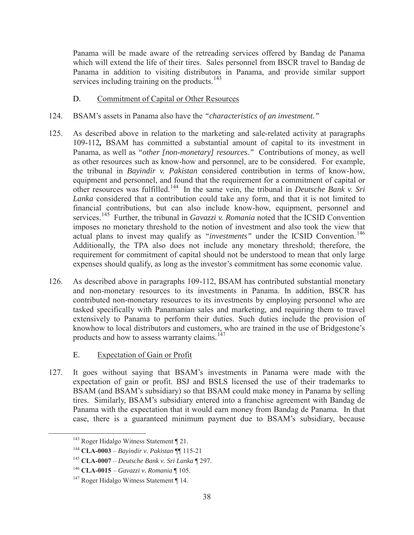Panama will be made aware of the retreading services offered by Bandag de Panama which will extend the life of their tires. Sales personnel from BSCR travel to Bandag de Panama in addition to visiting distributors in Panama, and provide similar support services including training on the products.<sup>143</sup>

- D. Commitment of Capital or Other Resources
- 124. BSAM's assets in Panama also have the *"characteristics of an investment."*
- 125. As described above in relation to the marketing and sale-related activity at paragraphs 109-112*,* BSAM has committed a substantial amount of capital to its investment in Panama, as well as *"other [non-monetary] resources."* Contributions of money, as well as other resources such as know-how and personnel, are to be considered. For example, the tribunal in *Bayindir v. Pakistan* considered contribution in terms of know-how, equipment and personnel, and found that the requirement for a commitment of capital or other resources was fulfilled.<sup>144</sup> In the same vein, the tribunal in *Deutsche Bank v. Sri Lanka* considered that a contribution could take any form, and that it is not limited to financial contributions, but can also include know-how, equipment, personnel and services.<sup>145</sup> Further, the tribunal in *Gavazzi v. Romania* noted that the ICSID Convention imposes no monetary threshold to the notion of investment and also took the view that actual plans to invest may qualify as *"investments"* under the ICSID Convention.<sup>146</sup> Additionally, the TPA also does not include any monetary threshold; therefore, the requirement for commitment of capital should not be understood to mean that only large expenses should qualify, as long as the investor's commitment has some economic value.
- 126. As described above in paragraphs 109-112, BSAM has contributed substantial monetary and non-monetary resources to its investments in Panama. In addition, BSCR has contributed non-monetary resources to its investments by employing personnel who are tasked specifically with Panamanian sales and marketing, and requiring them to travel extensively to Panama to perform their duties. Such duties include the provision of knowhow to local distributors and customers, who are trained in the use of Bridgestone's products and how to assess warranty claims.<sup>147</sup>
	- E. Expectation of Gain or Profit
- 127. It goes without saying that BSAM's investments in Panama were made with the expectation of gain or profit. BSJ and BSLS licensed the use of their trademarks to BSAM (and BSAM's subsidiary) so that BSAM could make money in Panama by selling tires. Similarly, BSAM's subsidiary entered into a franchise agreement with Bandag de Panama with the expectation that it would earn money from Bandag de Panama. In that case, there is a guaranteed minimum payment due to BSAM's subsidiary, because

<sup>&</sup>lt;sup>143</sup> Roger Hidalgo Witness Statement [21.

<sup>144</sup> **CLA-0003** – *Bayindir v. Pakistan* ¶¶ 115-21

<sup>145</sup> **CLA-0007** – *Deutsche Bank v. Sri Lanka* ¶ 297.

<sup>146</sup> **CLA-0015** – *Gavazzi v. Romania* ¶ 105.

<sup>&</sup>lt;sup>147</sup> Roger Hidalgo Witness Statement ¶ 14.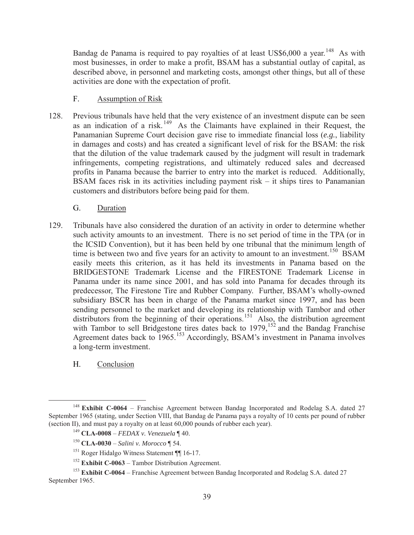Bandag de Panama is required to pay royalties of at least US\$6,000 a year.<sup>148</sup> As with most businesses, in order to make a profit, BSAM has a substantial outlay of capital, as described above*,* in personnel and marketing costs, amongst other things, but all of these activities are done with the expectation of profit.

- F. Assumption of Risk
- 128. Previous tribunals have held that the very existence of an investment dispute can be seen as an indication of a risk. <sup>149</sup> As the Claimants have explained in their Request, the Panamanian Supreme Court decision gave rise to immediate financial loss (*e.g.*, liability in damages and costs) and has created a significant level of risk for the BSAM: the risk that the dilution of the value trademark caused by the judgment will result in trademark infringements, competing registrations, and ultimately reduced sales and decreased profits in Panama because the barrier to entry into the market is reduced. Additionally, BSAM faces risk in its activities including payment risk – it ships tires to Panamanian customers and distributors before being paid for them.
	- G. Duration
- 129. Tribunals have also considered the duration of an activity in order to determine whether such activity amounts to an investment. There is no set period of time in the TPA (or in the ICSID Convention), but it has been held by one tribunal that the minimum length of time is between two and five years for an activity to amount to an investment.<sup>150</sup> BSAM easily meets this criterion, as it has held its investments in Panama based on the BRIDGESTONE Trademark License and the FIRESTONE Trademark License in Panama under its name since 2001, and has sold into Panama for decades through its predecessor, The Firestone Tire and Rubber Company. Further, BSAM's wholly-owned subsidiary BSCR has been in charge of the Panama market since 1997, and has been sending personnel to the market and developing its relationship with Tambor and other distributors from the beginning of their operations.<sup>151</sup> Also, the distribution agreement with Tambor to sell Bridgestone tires dates back to 1979,<sup>152</sup> and the Bandag Franchise Agreement dates back to 1965.<sup>153</sup> Accordingly, BSAM's investment in Panama involves a long-term investment.
	- H. Conclusion

<sup>151</sup> Roger Hidalgo Witness Statement ¶ 16-17.

<sup>&</sup>lt;sup>148</sup> Exhibit C-0064 – Franchise Agreement between Bandag Incorporated and Rodelag S.A. dated 27 September 1965 (stating, under Section VIII, that Bandag de Panama pays a royalty of 10 cents per pound of rubber (section II), and must pay a royalty on at least 60,000 pounds of rubber each year).

<sup>149</sup> **CLA-0008** – *FEDAX v. Venezuela* ¶ 40.

<sup>150</sup> **CLA-0030** – *Salini v. Morocco* ¶ 54.

<sup>152</sup> **Exhibit C-0063** – Tambor Distribution Agreement.

<sup>153</sup> **Exhibit C-0064** – Franchise Agreement between Bandag Incorporated and Rodelag S.A. dated 27 September 1965.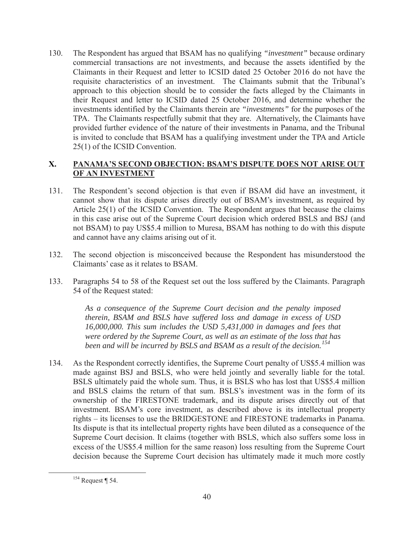130. The Respondent has argued that BSAM has no qualifying *"investment"* because ordinary commercial transactions are not investments, and because the assets identified by the Claimants in their Request and letter to ICSID dated 25 October 2016 do not have the requisite characteristics of an investment. The Claimants submit that the Tribunal's approach to this objection should be to consider the facts alleged by the Claimants in their Request and letter to ICSID dated 25 October 2016, and determine whether the investments identified by the Claimants therein are *"investments"* for the purposes of the TPA. The Claimants respectfully submit that they are. Alternatively, the Claimants have provided further evidence of the nature of their investments in Panama, and the Tribunal is invited to conclude that BSAM has a qualifying investment under the TPA and Article 25(1) of the ICSID Convention.

### **X. PANAMA'S SECOND OBJECTION: BSAM'S DISPUTE DOES NOT ARISE OUT OF AN INVESTMENT**

- 131. The Respondent's second objection is that even if BSAM did have an investment, it cannot show that its dispute arises directly out of BSAM's investment, as required by Article 25(1) of the ICSID Convention. The Respondent argues that because the claims in this case arise out of the Supreme Court decision which ordered BSLS and BSJ (and not BSAM) to pay US\$5.4 million to Muresa, BSAM has nothing to do with this dispute and cannot have any claims arising out of it.
- 132. The second objection is misconceived because the Respondent has misunderstood the Claimants' case as it relates to BSAM.
- 133. Paragraphs 54 to 58 of the Request set out the loss suffered by the Claimants. Paragraph 54 of the Request stated:

*As a consequence of the Supreme Court decision and the penalty imposed therein, BSAM and BSLS have suffered loss and damage in excess of USD 16,000,000. This sum includes the USD 5,431,000 in damages and fees that were ordered by the Supreme Court, as well as an estimate of the loss that has been and will be incurred by BSLS and BSAM as a result of the decision.<sup>154</sup>*

134. As the Respondent correctly identifies, the Supreme Court penalty of US\$5.4 million was made against BSJ and BSLS, who were held jointly and severally liable for the total. BSLS ultimately paid the whole sum. Thus, it is BSLS who has lost that US\$5.4 million and BSLS claims the return of that sum. BSLS's investment was in the form of its ownership of the FIRESTONE trademark, and its dispute arises directly out of that investment. BSAM's core investment, as described above is its intellectual property rights – its licenses to use the BRIDGESTONE and FIRESTONE trademarks in Panama. Its dispute is that its intellectual property rights have been diluted as a consequence of the Supreme Court decision. It claims (together with BSLS, which also suffers some loss in excess of the US\$5.4 million for the same reason) loss resulting from the Supreme Court decision because the Supreme Court decision has ultimately made it much more costly

 $154$  Request ¶ 54.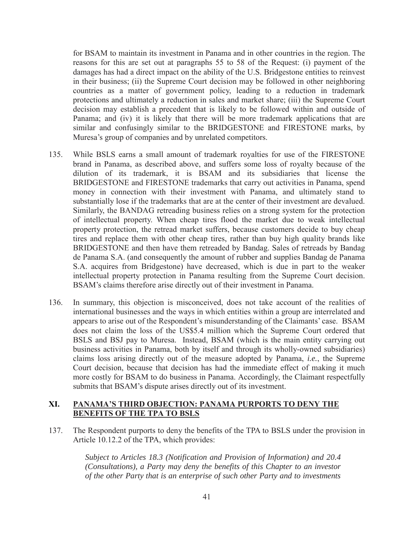for BSAM to maintain its investment in Panama and in other countries in the region. The reasons for this are set out at paragraphs 55 to 58 of the Request: (i) payment of the damages has had a direct impact on the ability of the U.S. Bridgestone entities to reinvest in their business; (ii) the Supreme Court decision may be followed in other neighboring countries as a matter of government policy, leading to a reduction in trademark protections and ultimately a reduction in sales and market share; (iii) the Supreme Court decision may establish a precedent that is likely to be followed within and outside of Panama; and (iv) it is likely that there will be more trademark applications that are similar and confusingly similar to the BRIDGESTONE and FIRESTONE marks, by Muresa's group of companies and by unrelated competitors.

- 135. While BSLS earns a small amount of trademark royalties for use of the FIRESTONE brand in Panama, as described above, and suffers some loss of royalty because of the dilution of its trademark, it is BSAM and its subsidiaries that license the BRIDGESTONE and FIRESTONE trademarks that carry out activities in Panama, spend money in connection with their investment with Panama, and ultimately stand to substantially lose if the trademarks that are at the center of their investment are devalued. Similarly, the BANDAG retreading business relies on a strong system for the protection of intellectual property. When cheap tires flood the market due to weak intellectual property protection, the retread market suffers, because customers decide to buy cheap tires and replace them with other cheap tires, rather than buy high quality brands like BRIDGESTONE and then have them retreaded by Bandag. Sales of retreads by Bandag de Panama S.A. (and consequently the amount of rubber and supplies Bandag de Panama S.A. acquires from Bridgestone) have decreased, which is due in part to the weaker intellectual property protection in Panama resulting from the Supreme Court decision. BSAM's claims therefore arise directly out of their investment in Panama.
- 136. In summary, this objection is misconceived, does not take account of the realities of international businesses and the ways in which entities within a group are interrelated and appears to arise out of the Respondent's misunderstanding of the Claimants' case. BSAM does not claim the loss of the US\$5.4 million which the Supreme Court ordered that BSLS and BSJ pay to Muresa. Instead, BSAM (which is the main entity carrying out business activities in Panama, both by itself and through its wholly-owned subsidiaries) claims loss arising directly out of the measure adopted by Panama, *i.e.*, the Supreme Court decision, because that decision has had the immediate effect of making it much more costly for BSAM to do business in Panama. Accordingly, the Claimant respectfully submits that BSAM's dispute arises directly out of its investment.

#### **XI. PANAMA'S THIRD OBJECTION: PANAMA PURPORTS TO DENY THE BENEFITS OF THE TPA TO BSLS**

137. The Respondent purports to deny the benefits of the TPA to BSLS under the provision in Article 10.12.2 of the TPA, which provides:

> *Subject to Articles 18.3 (Notification and Provision of Information) and 20.4 (Consultations), a Party may deny the benefits of this Chapter to an investor of the other Party that is an enterprise of such other Party and to investments*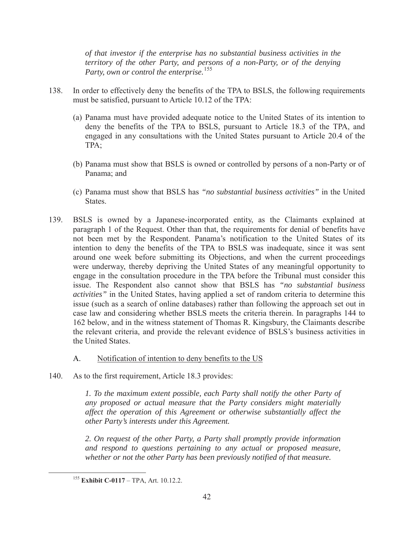*of that investor if the enterprise has no substantial business activities in the territory of the other Party, and persons of a non-Party, or of the denying Party, own or control the enterprise.*<sup>155</sup>

- 138. In order to effectively deny the benefits of the TPA to BSLS, the following requirements must be satisfied, pursuant to Article 10.12 of the TPA:
	- (a) Panama must have provided adequate notice to the United States of its intention to deny the benefits of the TPA to BSLS, pursuant to Article 18.3 of the TPA, and engaged in any consultations with the United States pursuant to Article 20.4 of the TPA;
	- (b) Panama must show that BSLS is owned or controlled by persons of a non-Party or of Panama; and
	- (c) Panama must show that BSLS has *"no substantial business activities"* in the United States.
- 139. BSLS is owned by a Japanese-incorporated entity, as the Claimants explained at paragraph 1 of the Request. Other than that, the requirements for denial of benefits have not been met by the Respondent. Panama's notification to the United States of its intention to deny the benefits of the TPA to BSLS was inadequate, since it was sent around one week before submitting its Objections, and when the current proceedings were underway, thereby depriving the United States of any meaningful opportunity to engage in the consultation procedure in the TPA before the Tribunal must consider this issue. The Respondent also cannot show that BSLS has *"no substantial business activities"* in the United States, having applied a set of random criteria to determine this issue (such as a search of online databases) rather than following the approach set out in case law and considering whether BSLS meets the criteria therein. In paragraphs 144 to 162 below, and in the witness statement of Thomas R. Kingsbury, the Claimants describe the relevant criteria, and provide the relevant evidence of BSLS's business activities in the United States.
	- A. Notification of intention to deny benefits to the US
- 140. As to the first requirement, Article 18.3 provides:

*1. To the maximum extent possible, each Party shall notify the other Party of any proposed or actual measure that the Party considers might materially affect the operation of this Agreement or otherwise substantially affect the other Party's interests under this Agreement.* 

*2. On request of the other Party, a Party shall promptly provide information and respond to questions pertaining to any actual or proposed measure, whether or not the other Party has been previously notified of that measure.*

<sup>155</sup> **Exhibit C-0117** – TPA, Art. 10.12.2.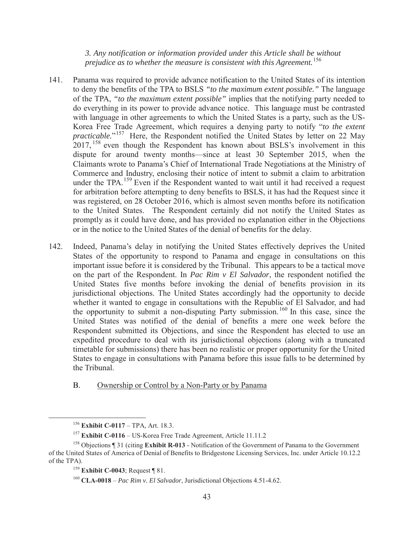*3. Any notification or information provided under this Article shall be without prejudice as to whether the measure is consistent with this Agreement.*<sup>156</sup>

- 141. Panama was required to provide advance notification to the United States of its intention to deny the benefits of the TPA to BSLS *"to the maximum extent possible."* The language of the TPA, *"to the maximum extent possible"* implies that the notifying party needed to do everything in its power to provide advance notice. This language must be contrasted with language in other agreements to which the United States is a party, such as the US-Korea Free Trade Agreement, which requires a denying party to notify "*to the extent practicable.*"<sup>157</sup> Here, the Respondent notified the United States by letter on 22 May 2017, <sup>158</sup> even though the Respondent has known about BSLS's involvement in this dispute for around twenty months—since at least 30 September 2015, when the Claimants wrote to Panama's Chief of International Trade Negotiations at the Ministry of Commerce and Industry, enclosing their notice of intent to submit a claim to arbitration under the TPA.<sup>159</sup> Even if the Respondent wanted to wait until it had received a request for arbitration before attempting to deny benefits to BSLS, it has had the Request since it was registered, on 28 October 2016, which is almost seven months before its notification to the United States. The Respondent certainly did not notify the United States as promptly as it could have done, and has provided no explanation either in the Objections or in the notice to the United States of the denial of benefits for the delay.
- 142. Indeed, Panama's delay in notifying the United States effectively deprives the United States of the opportunity to respond to Panama and engage in consultations on this important issue before it is considered by the Tribunal. This appears to be a tactical move on the part of the Respondent. In *Pac Rim v El Salvador*, the respondent notified the United States five months before invoking the denial of benefits provision in its jurisdictional objections. The United States accordingly had the opportunity to decide whether it wanted to engage in consultations with the Republic of El Salvador, and had the opportunity to submit a non-disputing Party submission.<sup>160</sup> In this case, since the United States was notified of the denial of benefits a mere one week before the Respondent submitted its Objections, and since the Respondent has elected to use an expedited procedure to deal with its jurisdictional objections (along with a truncated timetable for submissions) there has been no realistic or proper opportunity for the United States to engage in consultations with Panama before this issue falls to be determined by the Tribunal.

#### B. Ownership or Control by a Non-Party or by Panama

<sup>156</sup> **Exhibit C-0117** – TPA, Art. 18.3.

<sup>157</sup> **Exhibit C-0116** – US-Korea Free Trade Agreement, Article 11.11.2

<sup>158</sup> Objections ¶ 31 (citing **Exhibit R-013** - Notification of the Government of Panama to the Government of the United States of America of Denial of Benefits to Bridgestone Licensing Services, Inc. under Article 10.12.2 of the TPA).

<sup>159</sup> **Exhibit C-0043**; Request ¶ 81.

<sup>160</sup> **CLA-0018** – *Pac Rim v. El Salvador*, Jurisdictional Objections 4.51-4.62.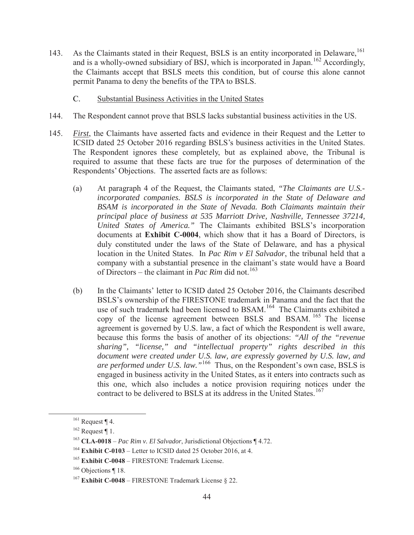- 143. As the Claimants stated in their Request, BSLS is an entity incorporated in Delaware, <sup>161</sup> and is a wholly-owned subsidiary of BSJ, which is incorporated in Japan.<sup>162</sup> Accordingly, the Claimants accept that BSLS meets this condition, but of course this alone cannot permit Panama to deny the benefits of the TPA to BSLS.
	- C. Substantial Business Activities in the United States
- 144. The Respondent cannot prove that BSLS lacks substantial business activities in the US.
- 145. *First*, the Claimants have asserted facts and evidence in their Request and the Letter to ICSID dated 25 October 2016 regarding BSLS's business activities in the United States. The Respondent ignores these completely, but as explained above, the Tribunal is required to assume that these facts are true for the purposes of determination of the Respondents' Objections. The asserted facts are as follows:
	- (a) At paragraph 4 of the Request, the Claimants stated, *"The Claimants are U.S. incorporated companies. BSLS is incorporated in the State of Delaware and BSAM is incorporated in the State of Nevada. Both Claimants maintain their principal place of business at 535 Marriott Drive, Nashville, Tennessee 37214, United States of America."* The Claimants exhibited BSLS's incorporation documents at **Exhibit C-0004**, which show that it has a Board of Directors, is duly constituted under the laws of the State of Delaware, and has a physical location in the United States. In *Pac Rim v El Salvador*, the tribunal held that a company with a substantial presence in the claimant's state would have a Board of Directors – the claimant in *Pac Rim* did not.<sup>163</sup>
	- (b) In the Claimants' letter to ICSID dated 25 October 2016, the Claimants described BSLS's ownership of the FIRESTONE trademark in Panama and the fact that the use of such trademark had been licensed to BSAM.<sup>164</sup> The Claimants exhibited a copy of the license agreement between BSLS and BSAM. <sup>165</sup> The license agreement is governed by U.S. law, a fact of which the Respondent is well aware, because this forms the basis of another of its objections: *"All of the "revenue sharing", "license," and "intellectual property" rights described in this document were created under U.S. law, are expressly governed by U.S. law, and are performed under U.S. law."*<sup>166</sup> Thus, on the Respondent's own case, BSLS is engaged in business activity in the United States, as it enters into contracts such as this one, which also includes a notice provision requiring notices under the contract to be delivered to BSLS at its address in the United States.<sup>167</sup>

 $161$  Request ¶ 4.

 $162$  Request 1.

<sup>163</sup> **CLA-0018** – *Pac Rim v. El Salvador*, Jurisdictional Objections ¶ 4.72.

<sup>164</sup> **Exhibit C-0103** – Letter to ICSID dated 25 October 2016, at 4.

<sup>165</sup> **Exhibit C-0048** – FIRESTONE Trademark License.

 $166$  Objections ¶ 18.

<sup>167</sup> **Exhibit C-0048** – FIRESTONE Trademark License § 22.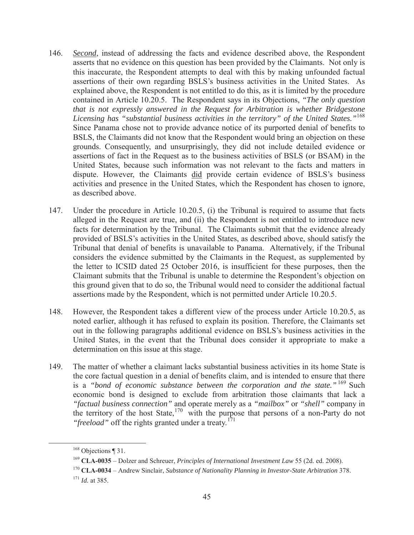- 146. *Second*, instead of addressing the facts and evidence described above, the Respondent asserts that no evidence on this question has been provided by the Claimants. Not only is this inaccurate, the Respondent attempts to deal with this by making unfounded factual assertions of their own regarding BSLS's business activities in the United States. As explained above, the Respondent is not entitled to do this, as it is limited by the procedure contained in Article 10.20.5. The Respondent says in its Objections, *"The only question that is not expressly answered in the Request for Arbitration is whether Bridgestone Licensing has "substantial business activities in the territory" of the United States."*<sup>168</sup> Since Panama chose not to provide advance notice of its purported denial of benefits to BSLS, the Claimants did not know that the Respondent would bring an objection on these grounds. Consequently, and unsurprisingly, they did not include detailed evidence or assertions of fact in the Request as to the business activities of BSLS (or BSAM) in the United States, because such information was not relevant to the facts and matters in dispute. However, the Claimants did provide certain evidence of BSLS's business activities and presence in the United States, which the Respondent has chosen to ignore, as described above.
- 147. Under the procedure in Article 10.20.5, (i) the Tribunal is required to assume that facts alleged in the Request are true, and (ii) the Respondent is not entitled to introduce new facts for determination by the Tribunal. The Claimants submit that the evidence already provided of BSLS's activities in the United States, as described above, should satisfy the Tribunal that denial of benefits is unavailable to Panama. Alternatively, if the Tribunal considers the evidence submitted by the Claimants in the Request, as supplemented by the letter to ICSID dated 25 October 2016, is insufficient for these purposes, then the Claimant submits that the Tribunal is unable to determine the Respondent's objection on this ground given that to do so, the Tribunal would need to consider the additional factual assertions made by the Respondent, which is not permitted under Article 10.20.5.
- 148. However, the Respondent takes a different view of the process under Article 10.20.5, as noted earlier, although it has refused to explain its position. Therefore, the Claimants set out in the following paragraphs additional evidence on BSLS's business activities in the United States, in the event that the Tribunal does consider it appropriate to make a determination on this issue at this stage.
- 149. The matter of whether a claimant lacks substantial business activities in its home State is the core factual question in a denial of benefits claim, and is intended to ensure that there is a *"bond of economic substance between the corporation and the state."* <sup>169</sup> Such economic bond is designed to exclude from arbitration those claimants that lack a *"factual business connection"* and operate merely as a *"mailbox"* or *"shell"* company in the territory of the host State, $1^{70}$  with the purpose that persons of a non-Party do not "*freeload*" off the rights granted under a treaty.<sup>171</sup>

<sup>&</sup>lt;sup>168</sup> Objections ¶ 31.

<sup>169</sup> **CLA-0035** – Dolzer and Schreuer, *Principles of International Investment Law* 55 (2d. ed. 2008).

<sup>170</sup> **CLA-0034** – Andrew Sinclair, *Substance of Nationality Planning in Investor-State Arbitration* 378.

<sup>171</sup> *Id.* at 385.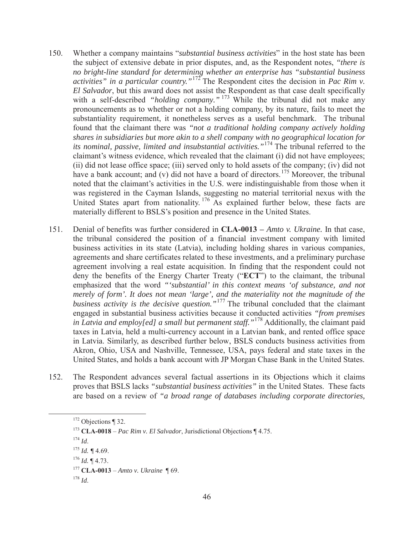- 150. Whether a company maintains "*substantial business activities*" in the host state has been the subject of extensive debate in prior disputes, and, as the Respondent notes, *"there is no bright-line standard for determining whether an enterprise has "substantial business activities" in a particular country."*<sup>172</sup> The Respondent cites the decision in *Pac Rim v. El Salvador*, but this award does not assist the Respondent as that case dealt specifically with a self-described "holding company."<sup>173</sup> While the tribunal did not make any pronouncements as to whether or not a holding company, by its nature, fails to meet the substantiality requirement, it nonetheless serves as a useful benchmark. The tribunal found that the claimant there was *"not a traditional holding company actively holding shares in subsidiaries but more akin to a shell company with no geographical location for its nominal, passive, limited and insubstantial activities."*<sup>174</sup> The tribunal referred to the claimant's witness evidence, which revealed that the claimant (i) did not have employees; (ii) did not lease office space; (iii) served only to hold assets of the company; (iv) did not have a bank account; and (v) did not have a board of directors.<sup>175</sup> Moreover, the tribunal noted that the claimant's activities in the U.S. were indistinguishable from those when it was registered in the Cayman Islands, suggesting no material territorial nexus with the United States apart from nationality.<sup>176</sup> As explained further below, these facts are materially different to BSLS's position and presence in the United States.
- 151. Denial of benefits was further considered in **CLA-0013 –** *Amto v. Ukraine.* In that case, the tribunal considered the position of a financial investment company with limited business activities in its state (Latvia), including holding shares in various companies, agreements and share certificates related to these investments, and a preliminary purchase agreement involving a real estate acquisition. In finding that the respondent could not deny the benefits of the Energy Charter Treaty ("**ECT**") to the claimant, the tribunal emphasized that the word *"'substantial' in this context means 'of substance, and not merely of form'. It does not mean 'large', and the materiality not the magnitude of the business activity is the decisive question."*<sup>177</sup> The tribunal concluded that the claimant engaged in substantial business activities because it conducted activities *"from premises in Latvia and employ[ed] a small but permanent staff."*<sup>178</sup> Additionally, the claimant paid taxes in Latvia, held a multi-currency account in a Latvian bank, and rented office space in Latvia. Similarly, as described further below, BSLS conducts business activities from Akron, Ohio, USA and Nashville, Tennessee, USA, pays federal and state taxes in the United States, and holds a bank account with JP Morgan Chase Bank in the United States.
- 152. The Respondent advances several factual assertions in its Objections which it claims proves that BSLS lacks *"substantial business activities"* in the United States. These facts are based on a review of *"a broad range of databases including corporate directories,*

 $172$  Objections ¶ 32.

<sup>173</sup> **CLA-0018** – *Pac Rim v. El Salvador*, Jurisdictional Objections ¶ 4.75.

<sup>174</sup> *Id*.

<sup>175</sup> *Id. ¶* 4.69.

<sup>176</sup> *Id.* ¶ 4.73.

<sup>177</sup> **CLA-0013** – *Amto v. Ukraine* ¶ 69.

<sup>178</sup> *Id*.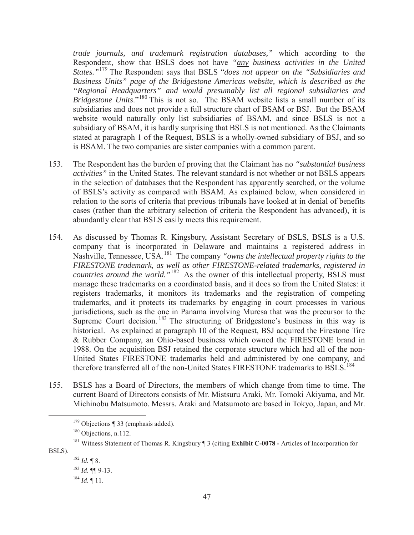*trade journals, and trademark registration databases,"* which according to the Respondent, show that BSLS does not have *"any business activities in the United States."*<sup>179</sup> The Respondent says that BSLS "*does not appear on the "Subsidiaries and Business Units" page of the Bridgestone Americas website, which is described as the "Regional Headquarters" and would presumably list all regional subsidiaries and Bridgestone Units*."<sup>180</sup> This is not so. The BSAM website lists a small number of its subsidiaries and does not provide a full structure chart of BSAM or BSJ. But the BSAM website would naturally only list subsidiaries of BSAM, and since BSLS is not a subsidiary of BSAM, it is hardly surprising that BSLS is not mentioned. As the Claimants stated at paragraph 1 of the Request, BSLS is a wholly-owned subsidiary of BSJ, and so is BSAM. The two companies are sister companies with a common parent.

- 153. The Respondent has the burden of proving that the Claimant has no *"substantial business activities"* in the United States. The relevant standard is not whether or not BSLS appears in the selection of databases that the Respondent has apparently searched, or the volume of BSLS's activity as compared with BSAM. As explained below, when considered in relation to the sorts of criteria that previous tribunals have looked at in denial of benefits cases (rather than the arbitrary selection of criteria the Respondent has advanced), it is abundantly clear that BSLS easily meets this requirement.
- 154. As discussed by Thomas R. Kingsbury, Assistant Secretary of BSLS, BSLS is a U.S. company that is incorporated in Delaware and maintains a registered address in Nashville, Tennessee, USA.<sup>181</sup> The company *"owns the intellectual property rights to the FIRESTONE trademark, as well as other FIRESTONE-related trademarks, registered in countries around the world.*"<sup>182</sup> As the owner of this intellectual property, BSLS must manage these trademarks on a coordinated basis, and it does so from the United States: it registers trademarks, it monitors its trademarks and the registration of competing trademarks, and it protects its trademarks by engaging in court processes in various jurisdictions, such as the one in Panama involving Muresa that was the precursor to the Supreme Court decision. <sup>183</sup> The structuring of Bridgestone's business in this way is historical. As explained at paragraph 10 of the Request, BSJ acquired the Firestone Tire & Rubber Company, an Ohio-based business which owned the FIRESTONE brand in 1988. On the acquisition BSJ retained the corporate structure which had all of the non-United States FIRESTONE trademarks held and administered by one company, and therefore transferred all of the non-United States FIRESTONE trademarks to BSLS.<sup>184</sup>
- 155. BSLS has a Board of Directors, the members of which change from time to time. The current Board of Directors consists of Mr. Mistsuru Araki, Mr. Tomoki Akiyama, and Mr. Michinobu Matsumoto. Messrs. Araki and Matsumoto are based in Tokyo, Japan, and Mr.

BSLS).

 $179$  Objections ¶ 33 (emphasis added).

<sup>&</sup>lt;sup>180</sup> Objections, n.112.

<sup>181</sup> Witness Statement of Thomas R. Kingsbury ¶ 3 (citing **Exhibit C-0078 -** Articles of Incorporation for

<sup>182</sup> *Id.* ¶ 8.

 $^{183}$  *Id.* **¶** 9-13.

 $184$  *Id.* 11.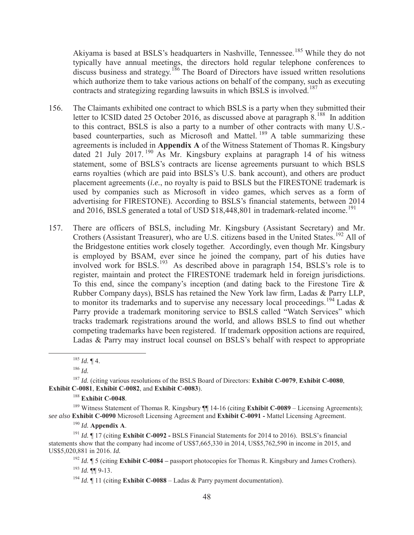Akiyama is based at BSLS's headquarters in Nashville, Tennessee.<sup>185</sup> While they do not typically have annual meetings, the directors hold regular telephone conferences to discuss business and strategy.<sup>186</sup> The Board of Directors have issued written resolutions which authorize them to take various actions on behalf of the company, such as executing contracts and strategizing regarding lawsuits in which BSLS is involved.<sup>187</sup>

- 156. The Claimants exhibited one contract to which BSLS is a party when they submitted their letter to ICSID dated 25 October 2016, as discussed above at paragraph 8.<sup>188</sup> In addition to this contract, BSLS is also a party to a number of other contracts with many U.S. based counterparties, such as Microsoft and Mattel.<sup>189</sup> A table summarizing these agreements is included in **Appendix A** of the Witness Statement of Thomas R. Kingsbury dated 21 July 2017. <sup>190</sup> As Mr. Kingsbury explains at paragraph 14 of his witness statement, some of BSLS's contracts are license agreements pursuant to which BSLS earns royalties (which are paid into BSLS's U.S. bank account), and others are product placement agreements (*i.e.*, no royalty is paid to BSLS but the FIRESTONE trademark is used by companies such as Microsoft in video games, which serves as a form of advertising for FIRESTONE). According to BSLS's financial statements, between 2014 and 2016, BSLS generated a total of USD \$18,448,801 in trademark-related income.<sup>191</sup>
- 157. There are officers of BSLS, including Mr. Kingsbury (Assistant Secretary) and Mr. Crothers (Assistant Treasurer), who are U.S. citizens based in the United States.<sup>192</sup> All of the Bridgestone entities work closely together. Accordingly, even though Mr. Kingsbury is employed by BSAM, ever since he joined the company, part of his duties have involved work for BSLS.<sup>193</sup> As described above in paragraph 154, BSLS's role is to register, maintain and protect the FIRESTONE trademark held in foreign jurisdictions. To this end, since the company's inception (and dating back to the Firestone Tire & Rubber Company days), BSLS has retained the New York law firm, Ladas & Parry LLP, to monitor its trademarks and to supervise any necessary local proceedings.<sup>194</sup> Ladas & Parry provide a trademark monitoring service to BSLS called "Watch Services" which tracks trademark registrations around the world, and allows BSLS to find out whether competing trademarks have been registered. If trademark opposition actions are required, Ladas & Parry may instruct local counsel on BSLS's behalf with respect to appropriate

 $185$  *Id.* ¶ 4.

<sup>186</sup> *Id.* 

<sup>187</sup> *Id.* (citing various resolutions of the BSLS Board of Directors: **Exhibit C-0079**, **Exhibit C-0080**, **Exhibit C-0081**, **Exhibit C-0082**, and **Exhibit C-0083**).

<sup>188</sup> **Exhibit C-0048**.

<sup>189</sup> Witness Statement of Thomas R. Kingsbury ¶¶ 14-16 (citing **Exhibit C-0089** – Licensing Agreements); *see also* **Exhibit C-0090** Microsoft Licensing Agreement and **Exhibit C-0091 -** Mattel Licensing Agreement.

<sup>190</sup> *Id.* **Appendix A**.

<sup>191</sup> *Id.* ¶ 17 (citing **Exhibit C-0092 -** BSLS Financial Statements for 2014 to 2016). BSLS's financial statements show that the company had income of US\$7,665,330 in 2014, US\$5,762,590 in income in 2015, and US\$5,020,881 in 2016. *Id.*

<sup>&</sup>lt;sup>192</sup> *Id.* ¶ 5 (citing **Exhibit C-0084** – passport photocopies for Thomas R. Kingsbury and James Crothers).  $^{193}$  *Id.* **¶** 9-13.

<sup>194</sup> *Id.* ¶ 11 (citing **Exhibit C-0088** – Ladas & Parry payment documentation).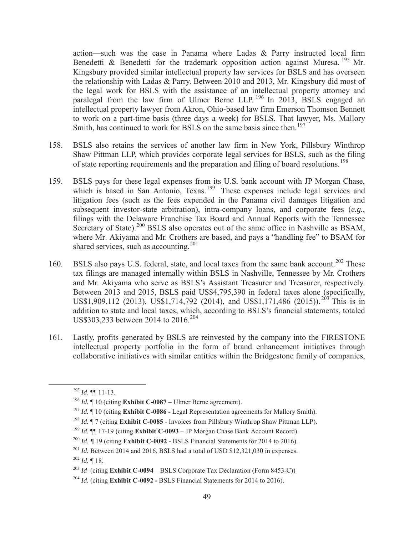action—such was the case in Panama where Ladas & Parry instructed local firm Benedetti & Benedetti for the trademark opposition action against Muresa. <sup>195</sup> Mr. Kingsbury provided similar intellectual property law services for BSLS and has overseen the relationship with Ladas & Parry. Between 2010 and 2013, Mr. Kingsbury did most of the legal work for BSLS with the assistance of an intellectual property attorney and paralegal from the law firm of Ulmer Berne LLP.<sup>196</sup> In 2013, BSLS engaged an intellectual property lawyer from Akron, Ohio-based law firm Emerson Thomson Bennett to work on a part-time basis (three days a week) for BSLS. That lawyer, Ms. Mallory Smith, has continued to work for BSLS on the same basis since then.<sup>197</sup>

- 158. BSLS also retains the services of another law firm in New York, Pillsbury Winthrop Shaw Pittman LLP, which provides corporate legal services for BSLS, such as the filing of state reporting requirements and the preparation and filing of board resolutions.<sup>198</sup>
- 159. BSLS pays for these legal expenses from its U.S. bank account with JP Morgan Chase, which is based in San Antonio, Texas.<sup>199</sup> These expenses include legal services and litigation fees (such as the fees expended in the Panama civil damages litigation and subsequent investor-state arbitration), intra-company loans, and corporate fees (*e.g.*, filings with the Delaware Franchise Tax Board and Annual Reports with the Tennessee Secretary of State).<sup>200</sup> BSLS also operates out of the same office in Nashville as BSAM, where Mr. Akiyama and Mr. Crothers are based, and pays a "handling fee" to BSAM for shared services, such as accounting.<sup>201</sup>
- 160. BSLS also pays U.S. federal, state, and local taxes from the same bank account.<sup>202</sup> These tax filings are managed internally within BSLS in Nashville, Tennessee by Mr. Crothers and Mr. Akiyama who serve as BSLS's Assistant Treasurer and Treasurer, respectively. Between 2013 and 2015, BSLS paid US\$4,795,390 in federal taxes alone (specifically, US\$1,909,112 (2013), US\$1,714,792 (2014), and US\$1,171,486 (2015)).<sup>203</sup> This is in addition to state and local taxes, which, according to BSLS's financial statements, totaled US\$303,233 between 2014 to 2016.<sup>204</sup>
- 161. Lastly, profits generated by BSLS are reinvested by the company into the FIRESTONE intellectual property portfolio in the form of brand enhancement initiatives through collaborative initiatives with similar entities within the Bridgestone family of companies,

 $^{202}$  *Id.*  $\blacksquare$  18.

*<sup>195</sup> Id*. ¶¶ 11-13.

<sup>196</sup> *Id.* ¶ 10 (citing **Exhibit C-0087** – Ulmer Berne agreement).

<sup>197</sup> *Id.* ¶ 10 (citing **Exhibit C-0086 -** Legal Representation agreements for Mallory Smith).

<sup>198</sup> *Id.* ¶ 7 (citing **Exhibit C-0085** - Invoices from Pillsbury Winthrop Shaw Pittman LLP).

<sup>199</sup> *Id.* ¶¶ 17-19 (citing **Exhibit C-0093** – JP Morgan Chase Bank Account Record).

<sup>200</sup> *Id. ¶* 19 (citing **Exhibit C-0092 -** BSLS Financial Statements for 2014 to 2016).

<sup>&</sup>lt;sup>201</sup> *Id.* Between 2014 and 2016, BSLS had a total of USD \$12,321,030 in expenses.

<sup>203</sup> *Id* (citing **Exhibit C-0094** – BSLS Corporate Tax Declaration (Form 8453-C))

<sup>204</sup> *Id.* (citing **Exhibit C-0092 -** BSLS Financial Statements for 2014 to 2016).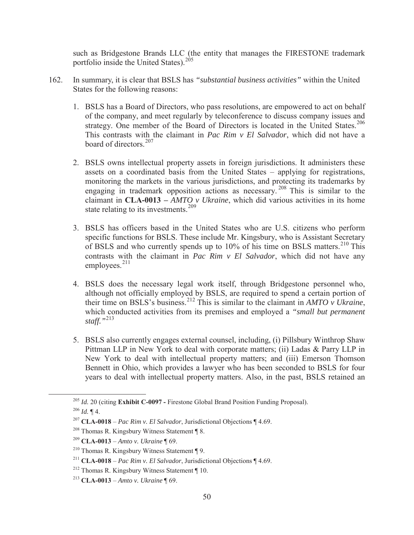such as Bridgestone Brands LLC (the entity that manages the FIRESTONE trademark portfolio inside the United States).  $205$ 

- 162. In summary, it is clear that BSLS has *"substantial business activities"* within the United States for the following reasons:
	- 1. BSLS has a Board of Directors, who pass resolutions, are empowered to act on behalf of the company, and meet regularly by teleconference to discuss company issues and strategy. One member of the Board of Directors is located in the United States.<sup>206</sup> This contrasts with the claimant in *Pac Rim v El Salvador*, which did not have a board of directors.<sup>207</sup>
	- 2. BSLS owns intellectual property assets in foreign jurisdictions. It administers these assets on a coordinated basis from the United States – applying for registrations, monitoring the markets in the various jurisdictions, and protecting its trademarks by engaging in trademark opposition actions as necessary. <sup>208</sup> This is similar to the claimant in **CLA-0013 –** *AMTO v Ukraine*, which did various activities in its home state relating to its investments.<sup>209</sup>
	- 3. BSLS has officers based in the United States who are U.S. citizens who perform specific functions for BSLS. These include Mr. Kingsbury, who is Assistant Secretary of BSLS and who currently spends up to  $10\%$  of his time on BSLS matters.<sup>210</sup> This contrasts with the claimant in *Pac Rim v El Salvador*, which did not have any employees. $^{211}$
	- 4. BSLS does the necessary legal work itself, through Bridgestone personnel who, although not officially employed by BSLS, are required to spend a certain portion of their time on BSLS's business.<sup>212</sup> This is similar to the claimant in *AMTO v Ukraine*, which conducted activities from its premises and employed a *"small but permanent staff."*<sup>213</sup>
	- 5. BSLS also currently engages external counsel, including, (i) Pillsbury Winthrop Shaw Pittman LLP in New York to deal with corporate matters; (ii) Ladas & Parry LLP in New York to deal with intellectual property matters; and (iii) Emerson Thomson Bennett in Ohio, which provides a lawyer who has been seconded to BSLS for four years to deal with intellectual property matters. Also, in the past, BSLS retained an

<sup>205</sup> *Id.* 20 (citing **Exhibit C-0097 -** Firestone Global Brand Position Funding Proposal).

 $^{206}$  *Id.* ¶ 4.

<sup>207</sup> **CLA-0018** – *Pac Rim v. El Salvador*, Jurisdictional Objections ¶ 4.69.

 $208$  Thomas R. Kingsbury Witness Statement ¶ 8.

<sup>209</sup> **CLA-0013** – *Amto v. Ukraine* ¶ 69.

<sup>&</sup>lt;sup>210</sup> Thomas R. Kingsbury Witness Statement ¶ 9.

<sup>211</sup> **CLA-0018** – *Pac Rim v. El Salvador*, Jurisdictional Objections ¶ 4.69.

<sup>&</sup>lt;sup>212</sup> Thomas R. Kingsbury Witness Statement  $\P$  10.

<sup>213</sup> **CLA-0013** – *Amto v. Ukraine* ¶ 69.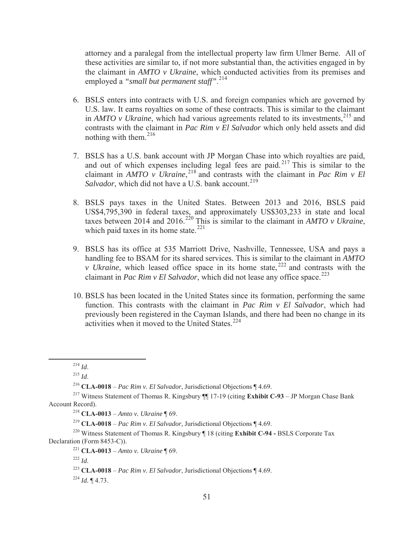attorney and a paralegal from the intellectual property law firm Ulmer Berne. All of these activities are similar to, if not more substantial than, the activities engaged in by the claimant in *AMTO v Ukraine*, which conducted activities from its premises and employed a *"small but permanent staff"*. 214

- 6. BSLS enters into contracts with U.S. and foreign companies which are governed by U.S. law. It earns royalties on some of these contracts. This is similar to the claimant in *AMTO v Ukraine*, which had various agreements related to its investments,  $215$  and contrasts with the claimant in *Pac Rim v El Salvador* which only held assets and did nothing with them. $^{216}$
- 7. BSLS has a U.S. bank account with JP Morgan Chase into which royalties are paid, and out of which expenses including legal fees are paid. <sup>217</sup> This is similar to the claimant in *AMTO v Ukraine*, <sup>218</sup> and contrasts with the claimant in *Pac Rim v El Salvador*, which did not have a U.S. bank account.<sup>219</sup>
- 8. BSLS pays taxes in the United States. Between 2013 and 2016, BSLS paid US\$4,795,390 in federal taxes, and approximately US\$303,233 in state and local taxes between 2014 and 2016.<sup>220</sup> This is similar to the claimant in *AMTO v Ukraine*, which paid taxes in its home state. $221$
- 9. BSLS has its office at 535 Marriott Drive, Nashville, Tennessee, USA and pays a handling fee to BSAM for its shared services. This is similar to the claimant in *AMTO v Ukraine*, which leased office space in its home state,<sup>222</sup> and contrasts with the claimant in *Pac Rim v El Salvador*, which did not lease any office space.<sup>223</sup>
- 10. BSLS has been located in the United States since its formation, performing the same function. This contrasts with the claimant in *Pac Rim v El Salvador*, which had previously been registered in the Cayman Islands, and there had been no change in its activities when it moved to the United States.<sup>224</sup>

<sup>224</sup> *Id.* ¶ 4.73.

<sup>214</sup> *Id*.

 $^{215}$  *Id.* 

<sup>216</sup> **CLA-0018** – *Pac Rim v. El Salvador*, Jurisdictional Objections ¶ 4.69.

<sup>217</sup> Witness Statement of Thomas R. Kingsbury ¶¶ 17-19 (citing **Exhibit C-93** – JP Morgan Chase Bank Account Record).

<sup>218</sup> **CLA-0013** – *Amto v. Ukraine* ¶ 69.

<sup>219</sup> **CLA-0018** – *Pac Rim v. El Salvador*, Jurisdictional Objections ¶ 4.69.

<sup>220</sup> Witness Statement of Thomas R. Kingsbury ¶ 18 (citing **Exhibit C-94 -** BSLS Corporate Tax Declaration (Form 8453-C)). 221 **CLA-0013** – *Amto v. Ukraine* ¶ 69.

 $^{222}$  *Id.* 

<sup>223</sup> **CLA-0018** – *Pac Rim v. El Salvador*, Jurisdictional Objections ¶ 4.69.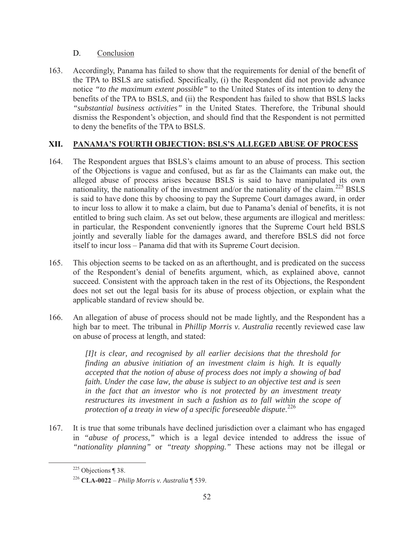#### D. Conclusion

163. Accordingly, Panama has failed to show that the requirements for denial of the benefit of the TPA to BSLS are satisfied. Specifically, (i) the Respondent did not provide advance notice *"to the maximum extent possible"* to the United States of its intention to deny the benefits of the TPA to BSLS, and (ii) the Respondent has failed to show that BSLS lacks *"substantial business activities"* in the United States. Therefore, the Tribunal should dismiss the Respondent's objection, and should find that the Respondent is not permitted to deny the benefits of the TPA to BSLS.

#### **XII. PANAMA'S FOURTH OBJECTION: BSLS'S ALLEGED ABUSE OF PROCESS**

- 164. The Respondent argues that BSLS's claims amount to an abuse of process. This section of the Objections is vague and confused, but as far as the Claimants can make out, the alleged abuse of process arises because BSLS is said to have manipulated its own nationality, the nationality of the investment and/or the nationality of the claim.<sup>225</sup> BSLS is said to have done this by choosing to pay the Supreme Court damages award, in order to incur loss to allow it to make a claim, but due to Panama's denial of benefits, it is not entitled to bring such claim. As set out below, these arguments are illogical and meritless: in particular, the Respondent conveniently ignores that the Supreme Court held BSLS jointly and severally liable for the damages award, and therefore BSLS did not force itself to incur loss – Panama did that with its Supreme Court decision.
- 165. This objection seems to be tacked on as an afterthought, and is predicated on the success of the Respondent's denial of benefits argument, which, as explained above, cannot succeed. Consistent with the approach taken in the rest of its Objections, the Respondent does not set out the legal basis for its abuse of process objection, or explain what the applicable standard of review should be.
- 166. An allegation of abuse of process should not be made lightly, and the Respondent has a high bar to meet. The tribunal in *Phillip Morris v. Australia* recently reviewed case law on abuse of process at length, and stated:

*[I]t is clear, and recognised by all earlier decisions that the threshold for finding an abusive initiation of an investment claim is high. It is equally accepted that the notion of abuse of process does not imply a showing of bad faith. Under the case law, the abuse is subject to an objective test and is seen in the fact that an investor who is not protected by an investment treaty restructures its investment in such a fashion as to fall within the scope of protection of a treaty in view of a specific foreseeable dispute*. 226

167. It is true that some tribunals have declined jurisdiction over a claimant who has engaged in *"abuse of process,"* which is a legal device intended to address the issue of *"nationality planning"* or *"treaty shopping."* These actions may not be illegal or

 $225$  Objections ¶ 38.

<sup>226</sup> **CLA-0022** – *Philip Morris v. Australia* ¶ 539.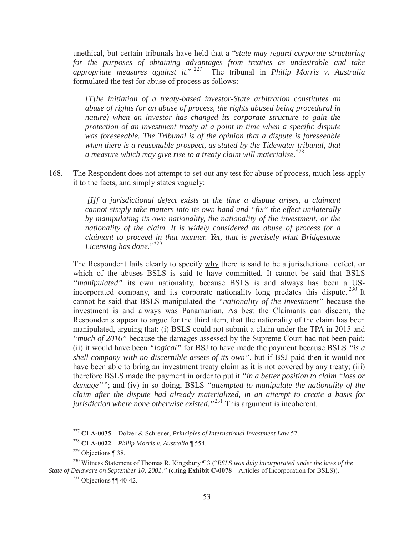unethical, but certain tribunals have held that a "*state may regard corporate structuring for the purposes of obtaining advantages from treaties as undesirable and take appropriate measures against it*." <sup>227</sup> The tribunal in *Philip Morris v. Australia* formulated the test for abuse of process as follows:

*[T]he initiation of a treaty-based investor-State arbitration constitutes an abuse of rights (or an abuse of process, the rights abused being procedural in nature) when an investor has changed its corporate structure to gain the protection of an investment treaty at a point in time when a specific dispute was foreseeable. The Tribunal is of the opinion that a dispute is foreseeable*  when there is a reasonable prospect, as stated by the Tidewater tribunal, that *a measure which may give rise to a treaty claim will materialise.*<sup>228</sup>

168. The Respondent does not attempt to set out any test for abuse of process, much less apply it to the facts, and simply states vaguely:

> *[I]f a jurisdictional defect exists at the time a dispute arises, a claimant cannot simply take matters into its own hand and "fix" the effect unilaterally by manipulating its own nationality, the nationality of the investment, or the nationality of the claim. It is widely considered an abuse of process for a claimant to proceed in that manner. Yet, that is precisely what Bridgestone*  Licensing has done."<sup>229</sup>

The Respondent fails clearly to specify why there is said to be a jurisdictional defect, or which of the abuses BSLS is said to have committed. It cannot be said that BSLS *"manipulated"* its own nationality, because BSLS is and always has been a USincorporated company, and its corporate nationality long predates this dispute.  $^{230}$  It cannot be said that BSLS manipulated the *"nationality of the investment"* because the investment is and always was Panamanian. As best the Claimants can discern, the Respondents appear to argue for the third item, that the nationality of the claim has been manipulated, arguing that: (i) BSLS could not submit a claim under the TPA in 2015 and *"much of 2016"* because the damages assessed by the Supreme Court had not been paid; (ii) it would have been *"logical"* for BSJ to have made the payment because BSLS *"is a shell company with no discernible assets of its own"*, but if BSJ paid then it would not have been able to bring an investment treaty claim as it is not covered by any treaty; (iii) therefore BSLS made the payment in order to put it *"in a better position to claim "loss or damage""*; and (iv) in so doing, BSLS *"attempted to manipulate the nationality of the claim after the dispute had already materialized, in an attempt to create a basis for jurisdiction where none otherwise existed.*<sup>"231</sup> This argument is incoherent.

<sup>227</sup> **CLA-0035** – Dolzer & Schreuer, *Principles of International Investment Law* 52.

<sup>228</sup> **CLA-0022** – *Philip Morris v. Australia* ¶ 554.

 $229$  Objections ¶ 38.

<sup>230</sup> Witness Statement of Thomas R. Kingsbury ¶ 3 ("*BSLS was duly incorporated under the laws of the State of Delaware on September 10, 2001."* (citing **Exhibit C-0078** – Articles of Incorporation for BSLS)).

 $231$  Objections ¶ 40-42.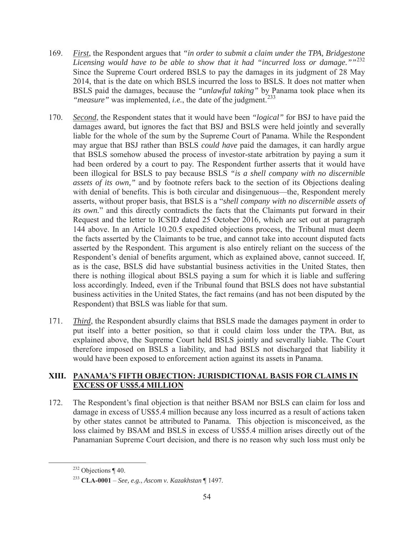- 169. *First*, the Respondent argues that *"in order to submit a claim under the TPA, Bridgestone*  Licensing would have to be able to show that it had "incurred loss or damage.""<sup>232</sup> Since the Supreme Court ordered BSLS to pay the damages in its judgment of 28 May 2014, that is the date on which BSLS incurred the loss to BSLS. It does not matter when BSLS paid the damages, because the *"unlawful taking"* by Panama took place when its *"measure"* was implemented, *i.e.*, the date of the judgment.<sup>233</sup>
- 170. *Second*, the Respondent states that it would have been *"logical"* for BSJ to have paid the damages award, but ignores the fact that BSJ and BSLS were held jointly and severally liable for the whole of the sum by the Supreme Court of Panama. While the Respondent may argue that BSJ rather than BSLS *could have* paid the damages, it can hardly argue that BSLS somehow abused the process of investor-state arbitration by paying a sum it had been ordered by a court to pay. The Respondent further asserts that it would have been illogical for BSLS to pay because BSLS *"is a shell company with no discernible assets of its own,"* and by footnote refers back to the section of its Objections dealing with denial of benefits. This is both circular and disingenuous—the, Respondent merely asserts, without proper basis, that BSLS is a "*shell company with no discernible assets of its own.*" and this directly contradicts the facts that the Claimants put forward in their Request and the letter to ICSID dated 25 October 2016, which are set out at paragraph 144 above. In an Article 10.20.5 expedited objections process, the Tribunal must deem the facts asserted by the Claimants to be true, and cannot take into account disputed facts asserted by the Respondent. This argument is also entirely reliant on the success of the Respondent's denial of benefits argument, which as explained above, cannot succeed. If, as is the case, BSLS did have substantial business activities in the United States, then there is nothing illogical about BSLS paying a sum for which it is liable and suffering loss accordingly. Indeed, even if the Tribunal found that BSLS does not have substantial business activities in the United States, the fact remains (and has not been disputed by the Respondent) that BSLS was liable for that sum.
- 171. *Third*, the Respondent absurdly claims that BSLS made the damages payment in order to put itself into a better position, so that it could claim loss under the TPA. But, as explained above, the Supreme Court held BSLS jointly and severally liable. The Court therefore imposed on BSLS a liability, and had BSLS not discharged that liability it would have been exposed to enforcement action against its assets in Panama.

#### **XIII. PANAMA'S FIFTH OBJECTION: JURISDICTIONAL BASIS FOR CLAIMS IN EXCESS OF US\$5.4 MILLION**

172. The Respondent's final objection is that neither BSAM nor BSLS can claim for loss and damage in excess of US\$5.4 million because any loss incurred as a result of actions taken by other states cannot be attributed to Panama. This objection is misconceived, as the loss claimed by BSAM and BSLS in excess of US\$5.4 million arises directly out of the Panamanian Supreme Court decision, and there is no reason why such loss must only be

 $232$  Objections ¶ 40.

<sup>233</sup> **CLA-0001** – *See, e.g.*, *Ascom v. Kazakhstan* ¶ 1497.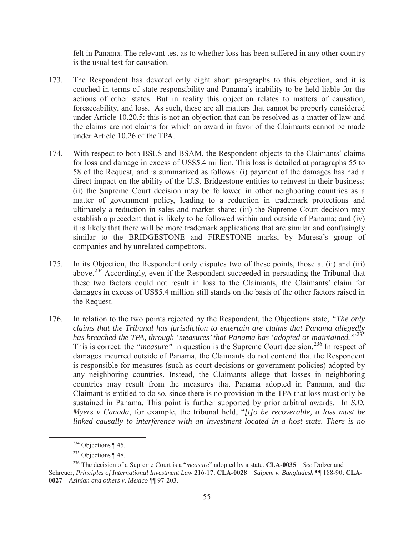felt in Panama. The relevant test as to whether loss has been suffered in any other country is the usual test for causation.

- 173. The Respondent has devoted only eight short paragraphs to this objection, and it is couched in terms of state responsibility and Panama's inability to be held liable for the actions of other states. But in reality this objection relates to matters of causation, foreseeability, and loss. As such, these are all matters that cannot be properly considered under Article 10.20.5: this is not an objection that can be resolved as a matter of law and the claims are not claims for which an award in favor of the Claimants cannot be made under Article 10.26 of the TPA.
- 174. With respect to both BSLS and BSAM, the Respondent objects to the Claimants' claims for loss and damage in excess of US\$5.4 million. This loss is detailed at paragraphs 55 to 58 of the Request, and is summarized as follows: (i) payment of the damages has had a direct impact on the ability of the U.S. Bridgestone entities to reinvest in their business; (ii) the Supreme Court decision may be followed in other neighboring countries as a matter of government policy, leading to a reduction in trademark protections and ultimately a reduction in sales and market share; (iii) the Supreme Court decision may establish a precedent that is likely to be followed within and outside of Panama; and (iv) it is likely that there will be more trademark applications that are similar and confusingly similar to the BRIDGESTONE and FIRESTONE marks, by Muresa's group of companies and by unrelated competitors.
- 175. In its Objection, the Respondent only disputes two of these points, those at (ii) and (iii) above.<sup>234</sup> Accordingly, even if the Respondent succeeded in persuading the Tribunal that these two factors could not result in loss to the Claimants, the Claimants' claim for damages in excess of US\$5.4 million still stands on the basis of the other factors raised in the Request.
- 176. In relation to the two points rejected by the Respondent, the Objections state*, "The only claims that the Tribunal has jurisdiction to entertain are claims that Panama allegedly has breached the TPA, through 'measures' that Panama has 'adopted or maintained.*<sup>"235</sup> This is correct: the *"measure*" in question is the Supreme Court decision.<sup>236</sup> In respect of damages incurred outside of Panama, the Claimants do not contend that the Respondent is responsible for measures (such as court decisions or government policies) adopted by any neighboring countries. Instead, the Claimants allege that losses in neighboring countries may result from the measures that Panama adopted in Panama, and the Claimant is entitled to do so, since there is no provision in the TPA that loss must only be sustained in Panama. This point is further supported by prior arbitral awards. In *S.D. Myers v Canada*, for example, the tribunal held, "*[t]o be recoverable, a loss must be linked causally to interference with an investment located in a host state. There is no*

<sup>&</sup>lt;sup>234</sup> Objections ¶ 45.

 $235$  Objections ¶ 48.

<sup>236</sup> The decision of a Supreme Court is a "*measure*" adopted by a state. **CLA-0035** – *See* Dolzer and Schreuer, *Principles of International Investment Law* 216-17; **CLA-0028** – *Saipem v. Bangladesh* ¶¶ 188-90; **CLA-0027** – *Azinian and others v. Mexico* ¶¶ 97-203.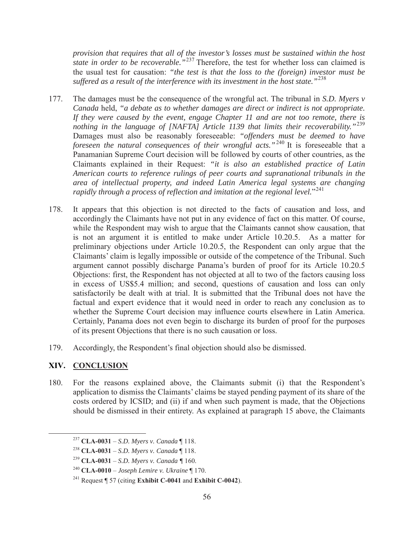*provision that requires that all of the investor's losses must be sustained within the host state in order to be recoverable."*<sup>237</sup> Therefore, the test for whether loss can claimed is the usual test for causation: *"the test is that the loss to the (foreign) investor must be suffered as a result of the interference with its investment in the host state."*<sup>238</sup>

- 177. The damages must be the consequence of the wrongful act. The tribunal in *S.D. Myers v Canada* held, *"a debate as to whether damages are direct or indirect is not appropriate. If they were caused by the event, engage Chapter 11 and are not too remote, there is nothing in the language of [NAFTA] Article 1139 that limits their recoverability."*<sup>239</sup> Damages must also be reasonably foreseeable: *"offenders must be deemed to have foreseen the natural consequences of their wrongful acts.*<sup>"240</sup> It is foreseeable that a Panamanian Supreme Court decision will be followed by courts of other countries, as the Claimants explained in their Request: *"it is also an established practice of Latin American courts to reference rulings of peer courts and supranational tribunals in the area of intellectual property, and indeed Latin America legal systems are changing rapidly through a process of reflection and imitation at the regional level.*"<sup>241</sup>
- 178. It appears that this objection is not directed to the facts of causation and loss, and accordingly the Claimants have not put in any evidence of fact on this matter. Of course, while the Respondent may wish to argue that the Claimants cannot show causation, that is not an argument it is entitled to make under Article 10.20.5. As a matter for preliminary objections under Article 10.20.5, the Respondent can only argue that the Claimants' claim is legally impossible or outside of the competence of the Tribunal. Such argument cannot possibly discharge Panama's burden of proof for its Article 10.20.5 Objections: first, the Respondent has not objected at all to two of the factors causing loss in excess of US\$5.4 million; and second, questions of causation and loss can only satisfactorily be dealt with at trial. It is submitted that the Tribunal does not have the factual and expert evidence that it would need in order to reach any conclusion as to whether the Supreme Court decision may influence courts elsewhere in Latin America. Certainly, Panama does not even begin to discharge its burden of proof for the purposes of its present Objections that there is no such causation or loss.
- 179. Accordingly, the Respondent's final objection should also be dismissed.

#### **XIV. CONCLUSION**

180. For the reasons explained above, the Claimants submit (i) that the Respondent's application to dismiss the Claimants' claims be stayed pending payment of its share of the costs ordered by ICSID; and (ii) if and when such payment is made, that the Objections should be dismissed in their entirety. As explained at paragraph 15 above, the Claimants

<sup>237</sup> **CLA-0031** – *S.D. Myers v. Canada* ¶ 118.

<sup>238</sup> **CLA-0031** – *S.D. Myers v. Canada* ¶ 118.

<sup>239</sup> **CLA-0031** – *S.D. Myers v. Canada ¶* 160.

<sup>240</sup> **CLA-0010** – *Joseph Lemire v. Ukraine* ¶ 170.

<sup>241</sup> Request ¶ 57 (citing **Exhibit C-0041** and **Exhibit C-0042**).